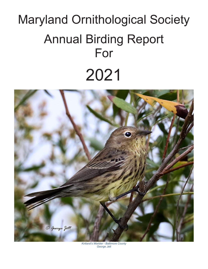# Maryland Ornithological Society Annual Birding Report For 2021



*Kirtland's Warbler - Baltimore County George Jett*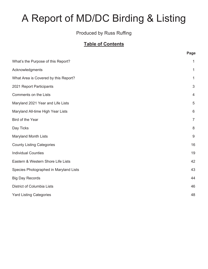# A Report of MD/DC Birding & Listing

#### Produced by Russ Ruffing

#### **Table of Contents**

|                                        | Page           |
|----------------------------------------|----------------|
| What's the Purpose of this Report?     | 1              |
| Acknowledgments                        | 1              |
| What Area is Covered by this Report?   | $\mathbf{1}$   |
| 2021 Report Participants               | 3              |
| <b>Comments on the Lists</b>           | 4              |
| Maryland 2021 Year and Life Lists      | 5              |
| Maryland All-time High Year Lists      | 6              |
| Bird of the Year                       | $\overline{7}$ |
| Day Ticks                              | 8              |
| <b>Maryland Month Lists</b>            | 9              |
| <b>County Listing Categories</b>       | 16             |
| <b>Individual Counties</b>             | 19             |
| Eastern & Western Shore Life Lists     | 42             |
| Species Photographed in Maryland Lists | 43             |
| <b>Big Day Records</b>                 | 44             |
| District of Columbia Lists             | 46             |
| <b>Yard Listing Categories</b>         | 48             |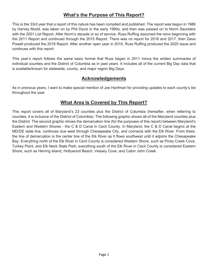#### **What's the Purpose of This Report?**

This is the 33rd year that a report of this nature has been compiled and published. The report was begun in 1986 by Harvey Mudd, was taken on by Phil Davis in the early 1990s, and then was passed on to Norm Saunders with the 2001 List Report. After Norm's decade or so of service, Russ Ruffing assumed the reins beginning with the 2011 Report and continued through the 2015 Report. There was no report for 2016 and 2017, then Dave Powell produced the 2018 Report. After another open year in 2019, Russ Ruffing produced the 2020 issue and continues with this report.

This year's report follows the same basic format that Russ began in 2011 minus the written summaries of individual counties and the District of Columbia as in past years. It includes all of the current Big Day data that is available/known for statewide, county, and major region Big Days.

#### **Acknowledgements**

As in previous years, I want to make special mention of Joe Hanfman for providing updates to each county's list throughout the year.

#### **What Area Is Covered by This Report?**

This report covers all of Maryland's 23 counties plus the District of Columbia (hereafter, when referring to counties, it is inclusive of the District of Columbia). The following graphic shows all of the Maryland counties plus the District. The second graphic shows the demarcation line (for the purposes of this report) between Maryland's Eastern and Western Shores - the C & D Canal in Cecil County. In Maryland, the C & D Canal begins at the MD/DE state line, continues due west through Chesapeake City, and connects with the Elk River. From there, the line of demarcation is the center line of the Elk River as it flows southwest until it adjoins the Chesapeake Bay. Everything north of the Elk River in Cecil County is considered Western Shore, such as Piney Creek Cove, Turkey Point, and Elk Neck State Park; everything south of the Elk River in Cecil County is considered Eastern Shore, such as Herring Island, Hollywood Beach, Veasey Cove, and Cabin John Creek.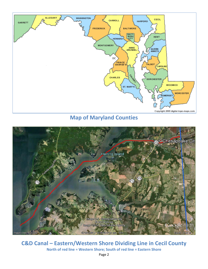

**Map of Maryland Counties**



**C&D Canal – Eastern/Western Shore Dividing Line in Cecil County North of red line = Western Shore; South of red line = Eastern Shore**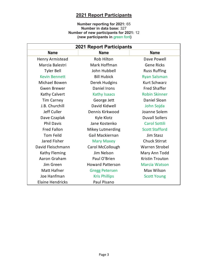#### **2021 Report Participants**

#### **Number reporting for 2021:** 65 **Number in data base:** 327 **Number of new participants for 2021:** 12 **(new participants in** green font**)**

| <b>2021 Report Participants</b> |                         |                       |  |  |  |  |  |  |
|---------------------------------|-------------------------|-----------------------|--|--|--|--|--|--|
| <b>Name</b>                     | <b>Name</b>             | <b>Name</b>           |  |  |  |  |  |  |
| Henry Armistead                 | <b>Rob Hilton</b>       | Dave Powell           |  |  |  |  |  |  |
| Marcia Balestri                 | Mark Hoffman            | <b>Gene Ricks</b>     |  |  |  |  |  |  |
| <b>Tyler Bell</b>               | John Hubbell            | <b>Russ Ruffing</b>   |  |  |  |  |  |  |
| <b>Kevin Bennett</b>            | <b>Bill Hubick</b>      | <b>Ryan Salsman</b>   |  |  |  |  |  |  |
| Michael Bowen                   | Derek Hudgins           | <b>Kurt Schwarz</b>   |  |  |  |  |  |  |
| <b>Gwen Brewer</b>              | <b>Daniel Irons</b>     | <b>Fred Shaffer</b>   |  |  |  |  |  |  |
| Kathy Calvert                   | <b>Kathy Isaacs</b>     | <b>Robin Skinner</b>  |  |  |  |  |  |  |
| <b>Tim Carney</b>               | George Jett             | Daniel Sloan          |  |  |  |  |  |  |
| J.B. Churchill                  | David Kidwell           | John Sojda            |  |  |  |  |  |  |
| Jeff Culler                     | Dennis Kirkwood         | Joanne Solem          |  |  |  |  |  |  |
| Dave Czaplak                    | Kyle Klotz              | <b>Duvall Sollers</b> |  |  |  |  |  |  |
| <b>Phil Davis</b>               | Jane Kostenko           | <b>Carol Sottili</b>  |  |  |  |  |  |  |
| <b>Fred Fallon</b>              | <b>Mikey Lutmerding</b> | <b>Scott Stafford</b> |  |  |  |  |  |  |
| <b>Tom Feild</b>                | Gail Mackiernan         | <b>Jim Stasz</b>      |  |  |  |  |  |  |
| Jared Fisher                    | <b>Mary Maxey</b>       | <b>Chuck Stirrat</b>  |  |  |  |  |  |  |
| David Fleischmann               | Carol McCollough        | <b>Warren Strobel</b> |  |  |  |  |  |  |
| Kathy Fleming                   | Jim Nelson              | Mary Ann Todd         |  |  |  |  |  |  |
| Aaron Graham                    | Paul O'Brien            | Kristin Trouton       |  |  |  |  |  |  |
| Jim Green                       | <b>Howard Patterson</b> | <b>Marcia Watson</b>  |  |  |  |  |  |  |
| <b>Matt Hafner</b>              | <b>Gregg Petersen</b>   | Max Wilson            |  |  |  |  |  |  |
| Joe Hanfman                     | <b>Kris Phillips</b>    | <b>Scott Young</b>    |  |  |  |  |  |  |
| <b>Elaine Hendricks</b>         | Paul Pisano             |                       |  |  |  |  |  |  |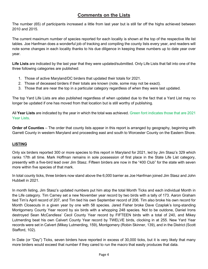#### **Comments on the Lists**

The number (65) of participants increased a little from last year but is still far off the highs achieved between 2010 and 2015.

The current maximum number of species reported for each locality is shown at the top of the respective life list tables. Joe Hanfman does a wonderful job of tracking and compiling the county lists every year, and readers will note some changes in each locality thanks to his due diligence in keeping these numbers up to date year over year.

**Life Lists** are indicated by the last year that they were updated/submitted. Only Life Lists that fall into one of the three following categories are published:

- 1. Those of active Maryland/DC birders that updated their totals for 2021.
- 2. Those of deceased birders if their totals are known (note, some may not be exact).
- 3. Those that are near the top in a particular category regardless of when they were last updated.

The top Yard Life Lists are also published regardless of when updated due to the fact that a Yard List may no longer be updated if one has moved from that location but is still worthy of publishing.

All **Year Lists** are indicated by the year in which the total was achieved. Green font indicates those that are 2021 Year Lists.

**Order of Counties** – The order that county lists appear in this report is arranged by geography, beginning with Garrett County in western Maryland and proceeding east and south to Worcester County on the Eastern Shore.

#### **LISTING**

Only six birders reported 300 or more species to this report in Maryland for 2021, led by Jim Stasz's 329 which ranks 17th all time. Mark Hoffman remains in sole possession of first place in the State Life List category, presently with a five-bird lead over Jim Stasz. Fifteen birders are now in the "400 Club" for the state with seven more within five species of that mark.

In total county ticks, three birders now stand above the 6,000 barrier as Joe Hanfman joined Jim Stasz and John Hubbell in 2021.

In month listing, Jim Stasz's updated numbers put him atop the total Month Ticks and each individual Month in the Life category. Tim Carney set a new November year record by two birds with a tally of 173. Aaron Graham tied Tim's April record of 207, and Tim tied his own September record of 206. Tim also broke his own record for Month Closeouts in a given year by one with 58 species. Jared Fisher broke Dave Czaplak's long-standing Montgomery County Year record by six birds with a whopping 248 species. Not to be outdone, Daniel Irons destroyed Sean McCandless' Cecil County Year record by FIFTEEN birds with a total of 240, and Mikey Lutmerding beat his own Calvert County Year record by TWELVE birds, clocking in at 255. New Yard Year records were set in Calvert (Mikey Lutmerding, 159), Montgomery (Robin Skinner, 139), and in the District (Scott Stafford, 102).

In Date (or "Day") Ticks, seven birders have reported in excess of 30,000 ticks, but it is very likely that many more birders would exceed that number if they cared to run the macro that easily produces that data.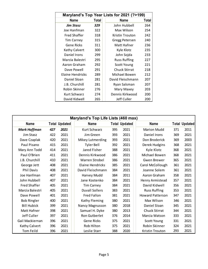| Maryland's Top Year Lists for 2021 (?>199) |              |  |                      |       |  |  |  |  |  |
|--------------------------------------------|--------------|--|----------------------|-------|--|--|--|--|--|
| <b>Name</b>                                | <b>Total</b> |  | <b>Name</b>          | Total |  |  |  |  |  |
| <b>Jim Stasz</b>                           | 329          |  | John Hubbell         | 264   |  |  |  |  |  |
| Joe Hanfman                                | 322          |  | Max Wilson           | 254   |  |  |  |  |  |
| <b>Fred Shaffer</b>                        | 318          |  | Kristin Trouton      | 242   |  |  |  |  |  |
| <b>Tim Carney</b>                          | 315          |  | Gregg Petersen       | 240   |  |  |  |  |  |
| Gene Ricks                                 | 311          |  | Matt Hafner          | 236   |  |  |  |  |  |
| Kathy Calvert                              | 300          |  | Kyle Klotz           | 235   |  |  |  |  |  |
| Daniel Irons                               | 299          |  | John Sojda           | 233   |  |  |  |  |  |
| Marcia Balestri                            | 295          |  | <b>Russ Ruffing</b>  | 227   |  |  |  |  |  |
| Aaron Graham                               | 292          |  | Scott Young          | 221   |  |  |  |  |  |
| Dave Powell                                | 291          |  | <b>Chuck Stirrat</b> | 218   |  |  |  |  |  |
| Elaine Hendricks                           | 289          |  | Michael Bowen        | 212   |  |  |  |  |  |
| Daniel Sloan                               | 281          |  | David Fleischmann    | 207   |  |  |  |  |  |
| J.B. Churchill                             | 281          |  | Ryan Salsman         | 207   |  |  |  |  |  |
| Robin Skinner                              | 276          |  | Mary Maxey           | 203   |  |  |  |  |  |
| Kurt Schwarz                               | 274          |  | Dennis Kirkwood      | 200   |  |  |  |  |  |
| David Kidwell                              | 265          |  | Jeff Culler          | 200   |  |  |  |  |  |

| Maryland's Top Life Lists (460 max) |     |                      |                       |     |                      |                         |     |                      |  |  |
|-------------------------------------|-----|----------------------|-----------------------|-----|----------------------|-------------------------|-----|----------------------|--|--|
| <b>Name</b>                         |     | <b>Total Updated</b> | <b>Name</b>           |     | <b>Total Updated</b> | <b>Name</b>             |     | <b>Total Updated</b> |  |  |
| <b>Mark Hoffman</b>                 | 427 | 2021                 | Kurt Schwarz          | 395 | 2021                 | <b>Marion Mudd</b>      | 371 | 2011                 |  |  |
| Jim Stasz                           | 422 | 2021                 | Jim Green             | 393 | 2021                 | Daniel Irons            | 369 | 2021                 |  |  |
| Dave Czaplak                        | 420 | 2021                 | Mikey Lutmerding      | 393 | 2021                 | Don Broderick           | 369 | 2003                 |  |  |
| Paul Pisano                         | 415 | 2021                 | <b>Tyler Bell</b>     | 392 | 2021                 | Derek Hudgins           | 368 | 2021                 |  |  |
| Mary Ann Todd                       | 414 | 2021                 | Jared Fisher          | 388 | 2021                 | Kyle Klotz              | 368 | 2021                 |  |  |
| Paul O'Brien                        | 411 | 2021                 | Dennis Kirkwood       | 386 | 2021                 | Michael Bowen           | 368 | 2021                 |  |  |
| J.B. Churchill                      | 410 | 2021                 | Warren Strobel        | 386 | 2021                 | Gwen Brewer             | 365 | 2021                 |  |  |
| George Jett                         | 408 | 2021                 | Elaine Hendricks      | 385 | 2021                 | Carol McCollough        | 361 | 2021                 |  |  |
| <b>Phil Davis</b>                   | 408 | 2021                 | David Fleischmann     | 384 | 2021                 | Joanne Solem            | 361 | 2021                 |  |  |
| Joe Hanfman                         | 407 | 2021                 | Harvey Mudd           | 384 | 2011                 | Aaron Graham            | 358 | 2021                 |  |  |
| John Hubbell                        | 407 | 2021                 | Jane Kostenko         | 384 | 2021                 | Henry Armistead         | 357 | 2021                 |  |  |
| <b>Fred Shaffer</b>                 | 405 | 2021                 | <b>Tim Carney</b>     | 384 | 2021                 | David Kidwell           | 356 | 2021                 |  |  |
| Marcia Balestri                     | 405 | 2021                 | <b>Duvall Sollers</b> | 383 | 2021                 | <b>Russ Ruffing</b>     | 353 | 2021                 |  |  |
| Dave Powell                         | 401 | 2021                 | <b>Fred Fallon</b>    | 381 | 2021                 | <b>Howard Patterson</b> | 347 | 2021                 |  |  |
| <b>Bob Ringler</b>                  | 400 | 2021                 | <b>Kathy Fleming</b>  | 380 | 2021                 | Max Wilson              | 346 | 2021                 |  |  |
| <b>Bill Hubick</b>                  | 399 | 2021                 | Nancy Magnusson       | 380 | 2018                 | Daniel Sloan            | 345 | 2021                 |  |  |
| Matt Hafner                         | 398 | 2021                 | Samuel H. Dyke        | 380 | 2013                 | <b>Chuck Stirrat</b>    | 344 | 2021                 |  |  |
| Jeff Culler                         | 397 | 2021                 | Ron Gutberlet         | 376 | 2014                 | Marcia Watson           | 333 | 2021                 |  |  |
| Gail Mackiernan                     | 396 | 2021                 | Gene Ricks            | 375 | 2021                 | Scott Young             | 331 | 2021                 |  |  |
| <b>Kathy Calvert</b>                | 396 | 2021                 | Rob Hilton            | 375 | 2021                 | Robin Skinner           | 324 | 2021                 |  |  |
| <b>Tom Feild</b>                    | 396 | 2021                 | Leslie Starr          | 388 | 2020                 | Kristin Trouton         | 293 | 2021                 |  |  |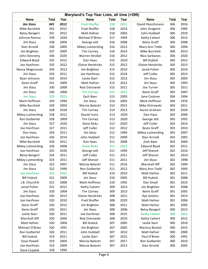| Maryland's Top Year Lists, all time (>299) |              |      |                         |              |      |                         |            |              |  |  |  |
|--------------------------------------------|--------------|------|-------------------------|--------------|------|-------------------------|------------|--------------|--|--|--|
| <b>Name</b>                                | <b>Total</b> | Year | <b>Name</b>             | <b>Total</b> | Year | <b>Name</b>             | Total      | Year         |  |  |  |
| <b>Jim Stasz</b>                           | 345          | 2012 | <b>Fred Shaffer</b>     | 318          | 2021 | David Fleischmann       | 306        | 2016         |  |  |  |
| Mike Burchett                              | 342          | 2012 | <b>Fred Shaffer</b>     | 318          | 2014 | John Gregoire           | 306        | 1985         |  |  |  |
| <b>Betsy Bangert</b>                       | 341          | 2012 | Matt Hafner             | 318          | 2003 | John Hubbell            | 306        | 2010         |  |  |  |
| Johnnie Ramos                              | 339          | 2020 | Michael O'Brien         | 317          | 1994 | Kathy Calvert           | 306        | 2013         |  |  |  |
| Jim Stasz                                  | 338          | 2009 | George Jett             | 316          | 2008 | Kevin Graff             | 306        | 2008         |  |  |  |
| Stan Arnold                                | 338          | 2009 | Mikey Lutmerding        | 316          | 2013 | Mary Ann Todd           | 306        | 1994         |  |  |  |
| Jim Brighton                               | 337          | 2009 | <b>Tim Carney</b>       | 316          | 2014 | Mike Burchett           | 306        | 2013         |  |  |  |
| John Dennehy                               | 336          | 2020 | Warren Strobel          | 316          | 2012 | Nico Sarbanes           | 306        | 2020         |  |  |  |
| <b>Edward Boyd</b>                         | 335          | 2012 | Dan Haas                | 315          | 2010 | <b>Bill Hubick</b>      | 305        | 2012         |  |  |  |
| Joe Hanfman                                | 335          | 2012 | <b>Elaine Hendricks</b> | 315          | 2012 | <b>Elaine Hendricks</b> | 305        | 2013         |  |  |  |
| Nancy Magnusson                            | 334          | 2012 | Jim Brighton            | 315          | 2010 | Jared Fisher            | 305        | 2014         |  |  |  |
| Jim Stasz                                  | 333          | 2011 | Joe Hanfman             | 315          | 2018 | Jeff Culler             | 305        | 2013         |  |  |  |
| Ryan Johnson                               | 332          | 2014 | Leslie Starr            | 315          | 2012 | Jim Stasz               | 305        | 2003         |  |  |  |
| Kevin Graff                                | 331          | 2009 | Matt Hafner             | 315          | 2012 | Jim Stasz               | 305        | 1992         |  |  |  |
| Jim Stasz                                  | 330          | 2008 | Rob Ostrowski           | 315          | 2011 | Joe Turner              | 305        | 2011         |  |  |  |
| Jim Stasz                                  | 330          | 2000 | <b>Tim Carney</b>       | 315          | 2021 | Kevin Graff             | 305        | 2007         |  |  |  |
| <b>Jim Stasz</b>                           | 329          | 2021 | Zach Baer               | 315          | 2003 | Jane Coskren            | 304        | 1994         |  |  |  |
| Mark Hoffman                               | 329          | 1994 | Jim Stasz               | 314          | 2002 | Mark Hoffman            | 304        | 1976         |  |  |  |
| Mike Burchett                              | 329          | 2004 | Marcia Balestri         | 314          | 2015 | Mike Ostrowski          | 304        | 2011         |  |  |  |
| Jim Stasz                                  | 328          | 2018 | <b>Tim Carney</b>       | 314          | 2013 | Aaron Graham            | 303        | 2020         |  |  |  |
| Mikey Lutmerding                           | 328          | 2012 | Daniel Irons            | 313          | 2020 | Dan Haas                | 303        | 2009         |  |  |  |
| Ron Gutberlet                              | 328          | 2009 | <b>Tim Carney</b>       | 313          | 2020 | George Jett             | 303        | 1992         |  |  |  |
| Jim Stasz                                  | 327          | 2020 | <b>Gene Ricks</b>       | 312          | 2020 | Jeff Culler             | 303        | 2014         |  |  |  |
| Joe Hanfman                                | 327          | 2011 | Jeff Culler             | 312          | 2012 | Kevin Graff             | 303        | 2010         |  |  |  |
| Dan Haas                                   | 326          | 2011 | Jim Stasz               | 312          | 1994 | <b>Mikey Lutmerding</b> | 303        | 2007         |  |  |  |
| Joe Hanfman                                | 326          | 2014 | John Hubbell            | 312          | 2009 | Stan Arnold             | 303        | 2001         |  |  |  |
| Mike Burchett                              | 326          | 2011 | Dan Haas                | 311          | 2008 | Zach Baer               | 303        | 2004         |  |  |  |
| Mikey Lutmerding                           | 326          | 2008 | <b>Gene Ricks</b>       | 311          | 2021 | <b>Edward Boyd</b>      | 302        | 2011         |  |  |  |
| Joe Hanfman                                | 325          | 2020 | George Jett             | 311          | 1994 | Jeff Shenot             | 302        | 2016         |  |  |  |
| <b>Betsy Bangert</b>                       | 324          | 2011 | Jeff Culler             | 311          | 2011 | Jeff Shenot             | 302        | 2014         |  |  |  |
| Mikey Lutmerding                           | 323          | 2011 | Jeff Shenot             | 311          | 2011 | Jim Stasz               | 302        | 1998         |  |  |  |
| Jim Stasz                                  | 322          | 2007 | Marcia Balestri         | 311          | 2016 | Marshall Iliff          | 302        | 1999         |  |  |  |
| Jim Stasz                                  | 322          | 1999 | Ron Gutberlet           | 311          | 2012 | Mary Ann Todd           | 302        | 1995         |  |  |  |
| Joe Hanfman                                | 322          | 2021 | <b>Bill Hubick</b>      | 310          | 2010 | Matt Hafner             | 302        | 2011         |  |  |  |
| <b>Bill Hubick</b>                         | 321          | 2009 | Jim Stasz               | 310          | 2005 | <b>Bill Hubick</b>      | 301        | 2008         |  |  |  |
| J.B. Churchill                             | 321          | 2008 | Mark Hoffman            | 310          | 1992 | Dan Small               | 301        | 2010         |  |  |  |
| Jared Fisher                               | 321          | 2012 | Kathy Calvert           | 309          | 2015 | Jim Brighton            | 301        | 2008         |  |  |  |
| Jim Stasz                                  | 320          | 2004 | <b>Tim Carney</b>       | 309          | 2015 | Kevin Graff             | 301        | 2005         |  |  |  |
| Joe Hanfman                                | 320          | 2013 | <b>Elaine Hendricks</b> | 308          | 2011 | Kye Jenkins             | 301        | 2013         |  |  |  |
| Joe Hanfman                                | 320          | 2010 | <b>Fred Shaffer</b>     | 308          | 2020 | Matt Hafner             | 301        | 2006         |  |  |  |
| Kevin Graff                                | 320          | 2012 | Jim Brighton            | 308          | 2011 | Matt Hafner             | 301        | 2005         |  |  |  |
| Kevin Graff                                | 320          | 2011 | Jim Stasz               | 308          | 2006 | <b>Betsy Bangert</b>    | 300        | 2013         |  |  |  |
| Leslie Starr                               |              | 2011 | Joe Hanfman             |              | 2015 | <b>Kathy Calvert</b>    |            |              |  |  |  |
| Marshall Iliff                             | 320<br>320   | 2000 | Rob Ostrowski           | 308<br>308   |      |                         | 300<br>300 | 2021<br>2012 |  |  |  |
|                                            |              |      |                         |              | 2010 | Kathy Calvert           |            |              |  |  |  |
| Matt Hafner                                | 320          | 2004 | <b>Bill Hubick</b>      | 307          | 2005 | Leslie Starr            | 300        | 2010         |  |  |  |
| Michael O'Brien                            | 320          | 1991 | Jim Brighton            | 307          | 2005 | Marissa Rositol         | 300        | 2015         |  |  |  |
| Ron Gutberlet                              | 320          | 2011 | John Hubbell            | 307          | 2012 | Matt Hafner             | 300        | 2000         |  |  |  |
| <b>Bill Hubick</b>                         | 319          | 2011 | Leslie Starr            | 307          | 2015 | Paul O'Brien            | 300        | 1991         |  |  |  |
| Dave Powell                                | 319          | 2004 | Marcia Balestri         | 307          | 2017 | Ron Gutberlet           | 300        | 2010         |  |  |  |
| Joe Hanfman                                | 319          | 2009 | Marcia Balestri         | 307          | 2013 | Stan Arnold             | 300        | 2005         |  |  |  |
| Dave Czaplak                               | 318          | 1994 |                         |              |      |                         |            |              |  |  |  |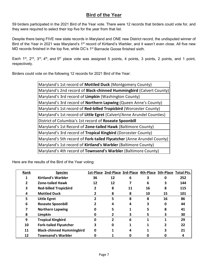#### **Bird of the Year**

59 birders participated in the 2021 Bird of the Year vote. There were 12 records that birders could vote for, and they were required to select their top five for the year from that list.

Despite there being FIVE new state records in Maryland and ONE new District record, the undisputed winner of Bird of the Year in 2021 was Maryland's 1<sup>st</sup> record of Kirtland's Warbler, and it wasn't even close. All five new MD records finished in the top five, while DC's 1<sup>st</sup> Barnacle Goose finished sixth.

Each 1<sup>st</sup>, 2<sup>nd</sup>, 3<sup>rd</sup>, 4<sup>th</sup>, and 5<sup>th</sup> place vote was assigned 5 points, 4 points, 3 points, 2 points, and 1 point, respectively.

Birders could vote on the following 12 records for 2021 Bird of the Year:

| Maryland's 1st record of Mottled Duck (Montgomery County)                    |
|------------------------------------------------------------------------------|
| Maryland's 2nd record of <b>Black-chinned Hummingbird</b> (Calvert County)   |
| Maryland's 3rd record of Limpkin (Washington County)                         |
| Maryland's 3rd record of <b>Northern Lapwing</b> (Queen Anne's County)       |
| Maryland's 1st record of Red-billed Tropicbird (Worcester County)            |
| Maryland's 1st record of Little Egret (Calvert/Anne Arundel Counties)        |
| District of Columbia's 1st record of Roseate Spoonbill                       |
| Maryland's 1st Record of <b>Zone-tailed Hawk</b> (Baltimore County)          |
| Maryland's 3rd record of Tropical Kingbird (Dorcester County)                |
| Maryland's 5th record of <b>Fork-tailed Flycatcher</b> (Anne Arundel County) |
| Maryland's 1st record of Kirtland's Warbler (Baltimore County)               |
| Maryland's 4th record of <b>Townsend's Warbler</b> (Baltimore County)        |

Here are the results of the Bird of the Year voting:

| Rank | <b>Species</b>                   |    | 1st-Place 2nd-Place 3rd-Place 4th-Place 5th-Place Total Pts. |    |    |    |     |
|------|----------------------------------|----|--------------------------------------------------------------|----|----|----|-----|
|      | <b>Kirtland's Warbler</b>        | 36 | 12                                                           | 6  |    | O  | 252 |
| 2    | <b>Zone-tailed Hawk</b>          | 12 | 12                                                           |    | 6  | 3  | 144 |
| 3    | <b>Red-billed Tropicbird</b>     | 2  | 8                                                            | 11 | 16 | 8  | 115 |
| 4    | <b>Mottled Duck</b>              |    | 8                                                            | 8  | 10 | 15 | 101 |
| 5    | <b>Little Egret</b>              |    | 5                                                            | 8  | 8  | 16 | 86  |
| 6    | <b>Roseate Spoonbill</b>         |    |                                                              |    |    | 0  | 44  |
|      | <b>Northern Lapwing</b>          |    |                                                              |    |    | 8  | 41  |
| 8    | Limpkin                          |    |                                                              | 3  | 5. | 3  | 30  |
| 9    | <b>Tropical Kingbird</b>         | O  | $\overline{\phantom{a}}$                                     | 6  | 1  |    | 29  |
| 10   | <b>Fork-tailed Flycatcher</b>    | 3  | 0                                                            |    |    |    | 22  |
| 11   | <b>Black-chinned Hummingbird</b> | 0  |                                                              |    |    | 3  | 21  |
| 12   | <b>Townsend's Warbler</b>        |    |                                                              |    |    |    | 4   |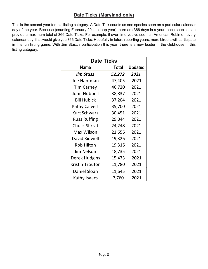#### **Date Ticks (Maryland only)**

This is the second year for this listing category. A Date Tick counts as one species seen on a particular calendar day of the year. Because (counting February 29 in a leap year) there are 366 days in a year, each species can provide a maximum total of 366 Date Ticks. For example, if over time you've seen an American Robin on every calendar day, that would give you 366 Date Ticks. Hopefully in future reporting years, more birders will participate in this fun listing game. With Jim Stasz's participation this year, there is a new leader in the clubhouse in this listing category.

| <b>Date Ticks</b>    |        |                |  |  |  |  |  |  |  |  |
|----------------------|--------|----------------|--|--|--|--|--|--|--|--|
| Name                 | Total  | <b>Updated</b> |  |  |  |  |  |  |  |  |
| Jim Stasz            | 52,272 | 2021           |  |  |  |  |  |  |  |  |
| Joe Hanfman          | 47,405 | 2021           |  |  |  |  |  |  |  |  |
| <b>Tim Carney</b>    | 46,720 | 2021           |  |  |  |  |  |  |  |  |
| John Hubbell         | 38,837 | 2021           |  |  |  |  |  |  |  |  |
| <b>Bill Hubick</b>   | 37,204 | 2021           |  |  |  |  |  |  |  |  |
| <b>Kathy Calvert</b> | 35,700 | 2021           |  |  |  |  |  |  |  |  |
| <b>Kurt Schwarz</b>  | 30,451 | 2021           |  |  |  |  |  |  |  |  |
| <b>Russ Ruffing</b>  | 29,044 | 2021           |  |  |  |  |  |  |  |  |
| <b>Chuck Stirrat</b> | 24,248 | 2021           |  |  |  |  |  |  |  |  |
| Max Wilson           | 21,656 | 2021           |  |  |  |  |  |  |  |  |
| David Kidwell        | 19,326 | 2021           |  |  |  |  |  |  |  |  |
| <b>Rob Hilton</b>    | 19,316 | 2021           |  |  |  |  |  |  |  |  |
| Jim Nelson           | 18,735 | 2021           |  |  |  |  |  |  |  |  |
| Derek Hudgins        | 15,473 | 2021           |  |  |  |  |  |  |  |  |
| Kristin Trouton      | 11,780 | 2021           |  |  |  |  |  |  |  |  |
| Daniel Sloan         | 11,645 | 2021           |  |  |  |  |  |  |  |  |
| Kathy Isaacs         | 7,760  | 2021           |  |  |  |  |  |  |  |  |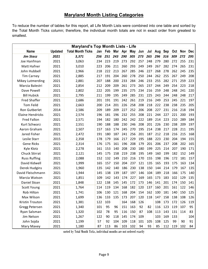#### **Maryland Month Listing Categories**

To reduce the number of tables for this report, all Life Month Lists were combined into one table and sorted by the Total Month Ticks column; therefore, the individual month totals are not in exact order from greatest to smallest.

| <b>Maryland's Top Month Lists - Life</b> |                |                          |     |     |     |     |           |     |     |     |     |     |     |            |
|------------------------------------------|----------------|--------------------------|-----|-----|-----|-----|-----------|-----|-----|-----|-----|-----|-----|------------|
| <b>Name</b>                              | <b>Updated</b> | <b>Total Month Ticks</b> | Jan | Feb | Mar | Apr | May       | Jun | Jul | Aug | Sep | Oct | Nov | <b>Dec</b> |
| <b>Jim Stasz</b>                         | 2021           | 3,371                    | 256 | 251 | 243 | 290 | 305       | 273 | 265 | 296 | 316 | 309 | 272 | 295        |
| Joe Hanfman                              | 2021           | 3,063                    | 234 | 223 | 219 | 273 | 292       | 257 | 248 | 279 | 280 | 272 | 255 | 231        |
| Matt Hafner                              | 2021           | 3,010                    | 223 | 206 | 211 | 260 | 293       | 249 | 249 | 267 | 282 | 274 | 265 | 231        |
| John Hubbell                             | 2021           | 2,966                    | 218 | 222 | 213 | 267 | 285       | 246 | 227 | 268 | 278 | 262 | 245 | 235        |
| <b>Tim Carney</b>                        | 2021           | 2,885                    | 217 | 191 | 204 | 260 | 278       | 250 | 244 | 262 | 255 | 267 | 249 | 208        |
| Mikey Lutmerding                         | 2021           | 2,881                    | 207 | 188 | 200 | 233 | 284       | 246 | 233 | 255 | 282 | 271 | 259 | 223        |
| Marcia Balestri                          | 2021           | 2,854                    | 212 | 209 | 209 | 261 | 273       | 265 | 237 | 244 | 249 | 254 | 223 | 218        |
| Dave Powell                              | 2021           | 2,802                    | 222 | 205 | 199 | 235 | 275       | 234 | 216 | 259 | 248 | 248 | 241 | 220        |
| <b>Bill Hubick</b>                       | 2021           | 2,795                    | 211 | 199 | 195 | 249 | 285       | 231 | 225 | 243 | 244 | 248 | 248 | 217        |
| <b>Fred Shaffer</b>                      | 2021           | 2,686                    | 201 | 191 | 191 | 242 | 261       | 219 | 216 | 249 | 253 | 245 | 221 | 197        |
| <b>Tom Feild</b>                         | 2021           | 2,663                    | 200 | 214 | 201 | 226 | 258       | 208 | 218 | 222 | 238 | 238 | 235 | 205        |
| Ron Gutberlet                            | 2014           | 2,586                    | 209 | 189 | 209 | 227 | 252       | 206 | 208 | 227 | 231 | 216 | 218 | 194        |
| <b>Elaine Hendricks</b>                  | 2021           | 2,574                    | 196 | 181 | 196 | 232 | 255       | 208 | 221 | 244 | 227 | 221 | 200 | 193        |
| <b>Fred Fallon</b>                       | 2021           | 2,571                    | 194 | 182 | 180 | 242 | 242       | 222 | 189 | 214 | 223 | 210 | 289 | 184        |
| <b>Kurt Schwarz</b>                      | 2021           | 2,551                    | 190 | 188 | 188 | 230 | 246       | 208 | 201 | 226 | 230 | 238 | 209 | 197        |
| Aaron Graham                             | 2021           | 2,507                    | 157 | 163 | 174 | 245 | 270       | 195 | 214 | 238 | 217 | 228 | 211 | 195        |
| Jared Fisher                             | 2021           | 2,472                    | 191 | 180 | 187 | 241 | 256       | 201 | 187 | 212 | 218 | 216 | 215 | 168        |
| Leslie Starr                             | 2015           | 2,358                    | 178 | 179 | 166 | 217 | 229       | 195 | 188 | 223 | 230 | 204 | 194 | 155        |
| <b>Gene Ricks</b>                        | 2021           | 2,314                    | 176 | 175 | 161 | 196 | 208       | 179 | 201 | 206 | 237 | 208 | 202 | 165        |
| Kyle Klotz                               | 2021           | 2,278                    | 161 | 153 | 140 | 208 | 230       | 180 | 199 | 225 | 214 | 207 | 190 | 171        |
| <b>Chuck Stirrat</b>                     | 2021           | 2,121                    | 145 | 175 | 158 | 219 | 238       | 195 | 149 | 160 | 199 | 182 | 152 | 149        |
| <b>Russ Ruffing</b>                      | 2021           | 2,088                    | 152 | 132 | 149 | 210 | 216       | 170 | 155 | 198 | 196 | 172 | 181 | 157        |
| David Kidwell                            | 2021           | 1,999                    | 165 | 157 | 150 | 204 | 237       | 121 | 135 | 165 | 193 | 175 | 163 | 134        |
| Derek Hudgins                            | 2021           | 1,960                    | 135 | 142 | 140 | 186 | 230       | 138 | 150 | 144 | 214 | 179 | 167 | 135        |
| David Fleischmann                        | 2021           | 1,944                    | 145 | 138 | 139 | 187 | 197       | 146 | 104 | 189 | 218 | 166 | 175 | 140        |
| Marcia Watson                            | 2021           | 1,851                    | 109 | 142 | 143 | 174 | 227       | 169 | 165 | 173 | 183 | 102 | 129 | 135        |
| Daniel Sloan                             | 2021           | 1,848                    | 122 | 138 | 145 | 145 | 172       | 173 | 146 | 141 | 201 | 174 | 150 | 141        |
| Scott Young                              | 2021           | 1,764                    | 114 | 119 | 134 | 168 | 182       | 120 | 137 | 160 | 201 | 161 | 122 | 146        |
| <b>Rob Hilton</b>                        | 2021           | 1,741                    | 106 | 130 | 121 | 168 | 204       | 154 | 162 | 100 | 181 | 140 | 150 | 125        |
| Max Wilson                               | 2021           | 1,699                    | 136 | 133 | 135 | 173 | 207       | 120 | 118 | 147 | 158 | 138 | 108 | 126        |
| Kristin Trouton                          | 2021           | 1,381                    | 122 | 103 |     | 164 | 168       | 126 |     | 108 | 173 | 172 | 126 | 119        |
| Gregg Petersen                           | 2021           | 1,340                    | 101 | 95  | 96  | 151 | 163       | 92  | 82  | 116 | 123 | 119 | 107 | 95         |
| Ryan Salsman                             | 2021           | 1,320                    | 102 | 78  | 95  | 116 | 150       | 87  | 108 | 113 | 143 | 131 | 114 | 83         |
| Jim Nelson                               | 2021           | 1,267                    | 122 | 90  | 118 | 145 | 174       | 109 |     | 103 | 169 | 133 |     | 104        |
| John Sojda                               | 2021           | 1,199                    | 57  | 92  | 104 | 109 | 118       | 101 | 105 | 108 | 125 | 99  | 90  | 91         |
| Mary Maxey                               | 2021           | 1,180                    | 87  | 113 | 86  |     | 103   102 | 94  | 93  | 85  | 112 | 119 | 102 | 84         |

sorted by Total Month Ticks, individual months are not ordered exactly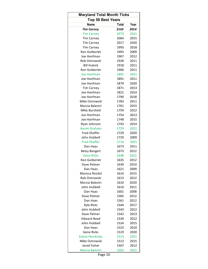| <b>Maryland Total Month Ticks</b> |              |      |  |  |  |  |  |  |  |  |
|-----------------------------------|--------------|------|--|--|--|--|--|--|--|--|
| <b>Top 50 Best Years</b>          |              |      |  |  |  |  |  |  |  |  |
| Name                              | <b>Total</b> | Year |  |  |  |  |  |  |  |  |
| <b>Tim Carney</b>                 | 2143         | 2014 |  |  |  |  |  |  |  |  |
| <b>Tim Carney</b>                 | 2073         | 2021 |  |  |  |  |  |  |  |  |
| <b>Tim Carney</b>                 | 2064         | 2015 |  |  |  |  |  |  |  |  |
| <b>Tim Carney</b>                 | 2017         | 2020 |  |  |  |  |  |  |  |  |
| <b>Tim Carney</b>                 | 1993         | 2018 |  |  |  |  |  |  |  |  |
| <b>Ron Gutberlet</b>              | 1993         | 2009 |  |  |  |  |  |  |  |  |
| Joe Hanfman                       | 1967         | 2012 |  |  |  |  |  |  |  |  |
| Rob Ostrowski                     | 1928         | 2011 |  |  |  |  |  |  |  |  |
| <b>Bill Hubick</b>                | 1918         | 2011 |  |  |  |  |  |  |  |  |
| <b>Ron Gutberlet</b>              | 1906         | 2011 |  |  |  |  |  |  |  |  |
| Joe Hanfman                       | 1892         | 2021 |  |  |  |  |  |  |  |  |
| Joe Hanfman                       | 1891         | 2011 |  |  |  |  |  |  |  |  |
| Joe Hanfman                       | 1879         | 2020 |  |  |  |  |  |  |  |  |
| <b>Tim Carney</b>                 | 1871         | 2013 |  |  |  |  |  |  |  |  |
| Joe Hanfman                       | 1821         | 2014 |  |  |  |  |  |  |  |  |
| Joe Hanfman                       | 1790         | 2018 |  |  |  |  |  |  |  |  |
| Mike Ostrowski                    | 1783         | 2011 |  |  |  |  |  |  |  |  |
| Marcia Balestri                   | 1761         | 2015 |  |  |  |  |  |  |  |  |
| Mike Burchett                     | 1759         | 2012 |  |  |  |  |  |  |  |  |
| Joe Hanfman                       | 1754         | 2013 |  |  |  |  |  |  |  |  |
| Joe Hanfman                       | 1748         | 2015 |  |  |  |  |  |  |  |  |
| Ryan Johnson                      | 1743         | 2014 |  |  |  |  |  |  |  |  |
| Aaron Graham                      | 1729         | 2021 |  |  |  |  |  |  |  |  |
| <b>Fred Shaffer</b>               | 1729         | 2020 |  |  |  |  |  |  |  |  |
| John Hubbell                      | 1729         | 2009 |  |  |  |  |  |  |  |  |
| <b>Fred Shaffer</b>               | 1716         | 2021 |  |  |  |  |  |  |  |  |
| Dan Haas                          | 1673         | 2011 |  |  |  |  |  |  |  |  |
| <b>Betsy Bangert</b>              | 1673         | 2012 |  |  |  |  |  |  |  |  |
| <b>Gene Ricks</b>                 | 1648         | 2021 |  |  |  |  |  |  |  |  |
| Ron Gutberlet                     | 1635         | 2012 |  |  |  |  |  |  |  |  |
| Dave Palmer                       | 1630         | 2014 |  |  |  |  |  |  |  |  |
| Dan Haas                          | 1621         | 2009 |  |  |  |  |  |  |  |  |
| Marissa Rositol                   | 1614         | 2015 |  |  |  |  |  |  |  |  |
| Rob Ostrowski                     | 1613         | 2012 |  |  |  |  |  |  |  |  |
| Marcia Balestri                   | 1610         | 2020 |  |  |  |  |  |  |  |  |
| John Hubbell                      | 1610         | 2011 |  |  |  |  |  |  |  |  |
| Dan Haas                          | 1601         | 2008 |  |  |  |  |  |  |  |  |
| Dave Palmer                       | 1585         | 2012 |  |  |  |  |  |  |  |  |
| Dan Haas                          | 1561         | 2012 |  |  |  |  |  |  |  |  |
| Kyle Klotz                        | 1544         | 2017 |  |  |  |  |  |  |  |  |
| John Hubbell                      | 1543         | 2012 |  |  |  |  |  |  |  |  |
| Dave Palmer                       | 1542         | 2013 |  |  |  |  |  |  |  |  |
| <b>Edward Boyd</b>                | 1530         | 2012 |  |  |  |  |  |  |  |  |
| John Hubbell                      | 1524         | 2015 |  |  |  |  |  |  |  |  |
| Dan Haas                          | 1523         | 2010 |  |  |  |  |  |  |  |  |
| Gene Ricks                        | 1519         | 2020 |  |  |  |  |  |  |  |  |
| <b>Elaine Hendricks</b>           | 1513         | 2021 |  |  |  |  |  |  |  |  |
| Mike Ostrowski                    | 1513         | 2015 |  |  |  |  |  |  |  |  |
| Jared Fisher                      | 1507         | 2012 |  |  |  |  |  |  |  |  |
| Marcia Balestri                   | 1503         | 2021 |  |  |  |  |  |  |  |  |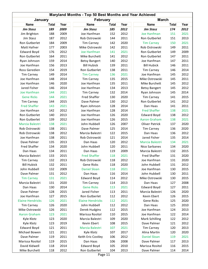| Maryland Months - Top 50 Best Months and Year Achieved |              |      |                         |              |      |                      |              |      |  |  |
|--------------------------------------------------------|--------------|------|-------------------------|--------------|------|----------------------|--------------|------|--|--|
| January<br><b>February</b><br><b>March</b>             |              |      |                         |              |      |                      |              |      |  |  |
| Name                                                   | <b>Total</b> | Year | <b>Name</b>             | <b>Total</b> | Year | <b>Name</b>          | <b>Total</b> | Year |  |  |
| <b>Jim Stasz</b>                                       | 189          | 2009 | <b>Jim Stasz</b>        | 185          | 2012 | <b>Jim Stasz</b>     | 174          | 2012 |  |  |
| Jim Brighton                                           | 188          | 2009 | Joe Hanfman             | 152          | 2012 | Joe Hanfman          | 151          | 2021 |  |  |
| Jim Stasz                                              | 187          | 2012 | Rob Ostrowski           | 144          | 2011 | Ron Gutberlet        | 151          | 2013 |  |  |
| Ron Gutberlet                                          | 184          | 2009 | <b>Tim Carney</b>       | 142          | 2020 | <b>Tim Carney</b>    | 150          | 2021 |  |  |
| Matt Hafner                                            | 177          | 2003 | Mike Ostrowski          | 142          | 2011 | Rob Ostrowski        | 149          | 2011 |  |  |
| <b>Edward Boyd</b>                                     | 176          | 2012 | Joe Hanfman             | 141          | 2021 | Ron Gutberlet        | 149          | 2009 |  |  |
| Ron Gutberlet                                          | 164          | 2011 | Mike Burchett           | 141          | 2012 | Ron Gutberlet        | 147          | 2011 |  |  |
| Ryan Johnson                                           | 159          | 2014 | <b>Betsy Bangert</b>    | 140          | 2012 | Joe Hanfman          | 147          | 2011 |  |  |
| Joe Hanfman                                            | 156          | 2013 | <b>Bill Hubick</b>      | 139          | 2011 | <b>Bill Hubick</b>   | 146          | 2011 |  |  |
| Ross Geredien                                          | 154          | 2019 | Ron Gutberlet           | 138          | 2011 | <b>Tim Carney</b>    | 146          | 2014 |  |  |
| <b>Tim Carney</b>                                      | 149          | 2014 | <b>Tim Carney</b>       | 136          | 2021 | Joe Hanfman          | 145          | 2012 |  |  |
| Joe Hanfman                                            | 148          | 2014 | <b>Tim Carney</b>       | 135          | 2015 | Mike Ostrowski       | 145          | 2011 |  |  |
| Joe Hanfman                                            | 146          | 2020 | Joe Hanfman             | 135          | 2011 | Mike Burchett        | 145          | 2012 |  |  |
| Jared Fisher                                           | 146          | 2014 | Joe Hanfman             | 134          | 2013 | <b>Betsy Bangert</b> | 145          | 2012 |  |  |
| Joe Hanfman                                            | 144          | 2021 | <b>Tim Carney</b>       | 132          | 2014 | Ryan Johnson         | 145          | 2014 |  |  |
| <b>Gene Ricks</b>                                      | 144          | 2021 | <b>Fred Shaffer</b>     | 130          | 2020 | <b>Tim Carney</b>    | 141          | 2015 |  |  |
|                                                        | 144          | 2015 | Dave Palmer             | 130          | 2012 | Ron Gutberlet        |              | 2012 |  |  |
| <b>Tim Carney</b>                                      |              |      |                         |              |      |                      | 141          | 2011 |  |  |
| <b>Fred Shaffer</b><br>Joe Hanfman                     | 143          | 2021 | Ryan Johnson            | 128          | 2014 | Dan Haas             | 141          |      |  |  |
|                                                        | 142          | 2012 | Joe Hanfman             | 128          | 2014 | <b>Fred Shaffer</b>  | 138          | 2021 |  |  |
| Ron Gutberlet                                          | 140          | 2013 | Joe Hanfman             | 126          | 2020 | <b>Edward Boyd</b>   | 138          | 2012 |  |  |
| Ron Gutberlet                                          | 139          | 2012 | Joe Hanfman             | 126          | 2015 | <b>Aaron Graham</b>  | 138          | 2021 |  |  |
| Marcia Balestri                                        | 138          | 2021 | John Hubbell            | 126          | 2007 | Oliver Patrick       | 137          | 2020 |  |  |
| Rob Ostrowski                                          | 138          | 2011 | Dave Palmer             | 125          | 2014 | <b>Tim Carney</b>    | 136          | 2020 |  |  |
| Rob Ostrowski                                          | 138          | 2012 | Marcia Balestri         | 122          | 2015 | Dan Haas             | 136          | 2012 |  |  |
| Joe Hanfman                                            | 138          | 2011 | Rob Ostrowski           | 121          | 2014 | Jared Fisher         | 135          | 2014 |  |  |
| Dave Palmer                                            | 135          | 2013 | Dan Haas                | 120          | 2012 | Marcia Balestri      | 134          | 2021 |  |  |
| <b>Fred Shaffer</b>                                    | 134          | 2020 | John Hubbell            | 120          | 2011 | Nico Sarbanes        | 134          | 2020 |  |  |
| Dan Haas                                               | 134          | 2011 | Dan Haas                | 119          | 2009 | Marcia Balestri      | 132          | 2015 |  |  |
| Marcia Balestri                                        | 133          | 2015 | <b>Fred Shaffer</b>     | 118          | 2021 | <b>Fred Shaffer</b>  | 131          | 2020 |  |  |
| <b>Tim Carney</b>                                      | 132          | 2013 | Rob Ostrowski           | 118          | 2012 | Joe Hanfman          | 131          | 2020 |  |  |
| <b>Bill Hubick</b>                                     | 132          | 2011 | Gene Ricks              | 118          | 2020 | John Hubbell         | 131          | 2012 |  |  |
| John Hubbell                                           | 132          | 2009 | <b>Daniel Sloan</b>     | 118          | 2021 | Joe Hanfman          | 130          | 2015 |  |  |
| Dave Palmer                                            | 131          | 2012 | Dan Haas                | 116          | 2014 | John Hubbell         | 130          | 2011 |  |  |
| <b>Tim Carney</b>                                      | 131          | 2021 | <b>Edward Boyd</b>      | 114          | 2012 | Mike Ostrowski       | 130          | 2015 |  |  |
| Marcia Balestri                                        | 131          | 2020 | <b>Tim Carney</b>       | 114          | 2013 | Dan Haas             | 127          | 2008 |  |  |
| Dan Haas                                               | 130          | 2014 | <b>Gene Ricks</b>       | 113          | 2021 | <b>Edward Boyd</b>   | 127          | 2011 |  |  |
| Dave Palmer                                            | 128          | 2015 | Jared Fisher            | 113          | 2011 | Marcia Balestri      | 126          | 2020 |  |  |
| Joe Hanfman                                            | 127          | 2015 | Ron Gutberlet           | 112          | 2012 | Kevin Ebert          | 126          | 2015 |  |  |
| <b>Elaine Hendricks</b>                                | 126          | 2021 | <b>Elaine Hendricks</b> | 112          | 2021 | <b>Gene Ricks</b>    | 125          | 2020 |  |  |
| <b>Tim Carney</b>                                      | 126          | 2020 | John Hubbell            | 112          | 2012 | Dan Haas             | 125          | 2010 |  |  |
| Mike Ostrowski                                         | 126          | 2011 | Derek Hudgins           | 112          | 2015 | Joe Hanfman          | 124          | 2013 |  |  |
| <b>Aaron Graham</b>                                    | 123          | 2021 | Marissa Rositol         | 110          | 2015 | Joe Hanfman          | 122          | 2014 |  |  |
| Kyle Klotz                                             | 123          | 2020 | Marcia Balestri         | 109          | 2020 | Mark Schilling       | 122          | 2012 |  |  |
| Kyle Klotz                                             | 123          | 2019 | Kevin Ebert             | 108          | 2015 | Dave Palmer          | 121          | 2012 |  |  |
| <b>Edward Boyd</b>                                     | 121          | 2011 | Marcia Balestri         | 107          | 2021 | <b>Tim Carney</b>    | 120          | 2013 |  |  |
| Michael Bowen                                          | 121          | 2011 | Kyle Klotz              | 107          | 2017 | Alina Martin         | 120          | 2020 |  |  |
| Dave Palmer                                            | 119          | 2011 | Keith Eric Costley      | 106          | 2012 | <b>Daniel Sloan</b>  | 119          | 2021 |  |  |
| Marissa Rositol                                        | 119          | 2015 | Dan Haas                | 106          | 2008 | Dave Palmer          | 117          | 2013 |  |  |
| David Kidwell                                          | 118          | 2014 | <b>Edward Boyd</b>      | 105          | 2010 | Marissa Rositol      | 116          | 2015 |  |  |
| Mike Burchett                                          | 118          | 2012 | Ron Gutberlet           | 104          | 2013 | Dave Palmer          | 114          | 2014 |  |  |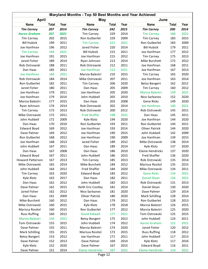| Maryland Months - Top 50 Best Months and Year Achieved |              |      |                         |              |      |                         |              |      |  |  |
|--------------------------------------------------------|--------------|------|-------------------------|--------------|------|-------------------------|--------------|------|--|--|
| <b>April</b><br>June<br>May                            |              |      |                         |              |      |                         |              |      |  |  |
| <b>Name</b>                                            | <b>Total</b> | Year | <b>Name</b>             | <b>Total</b> | Year | <b>Name</b>             | <b>Total</b> | Year |  |  |
| <b>Tim Carney</b>                                      | 207          | 2014 | <b>Tim Carney</b>       | 242          | 2015 | <b>Tim Carney</b>       | 200          | 2014 |  |  |
| <b>Aaron Graham</b>                                    | 207          | 2021 | <b>Tim Carney</b>       | 229          | 2014 | <b>Tim Carney</b>       | 184          | 2021 |  |  |
| <b>Tim Carney</b>                                      | 202          | 2015 | Ron Gutberlet           | 229          | 2009 | <b>Tim Carney</b>       | 183          | 2015 |  |  |
| <b>Bill Hubick</b>                                     | 199          | 2011 | <b>Tim Carney</b>       | 221          | 2021 | Ron Gutberlet           | 183          | 2009 |  |  |
| Joe Hanfman                                            | 196          | 2012 | Jared Fisher            | 220          | 2014 | <b>Bill Hubick</b>      | 179          | 2011 |  |  |
| <b>Tim Carney</b>                                      | 194          | 2021 | <b>Bill Hubick</b>      | 215          | 2011 | Joe Hanfman             | 177          | 2012 |  |  |
| Joe Hanfman                                            | 191          | 2015 | Joe Hanfman             | 215          | 2012 | <b>Tim Carney</b>       | 175          | 2013 |  |  |
| Jared Fisher                                           | 189          | 2014 | Ryan Johnson            | 213          | 2014 | Mike Burchett           | 172          | 2012 |  |  |
| Rob Ostrowski                                          | 188          | 2011 | Rob Ostrowski           | 212          | 2011 | Joe Hanfman             | 168          | 2011 |  |  |
| Dan Haas                                               | 185          | 2011 | Joe Hanfman             | 212          | 2021 | Joe Hanfman             | 167          | 2013 |  |  |
| Joe Hanfman                                            | 184          | 2021 | Marcia Balestri         | 210          | 2015 | <b>Tim Carney</b>       | 165          | 2020 |  |  |
| Rob Ostrowski                                          | 184          | 2014 | Mike Ostrowski          | 207          | 2011 | Joe Hanfman             | 163          | 2014 |  |  |
| Ron Gutberlet                                          | 182          | 2011 | <b>Tim Carney</b>       | 206          | 2020 | <b>Betsy Bangert</b>    | 162          | 2012 |  |  |
| Jared Fisher                                           | 180          | 2011 | Dan Haas                | 205          | 2009 | <b>Tim Carney</b>       | 160          | 2012 |  |  |
| Joe Hanfman                                            | 179          | 2011 | Joe Hanfman             | 205          | 2020 | Marcia Balestri         | 159          | 2021 |  |  |
| Joe Hanfman                                            | 179          | 2014 | John Hubbell            | 205          | 2010 | Nico Sarbanes           | 152          | 2020 |  |  |
| Marcia Balestri                                        | 177          | 2015 | Dan Haas                | 203          | 2008 | <b>Gene Ricks</b>       | 149          | 2020 |  |  |
| Ryan Johnson                                           | 174          | 2014 | Rob Ostrowski           | 202          | 2014 | Joe Hanfman             | 146          | 2021 |  |  |
| <b>Tim Carney</b>                                      | 173          | 2013 | Rob Ostrowski           | 200          | 2012 | Rob Ostrowski           | 145          | 2011 |  |  |
|                                                        |              | 2011 | <b>Fred Shaffer</b>     |              | 2021 |                         |              | 2011 |  |  |
| Mike Ostrowski                                         | 172          | 2009 |                         | 198          | 2020 | Dan Haas                | 145          |      |  |  |
| John Hubbell                                           | 172          |      | Kyle Klotz              | 194          |      | Joe Hanfman             | 144          | 2020 |  |  |
| Dan Haas                                               | 170          | 2010 | Ron Gutberlet           | 193          | 2011 | Ron Gutberlet           | 144          | 2011 |  |  |
| <b>Edward Boyd</b>                                     | 169          | 2012 | Joe Hanfman             | 193          | 2014 | Oliver Patrick          | 144          | 2020 |  |  |
| Dave Palmer                                            | 169          | 2012 | Joe Hanfman             | 190          | 2015 | John Hubbell            | 142          | 2009 |  |  |
| Ron Gutberlet                                          | 168          | 2012 | Joe Hanfman             | 190          | 2009 | Joe Hanfman             | 139          | 2015 |  |  |
| Joe Hanfman                                            | 168          | 2013 | Jared Fisher            | 189          | 2012 | Mike Ostrowski          | 138          | 2014 |  |  |
| John Hubbell                                           | 167          | 2011 | Dan Haas                | 189          | 2014 | Kyle Klotz              | 137          | 2020 |  |  |
| Dan Haas                                               | 167          | 2008 | Dan Haas                | 186          | 2010 | <b>Elaine Hendricks</b> | 137          | 2020 |  |  |
| <b>Edward Boyd</b>                                     | 167          | 2011 | John Hubbell            | 186          | 2015 | <b>Fred Shaffer</b>     | 136          | 2020 |  |  |
| <b>Howard Patterson</b>                                | 167          | 2013 | <b>Tim Carney</b>       | 185          | 2013 | Rob Ostrowski           | 135          | 2014 |  |  |
| Mike Ostrowski                                         | 165          | 2014 | Mike Burchett           | 184          | 2012 | Marissa Rositol         | 135          | 2015 |  |  |
| John Hubbell                                           | 164          | 2012 | Fred Shaffer            | 184          | 2020 | Mike Ostrowski          | 134          | 2011 |  |  |
| <b>Tim Carney</b>                                      | 163          | 2020 | <b>Edward Boyd</b>      | 183          | 2012 | <b>Gene Ricks</b>       | 134          | 2021 |  |  |
| Kyle Klotz                                             | 163          | 2017 | Dan Haas                | 182          | 2011 | <b>Daniel Sloan</b>     | 134          | 2021 |  |  |
| Dan Haas                                               | 162          | 2012 | John Hubbell            | 182          | 2013 | Rob Ostrowski           | 131          | 2013 |  |  |
| Dave Palmer                                            | 162          | 2015 | Keith Eric Costley      | 181          | 2014 | Daniel Sloan            | 130          | 2020 |  |  |
| Jared Fisher                                           | 162          | 2012 | Nico Sarbanes           | 181          | 2020 | Dave Palmer             | 129          | 2014 |  |  |
| Dan Haas                                               | 161          | 2009 | Oliver Patrick          | 180          | 2020 | <b>Mark Schilling</b>   | 128          | 2014 |  |  |
| Mike Burchett                                          | 160          | 2012 | Dan Haas                | 179          | 2012 | Ron Gutberlet           | 128          | 2013 |  |  |
| Mike Ostrowski                                         | 160          | 2015 | Kyle Klotz              | 178          | 2018 | Marcia Balestri         | 126          | 2015 |  |  |
| Marissa Rositol                                        | 160          | 2015 | Ron Gutberlet           | 177          | 2012 | Marcia Balestri         | 125          | 2020 |  |  |
| <b>Russ Ruffing</b>                                    | 160          | 2012 | David Kidwell           | 177          | 2021 | Tom Ostrowski           | 125          | 2015 |  |  |
| Marcia Balestri                                        | 156          | 2021 | <b>Betsy Bangert</b>    | 175          | 2012 | John Hubbell            | 124          | 2011 |  |  |
| Tom Ostrowski                                          | 155          | 2015 | John Hubbell            | 174          | 2012 | <b>Aaron Graham</b>     | 122          | 2021 |  |  |
| Dave Palmer                                            | 155          | 2011 | Marcia Balestri         | 174          | 2020 | Jared Fisher            | 120          | 2012 |  |  |
| <b>Mark Schilling</b>                                  | 155          | 2015 | Marissa Rositol         | 173          | 2015 | <b>Russ Ruffing</b>     | 118          | 2012 |  |  |
| <b>Betsy Bangert</b>                                   | 153          | 2012 | Joe Hanfman             | 171          | 2011 | John Hubbell            | 117          | 2013 |  |  |
| Dave Palmer                                            | 152          | 2013 | Dave Palmer             | 169          | 2014 | Kyle Klotz              | 117          | 2016 |  |  |
| Kyle Klotz                                             | 152          | 2020 | Dave Palmer             | 167          | 2015 | <b>Edward Boyd</b>      | 116          | 2011 |  |  |
| Dave Palmer                                            | 151          | 2014 | <b>Elaine Hendricks</b> | 167          | 2021 | <b>Elaine Hendricks</b> | 114          | 2021 |  |  |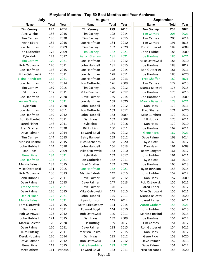|                                         | Maryland Months - Top 50 Best Months and Year Achieved |              |                             |            |              |                                  |              |      |  |  |  |  |
|-----------------------------------------|--------------------------------------------------------|--------------|-----------------------------|------------|--------------|----------------------------------|--------------|------|--|--|--|--|
| July                                    |                                                        |              | <b>August</b>               |            |              | <b>September</b>                 |              |      |  |  |  |  |
| <b>Name</b>                             | <b>Total</b>                                           | Year         | <b>Name</b>                 | Total      | Year         | <b>Name</b>                      | <b>Total</b> | Year |  |  |  |  |
| <b>Tim Carney</b>                       | 191                                                    | 2014         | <b>Tim Carney</b>           | 199        | 2013         | <b>Tim Carney</b>                | 206          | 2020 |  |  |  |  |
| Alex Wiebe                              | 186                                                    | 2015         | <b>Tim Carney</b>           | 198        | 2014         | <b>Tim Carney</b>                | 206          | 2021 |  |  |  |  |
| <b>Tim Carney</b>                       | 186                                                    | 2020         | <b>Tim Carney</b>           | 196        | 2015         | <b>Tim Carney</b>                | 200          | 2014 |  |  |  |  |
| Kevin Ebert                             | 182                                                    | 2015         | Joe Hanfman                 | 184        | 2010         | <b>Tim Carney</b>                | 191          | 2015 |  |  |  |  |
| Joe Hanfman                             | 180                                                    | 2009         | <b>Tim Carney</b>           | 182        | 2020         | Ron Gutberlet                    | 189          | 2009 |  |  |  |  |
| Ron Gutberlet                           | 175                                                    | 2009         | <b>Tim Carney</b>           | 182        | 2021         | John Hubbell                     | 188          | 2009 |  |  |  |  |
| Kyle Klotz                              | 173                                                    | 2017         | <b>Aaron Graham</b>         | 181        | 2021         | Joe Hanfman                      | 186          | 2021 |  |  |  |  |
| <b>Tim Carney</b>                       | 170                                                    | 2021         | Joe Hanfman                 | 181        | 2012         | Mike Ostrowski                   | 184          | 2010 |  |  |  |  |
| Rob Ostrowski                           | 170                                                    | 2011         | John Hubbell                | 181        | 2015         | Joe Hanfman                      | 183          | 2012 |  |  |  |  |
| Joe Hanfman                             | 166                                                    | 2015         | Joe Hanfman                 | 178        | 2014         | Ron Gutberlet                    | 181          | 2011 |  |  |  |  |
| Mike Ostrowski                          | 165                                                    | 2011         | Joe Hanfman                 | 178        | 2011         | Joe Hanfman                      | 180          | 2020 |  |  |  |  |
| <b>Elaine Hendricks</b>                 | 162                                                    | 2021         | Joe Hanfman                 | 178        | 2013         | <b>Fred Shaffer</b>              | 180          | 2021 |  |  |  |  |
| Joe Hanfman                             | 160                                                    | 2014         | Ron Gutberlet               | 176        | 2009         | <b>Tim Carney</b>                | 177          | 2013 |  |  |  |  |
| <b>Tim Carney</b>                       | 159                                                    | 2015         | <b>Tim Carney</b>           | 170        | 2012         | Marcia Balestri                  | 175          | 2015 |  |  |  |  |
| <b>Bill Hubick</b>                      | 157                                                    | 2011         | Mike Burchett               | 170        | 2012         | Joe Hanfman                      | 175          | 2015 |  |  |  |  |
| Joe Hanfman                             | 157                                                    | 2020         | Dave Palmer                 | 169        | 2014         | Joe Hanfman                      | 174          | 2009 |  |  |  |  |
| <b>Aaron Graham</b>                     | 157                                                    | 2021         | Joe Hanfman                 | 168        | 2020         | Marcia Balestri                  | 173          | 2021 |  |  |  |  |
| Kyle Klotz                              | 154                                                    | 2020         | John Hubbell                | 163        | 2012         | Dan Haas                         | 173          | 2011 |  |  |  |  |
| Joe Hanfman                             | 150                                                    | 2011         | Ron Gutberlet               | 163        | 2012         | Fred Shaffer                     | 171          | 2020 |  |  |  |  |
| Joe Hanfman                             | 149                                                    | 2012         | John Hubbell                | 163        | 2009         | Mike Burchett                    | 170          | 2012 |  |  |  |  |
| Ron Gutberlet                           | 146                                                    | 2011         | Dan Haas                    | 162        | 2008         | <b>Bill Hubick</b>               | 170          | 2011 |  |  |  |  |
| Jared Fisher                            | 146                                                    | 2011         | Kyle Klotz                  | 161        | 2018         | Dan Haas                         | 170          | 2010 |  |  |  |  |
| <b>Fred Shaffer</b>                     | 145                                                    | 2020         | <b>Bill Hubick</b>          | 160        | 2011         | Joe Hanfman                      | 167          | 2011 |  |  |  |  |
| Dave Palmer                             | 145                                                    | 2014         | <b>Edward Boyd</b>          | 159        | 2012         | <b>Gene Ricks</b>                | 167          | 2021 |  |  |  |  |
| <b>Tim Carney</b>                       | 144                                                    | 2013         | <b>Betsy Bangert</b>        | 159        | 2012         | Dave Palmer                      | 163          | 2014 |  |  |  |  |
| Marissa Rositol                         | 144                                                    | 2015         | Nico Sarbanes               | 158        | 2020         | Kyle Klotz                       | 163          | 2017 |  |  |  |  |
|                                         |                                                        |              | John Hubbell                |            |              |                                  |              | 2008 |  |  |  |  |
| John Hubbell                            | 144                                                    | 2010         | Mike Ostrowski              | 156        | 2013<br>2010 | Dan Haas<br><b>Betsy Bangert</b> | 161          | 2012 |  |  |  |  |
| Dan Haas                                | 139                                                    | 2009         |                             | 153        | 2017         |                                  | 161          | 2011 |  |  |  |  |
| <b>Gene Ricks</b><br><b>Joe Hanfman</b> | 134                                                    | 2021<br>2021 | Kyle Klotz<br>Ron Gutberlet | 152<br>152 | 2011         | John Hubbell                     | 161<br>161   | 2019 |  |  |  |  |
|                                         | 133                                                    |              |                             |            |              | Kyle Klotz                       |              |      |  |  |  |  |
| Marcia Balestri                         | 133                                                    | 2015         | Fred Shaffer                | 152        | 2020         | Joe Hanfman                      | 160          | 2013 |  |  |  |  |
| Mike Ostrowski                          | 131                                                    | 2015         | Joe Hanfman                 | 152        | 2021         | Ryan Johnson                     | 158          | 2014 |  |  |  |  |
| Rob Ostrowski                           | 130                                                    | 2013         | Marcia Balestri             | 149        | 2015         | John Hubbell                     | 157          | 2012 |  |  |  |  |
| John Hubbell                            | 128                                                    | 2011         | Dave Palmer                 | 148        | 2012         | Dan Haas                         | 157          | 2009 |  |  |  |  |
| Dave Palmer                             | 128                                                    | 2013         | Dave Palmer                 | 147        | 2013         | Rob Ostrowski                    | 156          | 2011 |  |  |  |  |
| <b>Fred Shaffer</b>                     | 127                                                    | 2021         | Dave Palmer                 | 146        | 2011         | Jared Fisher                     | 156          | 2012 |  |  |  |  |
| Dave Palmer                             | 126                                                    | 2015         | Mike Ostrowski              | 145        | 2015         | Mike Ostrowski                   | 156          | 2011 |  |  |  |  |
| <b>Daniel Sloan</b>                     | 125                                                    | 2021         | John Hubbell                | 145        | 2011         | Marcia Balestri                  | 156          | 2020 |  |  |  |  |
| Marcia Balestri                         | 124                                                    | 2021         | Ryan Johnson                | 145        | 2014         | Jared Fisher                     | 156          | 2011 |  |  |  |  |
| Tom Ostrowski                           | 124                                                    | 2015         | Keith Eric Costley          | 144        | 2014         | <b>Aaron Graham</b>              | 155          | 2021 |  |  |  |  |
| Dan Haas                                | 123                                                    | 2011         | <b>Edward Boyd</b>          | 144        | 2010         | John Hubbell                     | 155          | 2015 |  |  |  |  |
| Rob Ostrowski                           | 123                                                    | 2012         | Rob Ostrowski               | 140        | 2011         | Marissa Rositol                  | 155          | 2015 |  |  |  |  |
| John Hubbell                            | 121                                                    | 2015         | Dan Haas                    | 139        | 2009         | Joe Hanfman                      | 154          | 2014 |  |  |  |  |
| Marcia Balestri                         | 120                                                    | 2020         | <b>Russ Ruffing</b>         | 139        | 2012         | <b>Tim Carney</b>                | 154          | 2012 |  |  |  |  |
| Dave Palmer                             | 120                                                    | 2011         | Dave Palmer                 | 138        | 2015         | Ron Gutberlet                    | 154          | 2012 |  |  |  |  |
| <b>Russ Ruffing</b>                     | 120                                                    | 2011         | Marissa Rositol             | 137        | 2015         | Dan Haas                         | 154          | 2012 |  |  |  |  |
| Derek Hudgins                           | 120                                                    | 2014         | Dan Haas                    | 135        | 2012         | Gene Ricks                       | 153          | 2020 |  |  |  |  |
| Dave Palmer                             | 115                                                    | 2012         | Rob Ostrowski               | 134        | 2012         | Dave Palmer                      | 152          | 2013 |  |  |  |  |
| Gene Ricks                              | 113                                                    | 2015         | <b>Elaine Hendricks</b>     | 133        | 2021         | Dave Palmer                      | 151          | 2012 |  |  |  |  |
| three others                            | 111                                                    | various      | <b>Edward Boyd</b>          | 133        | 2011         | Nico Sarbanes                    | 148          | 2020 |  |  |  |  |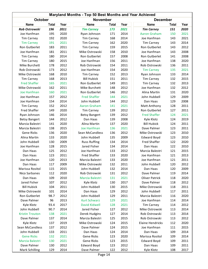|                        | Maryland Months - Top 50 Best Months and Year Achieved |      |  |                      |              |      |  |                         |              |      |  |  |
|------------------------|--------------------------------------------------------|------|--|----------------------|--------------|------|--|-------------------------|--------------|------|--|--|
| October                |                                                        |      |  | <b>November</b>      |              |      |  | <b>December</b>         |              |      |  |  |
| <b>Name</b>            | <b>Total</b>                                           | Year |  | <b>Name</b>          | <b>Total</b> | Year |  | <b>Name</b>             | <b>Total</b> | Year |  |  |
| Rob Ostrowski          | 196                                                    | 2011 |  | <b>Tim Carney</b>    | 173          | 2021 |  | <b>Tim Carney</b>       | 151          | 2020 |  |  |
| Joe Hanfman            | 195                                                    | 2020 |  | Ryan Johnson         | 171          | 2014 |  | <b>Aaron Graham</b>     | 150          | 2021 |  |  |
| <b>Tim Carney</b>      | 192                                                    | 2020 |  | <b>Tim Carney</b>    | 168          | 2014 |  | Joe Hanfman             | 143          | 2021 |  |  |
| <b>Tim Carney</b>      | 191                                                    | 2021 |  | <b>Tim Carney</b>    | 162          | 2020 |  | <b>Tim Carney</b>       | 143          | 2014 |  |  |
| Ron Gutberlet          | 183                                                    | 2011 |  | <b>Tim Carney</b>    | 159          | 2015 |  | Ron Gutberlet           | 143          | 2012 |  |  |
| Joe Hanfman            | 181                                                    | 2011 |  | Mike Ostrowski       | 158          | 2010 |  | Joe Hanfman             | 143          | 2008 |  |  |
| <b>Tim Carney</b>      | 180                                                    | 2014 |  | Ron Gutberlet        | 157          | 2008 |  | Ron Gutberlet           | 141          | 2008 |  |  |
| <b>Tim Carney</b>      | 180                                                    | 2015 |  | Joe Hanfman          | 156          | 2011 |  | Joe Hanfman             | 138          | 2020 |  |  |
| Mike Burchett          | 178                                                    | 2012 |  | Rob Ostrowski        | 154          | 2011 |  | Rob Ostrowski           | 136          | 2011 |  |  |
| Rob Ostrowski          | 173                                                    | 2012 |  | Joe Hanfman          | 154          | 2020 |  | <b>Tim Carney</b>       | 135          | 2021 |  |  |
| Mike Ostrowski         | 168                                                    | 2010 |  | <b>Tim Carney</b>    | 152          | 2013 |  | Ryan Johnson            | 133          | 2014 |  |  |
| <b>Tim Carney</b>      | 168                                                    | 2013 |  | <b>Bill Hubick</b>   | 151          | 2011 |  | <b>Tim Carney</b>       | 132          | 2015 |  |  |
| <b>Fred Shaffer</b>    | 165                                                    | 2021 |  | Ron Gutberlet        | 149          | 2011 |  | <b>Tim Carney</b>       | 132          | 2013 |  |  |
| Mike Ostrowski         | 162                                                    | 2011 |  | Mike Burchett        | 148          | 2012 |  | Joe Hanfman             | 132          | 2012 |  |  |
| Joe Hanfman            | 160                                                    | 2021 |  | Ron Gutberlet        | 146          | 2012 |  | Alina Martin            | 131          | 2020 |  |  |
| Joe Hanfman            | 157                                                    | 2012 |  | <b>Fred Shaffer</b>  | 144          | 2021 |  | John Hubbell            | 129          | 2009 |  |  |
| Joe Hanfman            | 154                                                    | 2014 |  | John Hubbell         | 144          | 2012 |  | Dan Haas                | 129          | 2008 |  |  |
|                        |                                                        |      |  |                      |              |      |  |                         |              | 2011 |  |  |
| <b>Tim Carney</b>      | 152                                                    | 2012 |  | <b>Aaron Graham</b>  | 141          | 2021 |  | Matt Anthony            | 128          |      |  |  |
| <b>Fred Shaffer</b>    | 149                                                    | 2020 |  | <b>Tim Carney</b>    | 139          | 2012 |  | Ron Gutberlet           | 127          | 2011 |  |  |
| Ryan Johnson           | 146                                                    | 2014 |  | <b>Betsy Bangert</b> | 139          | 2012 |  | <b>Fred Shaffer</b>     | 124          | 2021 |  |  |
| <b>Betsy Bangert</b>   | 144                                                    | 2012 |  | Dan Haas             | 139          | 2008 |  | Kyle Klotz              | 124          | 2019 |  |  |
| Marcia Balestri        | 141                                                    | 2020 |  | Alina Martin         | 137          | 2020 |  | <b>Bill Hubick</b>      | 124          | 2011 |  |  |
| Marcia Balestri        | 138                                                    | 2015 |  | Joe Hanfman          | 136          | 2021 |  | Dave Palmer             | 123          | 2011 |  |  |
| <b>Gene Ricks</b>      | 136                                                    | 2020 |  | Sean McCandless      | 136          | 2012 |  | Mike Ostrowski          | 123          | 2010 |  |  |
| Alina Martin           | 133                                                    | 2020 |  | John Hubbell         | 135          | 2009 |  | <b>Edward Boyd</b>      | 123          | 2010 |  |  |
| John Hubbell           | 130                                                    | 2009 |  | <b>Russ Ruffing</b>  | 134          | 2014 |  | Fred Shaffer            | 122          | 2020 |  |  |
| Joe Hanfman            | 128                                                    | 2015 |  | Jared Fisher         | 134          | 2014 |  | Dan Haas                | 122          | 2010 |  |  |
| Dan Haas               | 125                                                    | 2012 |  | Joe Hanfman          | 133          | 2012 |  | Marcia Balestri         | 121          | 2015 |  |  |
| Dan Haas               | 123                                                    | 2011 |  | Fred Shaffer         | 133          | 2020 |  | Joe Hanfman             | 121          | 2013 |  |  |
| Joe Hanfman            | 120                                                    | 2013 |  | Marcia Balestri      | 133          | 2020 |  | Joe Hanfman             | 121          | 2011 |  |  |
| Dan Haas               | 117                                                    | 2009 |  | Mike Ostrowski       | 132          | 2011 |  | John Hubbell            | 120          | 2012 |  |  |
| Marissa Rositol        | 115                                                    | 2015 |  | John Hubbell         | 132          | 2014 |  | Dan Haas                | 120          | 2009 |  |  |
| Nico Sarbanes          | 112                                                    | 2020 |  | Rob Ostrowski        | 131          | 2012 |  | Dave Palmer             | 119          | 2014 |  |  |
| Dan Haas               | 109                                                    | 2010 |  | Marcia Balestri      | 131          | 2021 |  | <b>Oliver Patrick</b>   | 118          | 2020 |  |  |
| Jared Fisher           | 107                                                    | 2012 |  | Kyle Klotz           | 130          | 2017 |  | Dave Palmer             | 118          | 2012 |  |  |
| <b>Bill Hubick</b>     | 104                                                    | 2011 |  | John Hubbell         | 130          | 2015 |  | Mike Ostrowski          | 118          | 2011 |  |  |
| Mike Ostrowski         | 101                                                    | 2014 |  | Dan Haas             | 129          | 2012 |  | John Hubbell            | 117          | 2011 |  |  |
| Ron Gutberlet          | 98.7                                                   | 2012 |  | John Hubbell         | 129          | 2011 |  | Marcia Balestri         | 116          | 2020 |  |  |
| Dave Palmer            | 96                                                     | 2013 |  | <b>Kurt Schwarz</b>  | 129          | 2021 |  | Joe Hanfman             | 114          | 2014 |  |  |
| Kyle Klotz             | 93.4                                                   | 2017 |  | <b>David Kidwell</b> | 128          | 2021 |  | <b>Tim Carney</b>       | 114          | 2012 |  |  |
| John Hubbell           | 90.7                                                   | 2014 |  | Jared Fisher         | 127          | 2012 |  | Mike Ostrowski          | 113          | 2014 |  |  |
| <b>Kristin Trouton</b> | 138                                                    | 2021 |  | Derek Hudgins        | 127          | 2014 |  | Rob Ostrowski           | 113          | 2014 |  |  |
| Dave Palmer            | 137                                                    | 2014 |  | Marcia Balestri      | 125          | 2015 |  | Rob Ostrowski           | 113          | 2012 |  |  |
| Kyle Klotz             | 137                                                    | 2019 |  | Mike Ostrowski       | 124          | 2015 |  | <b>Elaine Hendricks</b> | 112          | 2020 |  |  |
| Sean McCandless        | 137                                                    | 2012 |  | Dave Palmer          | 124          | 2015 |  | Joe Hanfman             | 111          | 2015 |  |  |
| John Hubbell           | 133                                                    | 2011 |  | Dan Haas             | 124          | 2014 |  | Dan Haas                | 109          | 2014 |  |  |
| <b>Gene Ricks</b>      | 132                                                    | 2021 |  | Gene Ricks           | 123          | 2020 |  | Marissa Rositol         | 109          | 2014 |  |  |
| Marcia Balestri        | 130                                                    | 2021 |  | Gene Ricks           | 123          | 2015 |  | <b>Edward Boyd</b>      | 109          | 2011 |  |  |
| Dave Palmer            | 130                                                    | 2012 |  | <b>Edward Boyd</b>   | 123          | 2012 |  | Dan Haas                | 109          | 2011 |  |  |
| <b>Mark Schilling</b>  | 129                                                    | 2014 |  | Dave Palmer          | 122          | 2012 |  | Kyle Klotz              | 108          | 2017 |  |  |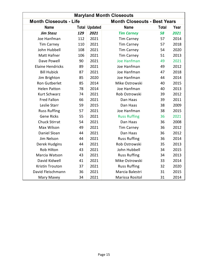| <b>Maryland Month Closeouts</b> |     |                      |                                     |              |      |  |  |  |  |  |
|---------------------------------|-----|----------------------|-------------------------------------|--------------|------|--|--|--|--|--|
| <b>Month Closeouts - Life</b>   |     |                      | <b>Month Closeouts - Best Years</b> |              |      |  |  |  |  |  |
| <b>Name</b>                     |     | <b>Total Updated</b> | <b>Name</b>                         | <b>Total</b> | Year |  |  |  |  |  |
| <b>Jim Stasz</b>                | 129 | 2021                 | <b>Tim Carney</b>                   | 58           | 2021 |  |  |  |  |  |
| Joe Hanfman                     | 112 | 2021                 | <b>Tim Carney</b>                   | 57           | 2014 |  |  |  |  |  |
| <b>Tim Carney</b>               | 110 | 2021                 | <b>Tim Carney</b>                   | 57           | 2018 |  |  |  |  |  |
| John Hubbell                    | 108 | 2021                 | <b>Tim Carney</b>                   | 54           | 2020 |  |  |  |  |  |
| <b>Matt Hafner</b>              | 106 | 2021                 | <b>Tim Carney</b>                   | 51           | 2013 |  |  |  |  |  |
| Dave Powell                     | 90  | 2021                 | <b>Joe Hanfman</b>                  | 49           | 2021 |  |  |  |  |  |
| <b>Elaine Hendricks</b>         | 89  | 2021                 | Joe Hanfman                         | 49           | 2012 |  |  |  |  |  |
| <b>Bill Hubick</b>              | 87  | 2021                 | Joe Hanfman                         | 47           | 2018 |  |  |  |  |  |
| Jim Brighton                    | 85  | 2020                 | Joe Hanfman                         | 44           | 2014 |  |  |  |  |  |
| Ron Gutberlet                   | 85  | 2014                 | Mike Ostrowski                      | 40           | 2015 |  |  |  |  |  |
| <b>Helen Patton</b>             | 78  | 2014                 | Joe Hanfman                         | 40           | 2013 |  |  |  |  |  |
| <b>Kurt Schwarz</b>             | 74  | 2021                 | Rob Ostrowski                       | 39           | 2012 |  |  |  |  |  |
| <b>Fred Fallon</b>              | 66  | 2021                 | Dan Haas                            | 39           | 2011 |  |  |  |  |  |
| Leslie Starr                    | 59  | 2015                 | Dan Haas                            | 38           | 2009 |  |  |  |  |  |
| <b>Russ Ruffing</b>             | 57  | 2021                 | Joe Hanfman                         | 38           | 2015 |  |  |  |  |  |
| <b>Gene Ricks</b>               | 55  | 2021                 | <b>Russ Ruffing</b>                 | 36           | 2021 |  |  |  |  |  |
| <b>Chuck Stirrat</b>            | 54  | 2021                 | Dan Haas                            | 36           | 2008 |  |  |  |  |  |
| Max Wilson                      | 49  | 2021                 | <b>Tim Carney</b>                   | 36           | 2012 |  |  |  |  |  |
| Daniel Sloan                    | 44  | 2021                 | Dan Haas                            | 36           | 2012 |  |  |  |  |  |
| Jim Nelson                      | 44  | 2021                 | <b>Russ Ruffing</b>                 | 36           | 2014 |  |  |  |  |  |
| Derek Hudgins                   | 44  | 2021                 | Rob Ostrowski                       | 35           | 2013 |  |  |  |  |  |
| <b>Rob Hilton</b>               | 43  | 2021                 | John Hubbell                        | 34           | 2015 |  |  |  |  |  |
| Marcia Watson                   | 43  | 2021                 | <b>Russ Ruffing</b>                 | 34           | 2013 |  |  |  |  |  |
| David Kidwell                   | 41  | 2021                 | Mike Ostrowski                      | 33           | 2014 |  |  |  |  |  |
| <b>Kristin Trouton</b>          | 37  | 2021                 | <b>Russ Ruffing</b>                 | 32           | 2020 |  |  |  |  |  |
| David Fleischmann               | 36  | 2021                 | Marcia Balestri                     | 31           | 2015 |  |  |  |  |  |
| Mary Maxey                      | 34  | 2021                 | Marissa Rositol                     | 31           | 2014 |  |  |  |  |  |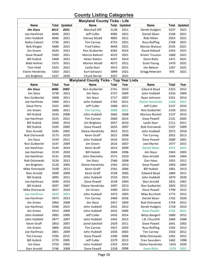# **County Listing Categories**

| <b>Maryland County Ticks - Life</b> |              |                |                                               |              |                      |                         |              |         |  |  |  |
|-------------------------------------|--------------|----------------|-----------------------------------------------|--------------|----------------------|-------------------------|--------------|---------|--|--|--|
| Name                                | Total        | <b>Updated</b> | <b>Name</b>                                   |              | <b>Total Updated</b> | Name                    | Total        | Updated |  |  |  |
| <b>Jim Stasz</b>                    | 6612         | 2021           | Marshall Iliff                                | 5136         | 2011                 | Derek Hudgins           | 3337         | 2021    |  |  |  |
| Joe Hanfman                         | 6046         | 2021           | Jeff Culler                                   | 4985         | 2021                 | Daniel Sloan            | 3100         | 2021    |  |  |  |
| John Hubbell                        | 6046         | 2021           | Harvey Mudd                                   | 4802         | 2011                 | Rob Hilton              | 2953         | 2021    |  |  |  |
| Kathy Calvert                       | 5736         | 2021           | <b>Tim Carney</b>                             | 4753         | 2021                 | <b>Russ Ruffing</b>     | 2768         | 2021    |  |  |  |
| <b>Bob Ringler</b>                  | 5680         | 2015           | <b>Fred Fallon</b>                            | 4644         | 2021                 | Marcia Watson           | 2535         | 2021    |  |  |  |
| Jim Green                           | 5634         | 2021           | Ron Gutberlet                                 | 4582         | 2014                 | David Kidwell           | 2454         | 2021    |  |  |  |
| Dave Powell                         | 5569         | 2021           | Marcia Balestri                               | 4525         | 2021                 | Kristin Trouton         | 1660         | 2021    |  |  |  |
| <b>Bill Hubick</b>                  | 5468         | 2021           | <b>Helen Patton</b>                           | 4207         | 2014                 | <b>Gene Ricks</b>       | 1471         | 2021    |  |  |  |
| Matt Hafner                         | 5375         | 2021           | Marion Mudd                                   | 4072         | 2011                 | <b>Scott Young</b>      | 1470         | 2021    |  |  |  |
| <b>Tom Feild</b>                    | 5325         | 2021           | Leslie Starr                                  | 3913         | 2015                 | Jim Nelson              | 1267         | 2021    |  |  |  |
| <b>Elaine Hendricks</b>             | 5263         | 2021           | Kurt Schwarz                                  | 3899         | 2021                 | Gregg Petersen          | 935          | 2021    |  |  |  |
| Jim Brighton                        | 5227         | 2020           | Chuck Stirrat                                 | 3337         | 2021                 |                         |              |         |  |  |  |
|                                     |              |                | <b>Maryland County Ticks - Top Year Lists</b> |              |                      |                         |              |         |  |  |  |
| Name                                | <b>Total</b> | Year           | Name                                          | <b>Total</b> | Year                 | Name                    | <b>Total</b> | Year    |  |  |  |
| Jim Stasz                           | 4086         | 2002           | Ron Gutberlet                                 | 2741         | 2010                 | <b>Edward Boyd</b>      | 2323         | 2012    |  |  |  |
| Jim Stasz                           | 3738         | 2012           | Jim Stasz                                     | 2727         | 2009                 | John Hubbell            | 2316         | 2004    |  |  |  |
| Ron Gutberlet                       | 3408         | 2011           | Jim Stasz                                     | 2717         | 2007                 | Ryan Johnson            | 2241         | 2014    |  |  |  |
| Joe Hanfman                         | 3360         | 2011           | John Hubbell                                  | 2702         | 2011                 | <b>Elaine Hendricks</b> | 2168         | 2021    |  |  |  |
|                                     | 3322         | 2001           | Jeff Culler                                   | 2686         | 2011                 | Jeff Culler             | 2157         | 2010    |  |  |  |
| Dave Perry<br>Jim Green             | 3306         | 2011           |                                               | 2680         | 2021                 | Ron Gutberlet           |              | 2012    |  |  |  |
|                                     |              |                | <b>Tim Carney</b>                             |              |                      |                         | 2150         |         |  |  |  |
| <b>Bill Hubick</b>                  | 3233         | 2008           | John Hubbell                                  | 2662         | 2008                 | Marissa Rositol         | 2137         | 2015    |  |  |  |
| Joe Hanfman                         | 3225         | 2012           | <b>Tim Carney</b>                             | 2660         | 2014                 | Dave Powell             | 2131         | 2005    |  |  |  |
| <b>Bill Hubick</b>                  | 3200         | 2010           | Jim Brighton                                  | 2657         | 2010                 | Leslie Starr            | 2111         | 2011    |  |  |  |
| <b>Bill Hubick</b>                  | 3193         | 2009           | Dave Powell                                   | 2655         | 2007                 | Rob Ostrowski           | 2107         | 2009    |  |  |  |
| Stan Arnold                         | 3185         | 2005           | <b>Elaine Hendricks</b>                       | 2652         | 2015                 | John Hubbell            | 2072         | 2018    |  |  |  |
| Rob Ostrowski                       | 3173         | 2010           | Kevin Graff                                   | 2621         | 2008                 | <b>Tim Carney</b>       | 2052         | 2013    |  |  |  |
| Jim Stasz                           | 3159         | 2011           | John Hubbell                                  | 2616         | 2010                 | Dave Powell             | 2000         | 2001    |  |  |  |
| Ron Gutberlet                       | 3147         | 2009           | Jim Green                                     | 2616         | 2007                 | <b>Joel Martin</b>      | 1977         | 2015    |  |  |  |
| Joe Hanfman                         | 3144         | 2014           | Kevin Graff                                   | 2613         | 2009                 | <b>Daniel Sloan</b>     | 1972         | 2021    |  |  |  |
| Joe Hanfman                         | 3139         | 2020           | <b>Bill Hubick</b>                            | 2604         | 2006                 | Jim Stasz               | 1943         | 2003    |  |  |  |
| Joe Hanfman                         | 3131         | 2018           | John Dennehy                                  | 2571         | 2010                 | Stan Arnold             | 1934         | 2004    |  |  |  |
| Rob Ostrowski                       | 3126         | 2011           | Jim Stasz                                     | 2566         | 2008                 | Dan Haas                | 1931         | 2011    |  |  |  |
| Jim Brighton                        | 3126         | 2005           | <b>Elaine Hendricks</b>                       | 2563         | 2014                 | Dave Powell             | 1903         | 2003    |  |  |  |
| Mike Ostrowski                      | 3109         | 2011           | Kevin Graff                                   | 2541         | 2006                 | <b>Bill Hubick</b>      | 1901         | 2013    |  |  |  |
| Stan Arnold                         | 3099         | 2009           | Kevin Graff                                   | 2538         | 2005                 | <b>Edward Boyd</b>      | 1884         | 2011    |  |  |  |
| <b>Bill Hubick</b>                  | 3095         | 2011           | John Hubbell                                  | 2533         | 2015                 | John Hubbell            | 1879         | 2020    |  |  |  |
| Joe Hanfman                         | 3049         | 2010           | Dave Powell                                   | 2528         | 2004                 | Stan Arnold             | 1831         | 2001    |  |  |  |
| <b>Bill Hubick</b>                  | 3037         | 2007           | <b>Elaine Hendricks</b>                       | 2497         | 2013                 | Ron Gutberlet           | 1825         | 2013    |  |  |  |
| Mike Ostrowski                      | 3017         | 2010           | Jim Green                                     | 2490         | 2013                 | Dave Powell             | 1799         | 2012    |  |  |  |
| Joe Hanfman                         | 3010         | 2021           | John Hubbell                                  | 2472         | 2005                 | Mike Burchett           | 1775         | 2012    |  |  |  |
| Joe Hanfman                         | 2972         | 2013           | <b>Tim Carney</b>                             | 2460         | 2018                 | Daniel Sloan            | 1762         | 2020    |  |  |  |
| Jim Green                           | 2964         | 2008           | Jim Stasz                                     | 2457         | 2004                 | Rob Ostrowski           | 1759         | 2012    |  |  |  |
| Joe Hanfman                         | 2938         | 2015           | John Hubbell                                  | 2452         | 2012                 | Derek Hudgins           | 1718         | 2014    |  |  |  |
| Jim Green                           | 2913         | 2009           | John Hubbell                                  | 2452         | 2006                 | <b>Dave Powell</b>      | 1702         | 2021    |  |  |  |
| John Hubbell                        | 2892         | 2009           | Jeff Culler                                   | 2450         | 2014                 | <b>Betsy Bangert</b>    | 1689         | 2012    |  |  |  |
| John Hubbell                        | 2877         | 2007           | John Hubbell                                  | 2442         | 2013                 | J.B. Churchill          | 1684         | 2008    |  |  |  |
| Kevin Graff                         | 2853         | 2007           | Jared Satchell                                | 2429         | 2011                 | Dave Powell             | 1641         | 2002    |  |  |  |
| Jim Green                           | 2806         | 2010           | <b>Tim Carney</b>                             | 2427         | 2020                 | <b>Russ Ruffing</b>     | 1592         | 2012    |  |  |  |
| Joe Hanfman                         | 2801         | 2009           | John Hubbell                                  | 2426         | 2003                 | <b>Tim Carney</b>       | 1502         | 2012    |  |  |  |
| <b>Tim Carney</b>                   | 2785         | 2015           | Dave Powell                                   | 2390         | 2006                 | Mike Ostrowski          | 1491         | 2012    |  |  |  |
| <b>Bill Hubick</b>                  | 2770         | 2005           | Jeff Culler                                   | 2379         | 2013                 | Fran Saunders           | 1462         | 1998    |  |  |  |
| Jim Stasz                           | 2759         | 2005           | John Hubbell                                  | 2352         | 2014                 | <b>Elaine Hendricks</b> | 1453         | 2020    |  |  |  |
| Stan Arnold                         | 2746         | 2008           | Dave Powell                                   | 2328         | 2008                 | <b>Gene Ricks</b>       | 1379         | 2021    |  |  |  |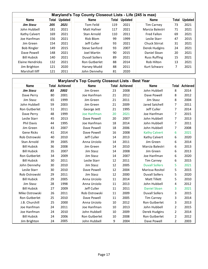|                    |       |                | Maryland's Top County Closeout Lists - Life (245 is max) |       |                |                      |       |                |
|--------------------|-------|----------------|----------------------------------------------------------|-------|----------------|----------------------|-------|----------------|
| <b>Name</b>        | Total | <b>Updated</b> | <b>Name</b>                                              | Total | <b>Updated</b> | Name                 | Total | <b>Updated</b> |
| <b>Jim Stasz</b>   | 205   | 2021           | Tom Feild                                                | 119   | 2021           | <b>Tim Carney</b>    | 73    | 2021           |
| John Hubbell       | 181   | 2021           | Matt Hafner                                              | 117   | 2021           | Marcia Balestri      | 71    | 2021           |
| Kathy Calvert      | 169   | 2021           | Stan Arnold                                              | 110   | 2011           | Fred Fallon          | 69    | 2021           |
| Joe Hanfman        | 156   | 2021           | Rick Blom                                                | 99    | 1999           | Leslie Starr         | 47    | 2015           |
| Jim Green          | 154   | 2021           | Jeff Culler                                              | 93    | 2021           | <b>Chuck Stirrat</b> | 31    | 2021           |
| <b>Bob Ringler</b> | 149   | 2015           | Steve Sanford                                            | 93    | 2007           | Derek Hudgins        | 24    | 2021           |
| Dave Powell        | 148   | 2021           | Joel Martin                                              | 90    | 2015           | Daniel Sloan         | 20    | 2021           |
| <b>Bill Hubick</b> | 140   | 2021           | <b>Duvall Sollers</b>                                    | 89    | 2021           | <b>Russ Ruffing</b>  | 15    | 2021           |
| Elaine Hendricks   | 132   | 2021           | Ron Gutberlet                                            | 88    | 2014           | Rob Hilton           | 13    | 2021           |
| Jim Brighton       | 121   | 2020           | Harvey Mudd                                              | 88    | 2011           | Kurt Schwarz         |       | 2021           |
| Marshall Iliff     | 121   | 2011           | John Dennehv                                             | 81    | 2020           |                      |       |                |

| Maryland's Top County Closeout Lists - Best Year |    |                       |                    |    |                       |                       |                |                       |  |  |  |
|--------------------------------------------------|----|-----------------------|--------------------|----|-----------------------|-----------------------|----------------|-----------------------|--|--|--|
| <b>Name</b>                                      |    | <b>Total Achieved</b> | <b>Name</b>        |    | <b>Total Achieved</b> | <b>Name</b>           |                | <b>Total Achieved</b> |  |  |  |
| <b>Jim Stasz</b>                                 | 83 | 2002                  | Jim Green          | 23 | 2008                  | John Hubbell          | 8              | 2014                  |  |  |  |
| Dave Perry                                       | 80 | 2001                  | Joe Hanfman        | 21 | 2012                  | Dave Powell           | 8              | 2012                  |  |  |  |
| Jim Stasz                                        | 65 | 1999                  | Jim Green          | 21 | 2011                  | Jim Stasz             | 8              | 2004                  |  |  |  |
| John Hubbell                                     | 59 | 2003                  | Jim Green          | 21 | 2009                  | <b>Jared Satchell</b> | 7              | 2011                  |  |  |  |
| Ron Gutberlet                                    | 51 | 2011                  | George Jett        | 21 | 1995                  | Jeff Culler           | $\overline{7}$ | 2014                  |  |  |  |
| Dave Perry                                       | 48 | 1999                  | <b>Joe Hanfman</b> | 20 | 2021                  | Joe Hanfman           | $\overline{7}$ | 2015                  |  |  |  |
| Leslie Starr                                     | 45 | 2013                  | Dave Powell        | 20 | 2007                  | John Hubbell          | $\overline{7}$ | 2013                  |  |  |  |
| <b>Phil Davis</b>                                | 44 | 1995                  | Joe Hanfman        | 18 | 2014                  | John Hubbell          | $\overline{7}$ | 2011                  |  |  |  |
| Jim Green                                        | 43 | 2007                  | Dave Powell        | 18 | 2006                  | John Hubbell          | 7              | 2008                  |  |  |  |
| <b>Gene Ricks</b>                                | 41 | 2014                  | Dave Powell        | 16 | 2008                  | <b>Kathy Calvert</b>  | 6              | 2021                  |  |  |  |
| Rob Ostrowski                                    | 40 | 2010                  | Jeff Culler        | 14 | 2013                  | Kathy Calvert         | 6              | 2020                  |  |  |  |
| Stan Arnold                                      | 39 | 2005                  | Anna Urciolo       | 14 | 2011                  | Jim Green             | 6              | 2014                  |  |  |  |
| <b>Bill Hubick</b>                               | 36 | 2008                  | Jim Green          | 14 | 2010                  | Marcia Balestri       | 6              | 2013                  |  |  |  |
| <b>Bill Hubick</b>                               | 35 | 2007                  | Jim Stasz          | 14 | 2008                  | Jim Green             | 6              | 2013                  |  |  |  |
| Ron Gutberlet                                    | 34 | 2009                  | Jim Stasz          | 14 | 2007                  | Joe Hanfman           | 6              | 2020                  |  |  |  |
| <b>Bill Hubick</b>                               | 30 | 2011                  | Leslie Starr       | 12 | 2011                  | <b>Tim Carney</b>     | 6              | 2015                  |  |  |  |
| John Dennehy                                     | 30 | 2010                  | Jim Stasz          | 12 | 2005                  | <b>Duvall Sollers</b> | 5              | 2021                  |  |  |  |
| Leslie Starr                                     | 30 | 2010                  | Dave Powell        | 12 | 2004                  | Marissa Rositol       | 5              | 2015                  |  |  |  |
| Rob Ostrowski                                    | 29 | 2011                  | Jim Stasz          | 12 | 2000                  | <b>Duvall Sollers</b> | 5              | 2020                  |  |  |  |
| <b>Bill Hubick</b>                               | 29 | 2005                  | Anna Urciolo       | 11 | 2014                  | <b>Matt Tillett</b>   | 5              | 2010                  |  |  |  |
| Jim Stasz                                        | 28 | 1998                  | Anna Urciolo       | 11 | 2013                  | John Hubbell          | 4              | 2012                  |  |  |  |
| <b>Bill Hubick</b>                               | 27 | 2009                  | Jeff Culler        | 11 | 2011                  | <b>Daniel Sloan</b>   | 3              | 2021                  |  |  |  |
| Mike Ostrowski                                   | 26 | 2011                  | Rob Ostrowski      | 11 | 2009                  | <b>Duvall Sollers</b> | 3              | 2015                  |  |  |  |
| Ron Gutberlet                                    | 25 | 2010                  | Dave Powell        | 11 | 2005                  | <b>Tim Carney</b>     | 3              | 2014                  |  |  |  |
| J.B. Churchill                                   | 25 | 2000                  | Anna Urciolo       | 10 | 2012                  | Ron Gutberlet         | 3              | 2013                  |  |  |  |
| Joe Hanfman                                      | 24 | 2011                  | Joe Hanfman        | 10 | 2013                  | John Hubbell          | $\overline{2}$ | 2015                  |  |  |  |
| Joe Hanfman                                      | 24 | 2010                  | John Hubbell       | 10 | 2009                  | Derek Hudgins         | $\overline{2}$ | 2014                  |  |  |  |
| <b>Bill Hubick</b>                               | 24 | 2006                  | Ron Gutberlet      | 10 | 2008                  | Ron Gutberlet         | 2              | 2012                  |  |  |  |
| Jim Brighton                                     | 24 | 2005                  | John Hubbell       | 9  | 2004                  | Dave Powell           | $\overline{2}$ | 2003                  |  |  |  |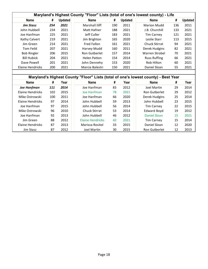|                    |     |                |                      |     |                | Maryland's Highest County "Floor" Lists (total of one's lowest county) - Life |     |                |
|--------------------|-----|----------------|----------------------|-----|----------------|-------------------------------------------------------------------------------|-----|----------------|
| <b>Name</b>        | #   | <b>Updated</b> | <b>Name</b>          | #   | <b>Updated</b> | <b>Name</b>                                                                   | #   | <b>Updated</b> |
| <b>Jim Stasz</b>   | 254 | 2021           | Marshall Iliff       | 190 | 2011           | <b>Marion Mudd</b>                                                            | 136 | 2011           |
| John Hubbell       | 234 | 2021           | Matt Hafner          | 188 | 2021           | J.B. Churchill                                                                | 133 | 2021           |
| Joe Hanfman        | 225 | 2021           | Jeff Culler          | 183 | 2021           | <b>Tim Carney</b>                                                             | 121 | 2021           |
| Kathy Calvert      | 219 | 2021           | Jim Brighton         | 165 | 2020           | Leslie Starr                                                                  | 113 | 2015           |
| Jim Green          | 214 | 2021           | <b>Fred Fallon</b>   | 161 | 2021           | Chuck Stirrat                                                                 | 94  | 2021           |
| Tom Feild          | 207 | 2021           | Harvey Mudd          | 160 | 2011           | Derek Hudgins                                                                 | 82  | 2021           |
| <b>Bob Ringler</b> | 206 | 2015           | <b>Ron Gutberlet</b> | 157 | 2014           | Warren Strobel                                                                | 70  | 2021           |
| <b>Bill Hubick</b> | 204 | 2021           | <b>Helen Patton</b>  | 154 | 2014           | <b>Russ Ruffing</b>                                                           | 66  | 2021           |
| Dave Powell        | 201 | 2021           | John Dennehy         | 153 | 2020           | Rob Hilton                                                                    | 60  | 2021           |
| Elaine Hendricks   | 200 | 2021           | Marcia Balestri      | 150 | 2021           | Daniel Sloan                                                                  | 55  | 2021           |
|                    |     |                |                      |     |                |                                                                               |     |                |

|                    |     |      | Maryland's Highest County "Floor" Lists (total of one's lowest county) - Best Year |    |      |                      |    |      |
|--------------------|-----|------|------------------------------------------------------------------------------------|----|------|----------------------|----|------|
| <b>Name</b>        | #   | Year | <b>Name</b>                                                                        | #  | Year | <b>Name</b>          | #  | Year |
| <b>Joe Hanfman</b> | 111 | 2014 | Joe Hanfman                                                                        | 83 | 2012 | Joel Martin          | 29 | 2014 |
| Elaine Hendricks   | 102 | 2015 | Joe Hanfman                                                                        | 78 | 2021 | Ron Gutberlet        | 29 | 2012 |
| Mike Ostrowski     | 100 | 2011 | Joe Hanfman                                                                        | 66 | 2020 | Derek Hudgins        | 25 | 2014 |
| Elaine Hendricks   | 97  | 2014 | John Hubbell                                                                       | 59 | 2013 | John Hubbell         | 23 | 2015 |
| Joe Hanfman        | 97  | 2015 | John Hubbell                                                                       | 56 | 2014 | <b>Tim Carney</b>    | 22 | 2015 |
| Mike Ostrowski     | 96  | 2010 | <b>Chuck Stirrat</b>                                                               | 53 | 2014 | <b>Edward Boyd</b>   | 19 | 2012 |
| Joe Hanfman        | 92  | 2013 | John Hubbell                                                                       | 46 | 2012 | Daniel Sloan         | 15 | 2021 |
| Jim Green          | 88  | 2012 | <b>Elaine Hendricks</b>                                                            | 42 | 2021 | <b>Tim Carney</b>    | 15 | 2014 |
| Elaine Hendricks   | 87  | 2013 | Marissa Rositol                                                                    | 33 | 2015 | Daniel Sloan         | 12 | 2020 |
| Jim Stasz          | 87  | 2012 | Joel Martin                                                                        | 30 | 2015 | <b>Ron Gutberlet</b> | 12 | 2013 |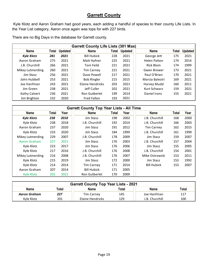#### **Garrett County**

Kyle Klotz and Aaron Graham had good years, each adding a handful of species to their county Life Lists. In the Year List category, Aaron once again was tops for with 227 birds.

There are no Big Days in the database for Garrett county.

|                   | <b>Garrett County Life Lists (301 Max)</b> |                |                    |       |                |                     |       |                |  |  |  |  |
|-------------------|--------------------------------------------|----------------|--------------------|-------|----------------|---------------------|-------|----------------|--|--|--|--|
| <b>Name</b>       | Total                                      | <b>Updated</b> | <b>Name</b>        | Total | <b>Updated</b> | <b>Name</b>         | Total | <b>Updated</b> |  |  |  |  |
| <b>Kyle Klotz</b> | 281                                        | 2021           | <b>Bill Hubick</b> | 228   | 2021           | George Jett         | 175   | 2021           |  |  |  |  |
| Aaron Graham      | 275                                        | 2021           | Matt Hafner        | 225   | 2021           | <b>Helen Patton</b> | 174   | 2014           |  |  |  |  |
| J.B. Churchill    | 266                                        | 2021           | Tom Feild          | 221   | 2021           | Rick Blom           | 174   | 1999           |  |  |  |  |
| Mikey Lutmerding  | 260                                        | 2021           | <b>Tim Carney</b>  | 221   | 2021           | Gwen Brewer         | 173   | 2021           |  |  |  |  |
| Jim Stasz         | 256                                        | 2021           | Dave Powell        | 217   | 2021           | Paul O'Brien        | 170   | 2021           |  |  |  |  |
| John Hubbell      | 253                                        | 2021           | <b>Bob Ringler</b> | 215   | 2015           | Marcia Balestri     | 169   | 2021           |  |  |  |  |
| Joe Hanfman       | 243                                        | 2021           | Elaine Hendricks   | 203   | 2021           | Harvey Mudd         | 160   | 2011           |  |  |  |  |
| Jim Green         | 238                                        | 2021           | Jeff Culler        | 202   | 2021           | Kurt Schwarz        | 159   | 2021           |  |  |  |  |
| Kathy Calvert     | 236                                        | 2021           | Ron Gutberlet      | 199   | 2014           | Daniel Irons        | 155   | 2021           |  |  |  |  |
| Jim Brighton      | 232                                        | 2020           | <b>Fred Fallon</b> | 193   | 2021           |                     |       |                |  |  |  |  |

|                   | <b>Garrett County Top Year Lists - All Time</b> |      |                    |       |      |                    |       |      |  |  |  |  |
|-------------------|-------------------------------------------------|------|--------------------|-------|------|--------------------|-------|------|--|--|--|--|
| <b>Name</b>       | Total                                           | Year | <b>Name</b>        | Total | Year | <b>Name</b>        | Total | Year |  |  |  |  |
| <b>Kyle Klotz</b> | 238                                             | 2018 | Jim Stasz          | 198   | 2002 | J.B. Churchill     | 168   | 2000 |  |  |  |  |
| Kyle Klotz        | 238                                             | 2018 | J.B. Churchill     | 192   | 2014 | J.B. Churchill     | 166   | 2003 |  |  |  |  |
| Aaron Graham      | 237                                             | 2020 | Jim Stasz          | 191   | 2012 | <b>Tim Carney</b>  | 162   | 2015 |  |  |  |  |
| Kyle Klotz        | 233                                             | 2020 | Jim Stasz          | 184   | 1999 | J.B. Churchill     | 161   | 1999 |  |  |  |  |
| Mikey Lutmerding  | 229                                             | 2007 | J.B. Churchill     | 178   | 2009 | Jim Stasz          | 159   | 2007 |  |  |  |  |
| Aaron Graham      | 227                                             | 2021 | Jim Stasz          | 176   | 2003 | J.B. Churchill     | 157   | 2004 |  |  |  |  |
| Kyle Klotz        | 223                                             | 2017 | Jim Stasz          | 176   | 2006 | Jim Stasz          | 155   | 2005 |  |  |  |  |
| Kyle Klotz        | 217                                             | 2016 | J.B. Churchill     | 176   | 2008 | J.B. Churchill     | 154   | 2001 |  |  |  |  |
| Mikey Lutmerding  | 216                                             | 2008 | J.B. Churchill     | 176   | 2007 | Mike Ostrowski     | 153   | 2011 |  |  |  |  |
| Kyle Klotz        | 215                                             | 2019 | Jim Stasz          | 172   | 2000 | Jim Stasz          | 153   | 1992 |  |  |  |  |
| Kyle Klotz        | 214                                             | 2014 | <b>Tim Carney</b>  | 171   | 2014 | <b>Bill Hubick</b> | 153   | 2007 |  |  |  |  |
| Aaron Graham      | 207                                             | 2014 | <b>Bill Hubick</b> | 171   | 2005 |                    |       |      |  |  |  |  |
| <b>Kyle Klotz</b> | 201                                             | 2021 | Ron Gutberlet      | 170   | 2009 |                    |       |      |  |  |  |  |

| <b>Garrett County Top Year Lists - 2021</b>                   |     |                  |     |                |     |  |  |  |  |  |
|---------------------------------------------------------------|-----|------------------|-----|----------------|-----|--|--|--|--|--|
| Total<br>Total<br>Total<br><b>Name</b><br><b>Name</b><br>Name |     |                  |     |                |     |  |  |  |  |  |
| Aaron Graham                                                  | 227 | Tim Carney       | 145 | Joe Hanfman    | 117 |  |  |  |  |  |
| Kyle Klotz                                                    | 201 | Elaine Hendricks | 129 | J.B. Churchill | 100 |  |  |  |  |  |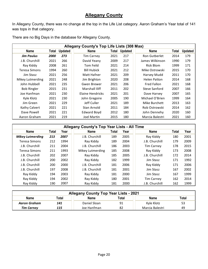#### **Allegany County**

In Allegany County, there was no change at the top in the Life List category. Aaron Graham's Year total of 141 was tops in that category.

|                    |       |                | Allegany County's Top Life Lists (308 Max) |       |                |                     |       |                |
|--------------------|-------|----------------|--------------------------------------------|-------|----------------|---------------------|-------|----------------|
| <b>Name</b>        | Total | <b>Updated</b> | Name                                       | Total | <b>Updated</b> | <b>Name</b>         | Total | <b>Updated</b> |
| Jim Paulus         | 2000  | 273            | <b>Tim Carney</b>                          | 2021  | 217            | Ron Gutberlet       | 2014  | 179            |
| J.B. Churchill     | 2021  | 266            | David Yeany                                | 2009  | 217            | James Wilkinson     | 1990  | 179            |
| Ray Kiddy          | 2008  | 261            | Tom Feild                                  | 2021  | 214            | Rick Blom           | 1999  | 171            |
| Teresa Simons      | 1994  | 260            | <b>Bill Hubick</b>                         | 2021  | 212            | Mike Ostrowski      | 2015  | 170            |
| Jim Stasz          | 2021  | 256            | Matt Hafner                                | 2021  | 209            | Harvey Mudd         | 2011  | 170            |
| Mikey Lutmerding   | 2021  | 248            | Jim Brighton                               | 2020  | 208            | <b>Helen Patton</b> | 2014  | 168            |
| John Hubbell       | 2021  | 235            | Gwen Brewer                                | 2021  | 206            | <b>Fred Fallon</b>  | 2021  | 168            |
| <b>Bob Ringler</b> | 2015  | 231            | Marshall Iliff                             | 2011  | 202            | Steve Sanford       | 2007  | 166            |
| Joe Hanfman        | 2021  | 230            | Elaine Hendricks                           | 2021  | 201            | Dave Harvey         | 2007  | 165            |
| Kyle Klotz         | 2021  | 230            | John Gregoire                              | 2005  | 190            | Michael O'Brien     | 1999  | 164            |
| Jim Green          | 2021  | 229            | Jeff Culler                                | 2021  | 189            | Mike Burchett       | 2013  | 163            |
| Kathy Calvert      | 2021  | 221            | Stan Arnold                                | 2011  | 184            | Rob Ostrowski       | 2014  | 162            |
| Dave Powell        | 2021  | 221            | <b>Edward Boyd</b>                         | 2012  | 180            | John Dennehy        | 2020  | 160            |
| Aaron Graham       | 2021  | 219            | <b>Joel Martin</b>                         | 2015  | 180            | Marcia Balestri     | 2021  | 160            |

There are no Big Days in the database for Allegany County.

|                         | Allegany County's Top Year Lists - All Time |      |                  |       |      |                   |       |      |  |  |  |  |  |
|-------------------------|---------------------------------------------|------|------------------|-------|------|-------------------|-------|------|--|--|--|--|--|
| <b>Name</b>             | Total                                       | Year | <b>Name</b>      | Total | Year | <b>Name</b>       | Total | Year |  |  |  |  |  |
| <b>Mikey Lutmerding</b> | 213                                         | 2007 | J.B. Churchill   | 189   | 2005 | Ray Kiddy         | 180   | 2001 |  |  |  |  |  |
| Teresa Simons           | 212                                         | 1994 | Ray Kiddy        | 189   | 2004 | J.B. Churchill    | 179   | 2009 |  |  |  |  |  |
| J.B. Churchill          | 211                                         | 2004 | J.B. Churchill   | 186   | 2003 | <b>Tim Carney</b> | 178   | 2015 |  |  |  |  |  |
| <b>Teresa Simons</b>    | 211                                         | 1993 | Mikey Lutmerding | 185   | 2008 | Ray Kiddy         | 173   | 2008 |  |  |  |  |  |
| J.B. Churchill          | 202                                         | 2007 | Ray Kiddy        | 185   | 2005 | J.B. Churchill    | 172   | 2014 |  |  |  |  |  |
| J.B. Churchill          | 200                                         | 2002 | Ray Kiddy        | 182   | 1999 | Jim Stasz         | 171   | 1992 |  |  |  |  |  |
| J.B. Churchill          | 200                                         | 2000 | J.B. Churchill   | 181   | 2006 | Ray Kiddy         | 171   | 2006 |  |  |  |  |  |
| J.B. Churchill          | 197                                         | 2008 | J.B. Churchill   | 181   | 2001 | Jim Stasz         | 167   | 2002 |  |  |  |  |  |
| Ray Kiddy               | 194                                         | 2003 | Ray Kiddy        | 181   | 2000 | Jim Stasz         | 167   | 1999 |  |  |  |  |  |
| Ray Kiddy               | 194                                         | 2002 | Ray Kiddy        | 180   | 2001 | <b>Tim Carney</b> | 162   | 2014 |  |  |  |  |  |
| Ray Kiddy               | 190                                         | 2007 | Ray Kiddy        | 181   | 2000 | J.B. Churchill    | 162   | 1999 |  |  |  |  |  |

| <b>Allegany County Top Year Lists - 2021</b> |                                                       |              |    |            |    |  |  |  |  |  |
|----------------------------------------------|-------------------------------------------------------|--------------|----|------------|----|--|--|--|--|--|
| <b>Name</b>                                  | Total<br>Total<br><b>Name</b><br>Total<br><b>Name</b> |              |    |            |    |  |  |  |  |  |
| Aaron Graham                                 | 141                                                   | Daniel Sloan | 91 | Kyle Klotz | 53 |  |  |  |  |  |
| <b>Tim Carney</b>                            | 82<br>115<br>Marcia Balestri<br>49<br>Joe Hanfman     |              |    |            |    |  |  |  |  |  |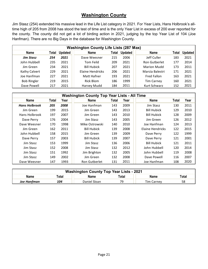#### **Washington County**

Jim Stasz (254) extended his massive lead in the Life List category in 2021. For Year Lists, Hans Holbrook's alltime high of 205 from 2008 has stood the test of time and is the only Year List in excess of 200 ever reported for the county. The county did not get a lot of birding action in 2021, judging by the top Year List of 104 (Joe Hanfman). There are no Big Days in the database for Washington County.

|                    | <b>Washington County Life Lists (287 Max)</b> |                |                    |       |                |                      |       |                |  |  |  |  |  |
|--------------------|-----------------------------------------------|----------------|--------------------|-------|----------------|----------------------|-------|----------------|--|--|--|--|--|
| Name               | Total                                         | <b>Updated</b> | Name               | Total | <b>Updated</b> | Name                 | Total | <b>Updated</b> |  |  |  |  |  |
| <b>Jim Stasz</b>   | 254                                           | 2021           | Dave Weesner       | 215   | 2006           | Jeff Culler          | 183   | 2021           |  |  |  |  |  |
| John Hubbell       | 235                                           | 2021           | Tom Feild          | 209   | 2021           | <b>Ron Gutberlet</b> | 177   | 2014           |  |  |  |  |  |
| Jim Green          | 234                                           | 2021           | <b>Bill Hubick</b> | 207   | 2021           | <b>Marion Mudd</b>   | 173   | 2011           |  |  |  |  |  |
| Kathy Calvert      | 229                                           | 2021           | Elaine Hendricks   | 206   | 2021           | Marcia Balestri      | 171   | 2021           |  |  |  |  |  |
| Joe Hanfman        | 227                                           | 2021           | Matt Hafner        | 193   | 2021           | <b>Fred Fallon</b>   | 163   | 2021           |  |  |  |  |  |
| <b>Bob Ringler</b> | 219                                           | 2015           | Rick Blom          | 186   | 1999           | <b>Tim Carney</b>    | 160   | 2021           |  |  |  |  |  |
| Dave Powell        | 217                                           | 2021           | Harvey Mudd        | 184   | 2011           | Kurt Schwarz         | 152   | 2021           |  |  |  |  |  |

|                      | <b>Washington County Top Year Lists - All Time</b> |      |                    |       |      |                    |       |      |  |  |  |  |  |
|----------------------|----------------------------------------------------|------|--------------------|-------|------|--------------------|-------|------|--|--|--|--|--|
| <b>Name</b>          | Total                                              | Year | <b>Name</b>        | Total | Year | <b>Name</b>        | Total | Year |  |  |  |  |  |
| <b>Hans Holbrook</b> | 205                                                | 2008 | Joe Hanfman        | 143   | 2009 | Jim Stasz          | 130   | 2011 |  |  |  |  |  |
| Jim Green            | 199                                                | 2015 | Jim Green          | 143   | 2013 | <b>Bill Hubick</b> | 129   | 2010 |  |  |  |  |  |
| Hans Holbrook        | 197                                                | 2007 | Jim Green          | 143   | 2010 | <b>Bill Hubick</b> | 128   | 2009 |  |  |  |  |  |
| Dave Perry           | 176                                                | 2004 | Jim Stasz          | 143   | 2005 | Jim Green          | 126   | 2012 |  |  |  |  |  |
| Dave Weesner         | 170                                                | 1998 | Mike Ostrowski     | 140   | 2010 | Joe Hanfman        | 124   | 2013 |  |  |  |  |  |
| Jim Green            | 162                                                | 2011 | <b>Bill Hubick</b> | 139   | 2008 | Elaine Hendricks   | 122   | 2015 |  |  |  |  |  |
| John Hubbell         | 158                                                | 2015 | Jim Green          | 139   | 2009 | Dave Perry         | 122   | 1999 |  |  |  |  |  |
| Dave Perry           | 157                                                | 2003 | <b>Bill Hubick</b> | 139   | 2007 | Dave Perry         | 121   | 2001 |  |  |  |  |  |
| Jim Stasz            | 153                                                | 1999 | Jim Stasz          | 136   | 2006 | <b>Bill Hubick</b> | 121   | 2011 |  |  |  |  |  |
| Jim Stasz            | 152                                                | 2008 | Jim Stasz          | 132   | 2012 | John Hubbell       | 120   | 2014 |  |  |  |  |  |
| Jim Stasz            | 151                                                | 1992 | Jim Brighton       | 132   | 2005 | John Hubbell       | 119   | 2008 |  |  |  |  |  |
| Jim Stasz            | 149                                                | 2002 | Jim Green          | 132   | 2008 | Dave Powell        | 116   | 2007 |  |  |  |  |  |
| Dave Weesner         | 147                                                | 1993 | Ron Gutberlet      | 131   | 2011 | Joe Hanfman        | 108   | 2020 |  |  |  |  |  |

| <b>Washington County Top Year Lists - 2021</b> |                                                       |             |       |      |       |  |  |  |  |  |
|------------------------------------------------|-------------------------------------------------------|-------------|-------|------|-------|--|--|--|--|--|
| <b>Name</b>                                    | Total                                                 | <b>Name</b> | Total | Name | Total |  |  |  |  |  |
| Joe Hanfman                                    | 79.<br>Daniel Sloan<br>104<br>58<br><b>Tim Carney</b> |             |       |      |       |  |  |  |  |  |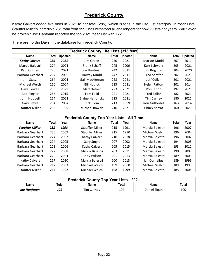#### **Frederick County**

Kathy Calvert added five birds in 2021 to her total (285), which is tops in the Life List category. In Year Lists, Stauffer Miller's incredible 231 total from 1993 has withstood all challengers for now 29 straight years. Will it ever be broken? Joe Hanfman reported the top 2021 Year List with 122.

Paul O'Brien 270 2021 Joe Hanfman 242 2021 Jim Brighton 204 2020 Barbara Gearhart 267 2009 Harvey Mudd 242 2011 Fred Shaffer 202 2021 Jim Stasz 264 2021 Gail Mackiernan 228 2021 Jeff Culler 201 2021 Michael Welch 260 2004 | Bill Hubick 223 2021 | Helen Patton 201 2014

|                      |       |                | <b>Frederick County Life Lists (313 Max)</b> |       |                |                    |     |                      |
|----------------------|-------|----------------|----------------------------------------------|-------|----------------|--------------------|-----|----------------------|
| Name                 | Total | <b>Updated</b> | <b>Name</b>                                  | Total | <b>Updated</b> | Name               |     | <b>Total Updated</b> |
| <b>Kathy Calvert</b> | 285   | 2021           | Jim Green                                    | 250   | 2021           | <b>Marion Mudd</b> | 207 | 2011                 |
| Marcia Balestri      | 274   | 2021           | Frank Schaff                                 | 245   | 2006           | Kurt Schwarz       | 205 | 2021                 |

There are no Big Days in the database for Frederick County.

| Dave Powell            | 256                                               | 2021 | Matt Hafner            | 223   | 2021 | <b>Rob Hilton</b>    | 192   | 2021 |  |  |  |  |
|------------------------|---------------------------------------------------|------|------------------------|-------|------|----------------------|-------|------|--|--|--|--|
| <b>Bob Ringler</b>     | 255                                               | 2015 | Tom Feild              | 221   | 2021 | Fred Fallon          | 182   | 2021 |  |  |  |  |
| John Hubbell           | 254                                               | 2021 | Elaine Hendricks       | 215   | 2021 | <b>Tim Carney</b>    | 180   | 2021 |  |  |  |  |
| Gary Smyle             | 254                                               | 2004 | Rick Blom              | 213   | 1999 | <b>Ron Gutberlet</b> | 163   | 2014 |  |  |  |  |
| <b>Stauffer Miller</b> | 253                                               | 1995 | Michael Bowen          | 210   | 2021 | <b>Chuck Stirrat</b> | 160   | 2021 |  |  |  |  |
|                        |                                                   |      |                        |       |      |                      |       |      |  |  |  |  |
|                        | <b>Frederick County Top Year Lists - All Time</b> |      |                        |       |      |                      |       |      |  |  |  |  |
|                        |                                                   |      |                        |       |      |                      |       |      |  |  |  |  |
| <b>Name</b>            | Total                                             | Year | Name                   | Total | Year | <b>Name</b>          | Total | Year |  |  |  |  |
| <b>Stauffer Miller</b> | 231                                               | 1993 | <b>Stauffer Miller</b> | 215   | 1991 | Marcia Balestri      | 196   | 2007 |  |  |  |  |
| Barbara Gearhart       | 230                                               | 2009 | Stauffer Miller        | 215   | 1990 | Michael Welch        | 196   | 2004 |  |  |  |  |
| Barbara Gearhart       | 224                                               | 2007 | Kathy Calvert          | 210   | 2018 | Marcia Balestri      | 196   | 2002 |  |  |  |  |
| Barbara Gearhart       | 224                                               | 2005 | Gary Smyle             | 207   | 2002 | Marcia Balestri      | 194   | 2008 |  |  |  |  |
| Barbara Gearhart       | 223                                               | 2006 | Kathy Calvert          | 205   | 2015 | Marcia Balestri      | 193   | 2012 |  |  |  |  |

|             | <b>Frederick County Top Year Lists - 2021</b> |             |       |              |       |  |  |  |  |  |  |
|-------------|-----------------------------------------------|-------------|-------|--------------|-------|--|--|--|--|--|--|
| Name        | Total                                         | <b>Name</b> | Total | <b>Name</b>  | Total |  |  |  |  |  |  |
| Joe Hanfman | 122                                           | Tim Carney  | 104   | Daniel Sloan | 100   |  |  |  |  |  |  |

Barbara Gearhart 220 2004 Andy Wilson 201 2013 Marcia Balestri 189 2003 Kathy Calvert 217 2020 Marcia Balestri 200 2013 | Ian Cornelius 189 1996 Barbara Gearhart 217 2003 Michael Welch 199 2000 Michael Welch 189 1995 Stauffer Miller 217 1992 Michael Welch 198 1999 Marcia Balestri 185 2004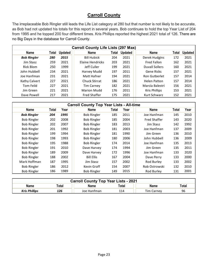#### **Carroll County**

The irreplaceable Bob Ringler still leads the Life List category at 280 but that number is not likely to be accurate, as Bob had not updated his totals for this report in several years. Bob continues to hold the top Year List of 204 from 1995 and he topped 200 four different times. Kris Phillips reported the highest 2021 total of 126. There are no Big Days in the database for Carroll County.

|                    | <b>Carroll County Life Lists (297 Max)</b> |                |                      |       |                |                       |       |                |  |  |  |  |  |
|--------------------|--------------------------------------------|----------------|----------------------|-------|----------------|-----------------------|-------|----------------|--|--|--|--|--|
| <b>Name</b>        | Total                                      | <b>Updated</b> | <b>Name</b>          | Total | <b>Updated</b> | <b>Name</b>           | Total | <b>Updated</b> |  |  |  |  |  |
| <b>Bob Ringler</b> | 280                                        | 2015           | <b>Bill Hubick</b>   | 204   | 2021           | Derek Hudgins         | 172   | 2021           |  |  |  |  |  |
| Jim Stasz          | 259                                        | 2021           | Elaine Hendricks     | 203   | 2021           | <b>Fred Fallon</b>    | 162   | 2021           |  |  |  |  |  |
| <b>Rick Blom</b>   | 250                                        | 1999           | Jeff Culler          | 199   | 2021           | <b>Duvall Sollers</b> | 160   | 2021           |  |  |  |  |  |
| John Hubbell       | 234                                        | 2021           | Harvey Mudd          | 197   | 2011           | Gene Ricks            | 157   | 2021           |  |  |  |  |  |
| Joe Hanfman        | 231                                        | 2021           | Matt Hafner          | 194   | 2021           | Ron Gutberlet         | 157   | 2014           |  |  |  |  |  |
| Kathy Calvert      | 227                                        | 2021           | <b>Chuck Stirrat</b> | 186   | 2021           | <b>Helen Patton</b>   | 157   | 2014           |  |  |  |  |  |
| Tom Feild          | 227                                        | 2021           | <b>Tim Carney</b>    | 182   | 2021           | Marcia Balestri       | 156   | 2021           |  |  |  |  |  |
| Jim Green          | 221                                        | 2021           | <b>Marion Mudd</b>   | 176   | 2011           | <b>Kris Phillips</b>  | 153   | 2021           |  |  |  |  |  |
| Dave Powell        | 217                                        | 2021           | <b>Fred Shaffer</b>  | 175   | 2021           | Kurt Schwarz          | 152   | 2021           |  |  |  |  |  |
|                    |                                            |                |                      |       |                |                       |       |                |  |  |  |  |  |

|                    | <b>Carroll County Top Year Lists - All-time</b> |      |                    |       |      |                     |              |      |  |  |  |  |  |
|--------------------|-------------------------------------------------|------|--------------------|-------|------|---------------------|--------------|------|--|--|--|--|--|
| <b>Name</b>        | Total                                           | Year | <b>Name</b>        | Total | Year | <b>Name</b>         | <b>Total</b> | Year |  |  |  |  |  |
| <b>Bob Ringler</b> | 204                                             | 1995 | <b>Bob Ringler</b> | 185   | 2011 | Joe Hanfman         | 145          | 2010 |  |  |  |  |  |
| <b>Bob Ringler</b> | 202                                             | 2008 | <b>Bob Ringler</b> | 185   | 2004 | <b>Fred Shaffer</b> | 143          | 2020 |  |  |  |  |  |
| <b>Bob Ringler</b> | 202                                             | 2007 | <b>Bob Ringler</b> | 183   | 2013 | Jim Stasz           | 142          | 1992 |  |  |  |  |  |
| <b>Bob Ringler</b> | 201                                             | 1992 | <b>Bob Ringler</b> | 181   | 2003 | Joe Hanfman         | 137          | 2009 |  |  |  |  |  |
| <b>Bob Ringler</b> | 199                                             | 1994 | <b>Bob Ringler</b> | 181   | 1990 | Jim Green           | 136          | 2010 |  |  |  |  |  |
| <b>Bob Ringler</b> | 198                                             | 1993 | <b>Bob Ringler</b> | 180   | 2006 | John Hubbell        | 136          | 2009 |  |  |  |  |  |
| <b>Bob Ringler</b> | 195                                             | 1988 | <b>Bob Ringler</b> | 174   | 2014 | Joe Hanfman         | 135          | 2013 |  |  |  |  |  |
| <b>Bob Ringler</b> | 191                                             | 2010 | Dave Harvey        | 174   | 1994 | Jim Green           | 135          | 2011 |  |  |  |  |  |
| <b>Bob Ringler</b> | 189                                             | 2009 | Dave Harvey        | 172   | 1996 | Joe Hanfman         | 133          | 2020 |  |  |  |  |  |
| <b>Bob Ringler</b> | 188                                             | 2002 | <b>Bill Ellis</b>  | 167   | 2004 | Dave Perry          | 133          | 2000 |  |  |  |  |  |
| Mark Hoffman       | 187                                             | 1995 | Jim Stasz          | 157   | 2002 | Rod Burley          | 133          | 2002 |  |  |  |  |  |
| <b>Bob Ringler</b> | 186                                             | 2012 | Kevin Graff        | 154   | 2007 | Rob Ostrowski       | 132          | 2010 |  |  |  |  |  |
| <b>Bob Ringler</b> | 186                                             | 1989 | <b>Bob Ringler</b> | 149   | 2015 | Rod Burley          | 131          | 2001 |  |  |  |  |  |

| <b>Carroll County Top Year Lists - 2021</b> |                                               |      |       |             |       |  |  |  |  |  |
|---------------------------------------------|-----------------------------------------------|------|-------|-------------|-------|--|--|--|--|--|
| Name                                        | Total                                         | Name | Total | <b>Name</b> | Total |  |  |  |  |  |
| <b>Kris Phillips</b>                        | 96<br>126<br>114<br>Joe Hanfman<br>Tim Carney |      |       |             |       |  |  |  |  |  |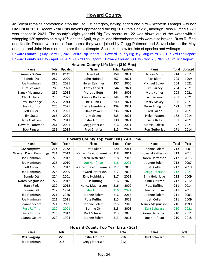#### **Howard County**

Jo Solem remains comfortable atop the Life List category, having added one bird – Western Tanager – to her Life List in 2021. Recent Year Lists haven't approached the big 2012 totals of 231, although Russ Ruffing's 220 was decent in 2021. The county's eight-year-old Big Day record of 122 was blown out of the water with a whopping 129 species on May 10<sup>th</sup>, and the April, August, and November records were also broken. Russ Ruffing and Kristin Trouton were on all four teams; they were joined by Gregg Petersen and Steve Luke on the May attempt, and John Harris on the other three attempts. See links below for lists of species and writeups.

[Howard County Big Day - May 10, 2021 - eBird Trip Report](https://ebird.org/tripreport/45930) [Howard County Big Day - August 29, 2021 - eBird Trip Report](https://ebird.org/tripreport/26520) [Howard County Big Day - April 30, 2021 - eBird Trip Report](https://ebird.org/tripreport/45933) [Howard County Big Day - Nov. 28, 2021 - eBird Trip Report](https://ebird.org/tripreport/26516)

| <b>Howard County Life Lists (310 Max)</b> |       |                |                     |       |                |                     |       |         |  |  |  |  |
|-------------------------------------------|-------|----------------|---------------------|-------|----------------|---------------------|-------|---------|--|--|--|--|
| Name                                      | Total | <b>Updated</b> | <b>Name</b>         | Total | <b>Updated</b> | <b>Name</b>         | Total | Updated |  |  |  |  |
| Joanne Solem                              | 297   | 2021           | Tom Feild           | 258   | 2021           | Harvey Mudd         | 214   | 2011    |  |  |  |  |
| Bonnie Ott                                | 287   | 2020           | John Hubbell        | 257   | 2021           | Rick Blom           | 205   | 1999    |  |  |  |  |
| Joe Hanfman                               | 286   | 2021           | Helen Zeichner      | 257   | 2000           | Michael Bowen       | 204   | 2021    |  |  |  |  |
| Kurt Schwarz                              | 283   | 2021           | Kathy Calvert       | 244   | 2021           | <b>Tim Carney</b>   | 204   | 2021    |  |  |  |  |
| Nancy Magnusson                           | 282   | 2018           | Mary-Jo Betts       | 244   | 2001           | Matt Hafner         | 203   | 2021    |  |  |  |  |
| <b>Chuck Stirrat</b>                      | 278   | 2021           | Connie Bockstie     | 244   | 1994           | Ryan Salsman        | 201   | 2021    |  |  |  |  |
| Emy Holdridge                             | 277   | 2014           | <b>Bill Hubick</b>  | 240   | 2021           | Mary Maxey          | 196   | 2021    |  |  |  |  |
| <b>Russ Ruffing</b>                       | 276   | 2021           | Elaine Hendricks    | 239   | 2021           | Derek Hudgins       | 193   | 2021    |  |  |  |  |
| Jeff Culler                               | 271   | 2021           | Dave Powell         | 236   | 2021           | <b>Fred Fallon</b>  | 186   | 2021    |  |  |  |  |
| Jim Stasz                                 | 266   | 2021           | Jim Green           | 235   | 2021           | <b>Helen Patton</b> | 182   | 2014    |  |  |  |  |
| Jane Coskren                              | 265   | 2011           | Kristin Trouton     | 230   | 2021           | <b>Gene Ricks</b>   | 181   | 2021    |  |  |  |  |
| <b>Howard Patterson</b>                   | 261   | 2021           | Gregg Petersen      | 216   | 2021           | Marcia Balestri     | 177   | 2021    |  |  |  |  |
| <b>Bob Ringler</b>                        | 259   | 2015           | <b>Fred Shaffer</b> | 215   | 2021           | Ron Gutberlet       | 171   | 2014    |  |  |  |  |

|                              | <b>Howard County Top Year Lists - All Time</b> |      |                           |       |      |                         |       |      |  |  |  |  |  |
|------------------------------|------------------------------------------------|------|---------------------------|-------|------|-------------------------|-------|------|--|--|--|--|--|
| <b>Name</b>                  | Total                                          | Year | Name                      | Total | Year | Name                    | Total | Year |  |  |  |  |  |
| Joe Hanfman                  | 231                                            | 2012 | Jeff Culler               | 220   | 2011 | Joanne Solem            | 213   | 2001 |  |  |  |  |  |
| <b>Warren David Cummings</b> | 231                                            | 2012 | Warren David Cummings 218 |       | 2011 | <b>Howard Patterson</b> | 213   | 2012 |  |  |  |  |  |
| Joe Hanfman                  | 226                                            | 2013 | Karen Heffernan           | 218   | 2012 | Karen Heffernan         | 212   | 2013 |  |  |  |  |  |
| Joe Hanfman                  | 226                                            | 2010 | Joe Hanfman               | 218   | 2021 | Joanne Solem            | 212   | 2007 |  |  |  |  |  |
| Jeff Culler                  | 226                                            | 2012 | Warren David Cummings 217 |       | 2013 | Jeff Culler             | 212   | 2010 |  |  |  |  |  |
| Joe Hanfman                  | 225                                            | 2009 | <b>Howard Patterson</b>   | 217   | 2013 | <b>Gregg Petersen</b>   | 212   | 2021 |  |  |  |  |  |
| Bonnie Ott                   | 224                                            | 2001 | Emy Holdridge             | 217   | 2012 | Emy Holdridge           | 212   | 2009 |  |  |  |  |  |
| Nancy Magnusson              | 222                                            | 2012 | <b>Russ Ruffing</b>       | 216   | 2020 | Chuck Stirrat           | 212   | 2012 |  |  |  |  |  |
| Harry Fink                   | 222                                            | 2012 | Nancy Magnusson           | 216   | 2009 | <b>Russ Ruffing</b>     | 211   | 2014 |  |  |  |  |  |
| Bonnie Ott                   | 222                                            | 1994 | <b>Kristin Trouton</b>    | 216   | 2021 | Joe Hanfman             | 211   | 2014 |  |  |  |  |  |
| Joe Hanfman                  | 221                                            | 2020 | Joanne Solem              | 216   | 2012 | Joanne Solem            | 211   | 2003 |  |  |  |  |  |
| Joe Hanfman                  | 221                                            | 2011 | <b>Russ Ruffing</b>       | 215   | 2013 | Jeff Culler             | 211   | 2009 |  |  |  |  |  |
| Joanne Solem                 | 221                                            | 2009 | Joanne Solem              | 215   | 2010 | Nancy Magnusson         | 210   | 1990 |  |  |  |  |  |
| <b>Russ Ruffing</b>          | 220                                            | 2021 | Bonnie Ott                | 215   | 2003 | <b>Kurt Schwarz</b>     | 210   | 2021 |  |  |  |  |  |
| <b>Russ Ruffing</b>          | 220                                            | 2012 | Kurt Schwarz              | 213   | 2020 | Karen Heffernan         | 210   | 2011 |  |  |  |  |  |
| Joanne Solem                 | 220                                            | 1994 | Joanne Solem              | 213   | 2011 | Joe Hanfman             | 210   | 2015 |  |  |  |  |  |

| <b>Howard County Top Year Lists - 2021</b>             |     |                 |     |              |     |  |  |  |  |  |
|--------------------------------------------------------|-----|-----------------|-----|--------------|-----|--|--|--|--|--|
| <b>Name</b><br>Name<br>Name<br>Total<br>Total<br>Total |     |                 |     |              |     |  |  |  |  |  |
| <b>Russ Ruffing</b>                                    | 220 | Kristin Trouton | 216 | Kurt Schwarz | 210 |  |  |  |  |  |
| Joe Hanfman                                            | 218 | Gregg Petersen  | 212 |              |     |  |  |  |  |  |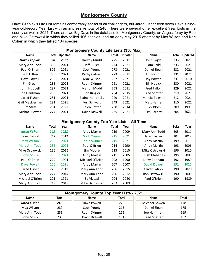#### **Montgomery County**

Dave Czaplak's Life List remains comfortably ahead of all challengers, but Jared Fisher took down Dave's nineyear-old-record Year List with an impressive total of 248! There were several other excellent Year Lists in the county as well in 2021. There are two Big Days in the database for Montgomery County, an August foray by Rob and Mike Ostrowski in which they tallied 106 species, and an early May 2015 attempt by Max Wilson and Kari Cohen in which they tallied 104 species.

|                     | <b>Montgomery County Life Lists (350 Max)</b> |                |                         |       |                |                     |              |                |  |  |  |  |  |
|---------------------|-----------------------------------------------|----------------|-------------------------|-------|----------------|---------------------|--------------|----------------|--|--|--|--|--|
| <b>Name</b>         | Total                                         | <b>Updated</b> | <b>Name</b>             | Total | <b>Updated</b> | <b>Name</b>         | <b>Total</b> | <b>Updated</b> |  |  |  |  |  |
| <b>Dave Czaplak</b> | 328                                           | 2021           | Harvey Mudd             | 275   | 2011           | John Sojda          | 233          | 2021           |  |  |  |  |  |
| Mary Ann Todd       | 309                                           | 2021           | Jeff Culler             | 274   | 2021           | Tom Feild           | 233          | 2021           |  |  |  |  |  |
| Paul O'Brien        | 302                                           | 2021           | Scott Young             | 273   | 2021           | Daniel Sloan        | 232          | 2021           |  |  |  |  |  |
| Rob Hilton          | 295                                           | 2021           | Kathy Calvert           | 273   | 2021           | Jim Nelson          | 231          | 2021           |  |  |  |  |  |
| Dave Powell         | 292                                           | 2021           | Max Wilson              | 267   | 2021           | Joy Bowen           | 231          | 2010           |  |  |  |  |  |
| Jim Green           | 288                                           | 2021           | Robin Skinner           | 261   | 2021           | <b>Bill Hubick</b>  | 230          | 2021           |  |  |  |  |  |
| John Hubbell        | 287                                           | 2021           | Marion Mudd             | 258   | 2011           | <b>Fred Fallon</b>  | 229          | 2021           |  |  |  |  |  |
| Joe Hanfman         | 285                                           | 2021           | <b>Bob Ringler</b>      | 254   | 2015           | <b>Fred Shaffer</b> | 219          | 2021           |  |  |  |  |  |
| Jared Fisher        | 281                                           | 2021           | <b>Elaine Hendricks</b> | 249   | 2021           | Marcia Balestri     | 212          | 2021           |  |  |  |  |  |
| Gail Mackiernan     | 281                                           | 2021           | Kurt Schwarz            | 243   | 2021           | Matt Hafner         | 210          | 2021           |  |  |  |  |  |
| Jim Stasz           | 281                                           | 2021           | <b>Helen Patton</b>     | 238   | 2014           | Rick Blom           | 209          | 1999           |  |  |  |  |  |
| Michael Bowen       | 277                                           | 2021           | David Kidwell           | 235   | 2021           | <b>Tim Carney</b>   | 204          | 2021           |  |  |  |  |  |

|                     |       |      | <b>Montgomery County Top Year Lists - All Time</b> |       |      |                |       |      |
|---------------------|-------|------|----------------------------------------------------|-------|------|----------------|-------|------|
| <b>Name</b>         | Total | Year | <b>Name</b>                                        | Total | Year | <b>Name</b>    | Total | Year |
| <b>Jared Fisher</b> | 248   | 2021 | Andy Martin                                        | 219   | 2009 | Mary Ann Todd  | 203   | 2011 |
| Dave Czaplak        | 242   | 2012 | <b>Scott Young</b>                                 | 215   | 2021 | Jared Fisher   | 202   | 2012 |
| Max Wilson          | 239   | 2021 | <b>Robin Skinner</b>                               | 215   | 2021 | Andy Martin    | 199   | 2011 |
| Mary Ann Todd       | 236   | 2021 | Paul O'Brien                                       | 214   | 1990 | Andy Martin    | 198   | 2006 |
| Mike Ostrowski      | 236   | 2015 | Jim Moore                                          | 213   | 2010 | Mike Ostrowski | 196   | 2010 |
| John Sojda          | 233   | 2021 | <b>Andy Martin</b>                                 | 211   | 2005 | Hugh Mahanes   | 195   | 2005 |
| Paul O'Brien        | 229   | 1991 | Michael O'Brien                                    | 208   | 1990 | Larry Bonham   | 192   | 1989 |
| Dave Powell         | 226   | 2021 | Andy Martin                                        | 207   | 2007 | David Kidwell  | 191   | 2021 |
| Jared Fisher        | 225   | 2011 | Mary Ann Todd                                      | 206   | 2015 | Oliver Patrick | 190   | 2020 |
| Mary Ann Todd       | 224   | 2014 | Mary Ann Todd                                      | 206   | 2012 | Rob Ostrowski  | 190   | 2009 |
| Michael O'Brien     | 221   | 1991 | Ed Vigezzi                                         | 204   | 2020 | Paul O'Brien   | 190   | 1989 |
| Mary Ann Todd       | 219   | 2013 | Mike Ostrowski                                     | 203   | 2009 |                |       |      |

| <b>Montgomery County Top Year Lists - 2021</b>                       |     |               |     |                     |     |  |  |  |  |  |  |
|----------------------------------------------------------------------|-----|---------------|-----|---------------------|-----|--|--|--|--|--|--|
| Total<br>Total<br><b>Name</b><br>Total<br><b>Name</b><br><b>Name</b> |     |               |     |                     |     |  |  |  |  |  |  |
| <b>Jared Fisher</b>                                                  | 248 | Dave Powell   | 226 | Michael Bowen       | 178 |  |  |  |  |  |  |
| Max Wilson                                                           | 239 | Scott Young   | 215 | Daniel Sloan        | 175 |  |  |  |  |  |  |
| Mary Ann Todd                                                        | 236 | Robin Skinner | 215 | Joe Hanfman         | 169 |  |  |  |  |  |  |
| John Sojda                                                           | 233 | David Kidwell | 191 | <b>Fred Shaffer</b> | 152 |  |  |  |  |  |  |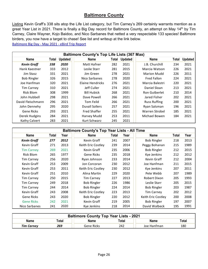#### **Baltimore County**

Listing Kevin Graff's 338 sits atop the Life List category, but Tim Carney's 269 certainly warrants mention as a great Year List in 2021. There is finally a Big Day record for Baltimore County, an attempt on May 14<sup>th</sup> by Tim Carney, Claire Wayner, Kojo Baidoo, and Nico Sarbanes that netted a very respectable 133 species! Baltimore birders, you now have a target to chase! See list and writeup at the link below.

[Baltimore Big Day - May 2021 - eBird Trip Report](https://ebird.org/tripreport/2133)

|                    | <b>Baltimore County's Top Life Lists (367 Max)</b> |                |                     |       |                |                     |       |                |  |  |  |  |  |
|--------------------|----------------------------------------------------|----------------|---------------------|-------|----------------|---------------------|-------|----------------|--|--|--|--|--|
| Name               | Total                                              | <b>Updated</b> | <b>Name</b>         | Total | <b>Updated</b> | <b>Name</b>         | Total | <b>Updated</b> |  |  |  |  |  |
| <b>Kevin Graff</b> | 338                                                | 2020           | Matt Hafner         | 282   | 2021           | J.B. Churchill      | 234   | 2021           |  |  |  |  |  |
| Hank Kaestner      | 333                                                | 2012           | Leslie Starr        | 281   | 2015           | Marcia Watson       | 226   | 2021           |  |  |  |  |  |
| Jim Stasz          | 331                                                | 2021           | Jim Green           | 278   | 2021           | <b>Marion Mudd</b>  | 226   | 2011           |  |  |  |  |  |
| <b>Bob Ringler</b> | 326                                                | 2015           | Nico Sarbanes       | 278   | 2020           | <b>Fred Fallon</b>  | 224   | 2021           |  |  |  |  |  |
| Joe Hanfman        | 320                                                | 2021           | Elaine Hendricks    | 276   | 2021           | Marcia Balestri     | 220   | 2021           |  |  |  |  |  |
| <b>Tim Carney</b>  | 310                                                | 2021           | Jeff Culler         | 274   | 2021           | Daniel Sloan        | 213   | 2021           |  |  |  |  |  |
| Rick Blom          | 308                                                | 1999           | <b>Bill Hubick</b>  | 268   | 2021           | Ron Gutberlet       | 210   | 2014           |  |  |  |  |  |
| John Hubbell       | 298                                                | 2021           | Dave Powell         | 266   | 2021           | Jared Fisher        | 202   | 2021           |  |  |  |  |  |
| David Fleischmann  | 296                                                | 2021           | Tom Feild           | 266   | 2021           | <b>Russ Ruffing</b> | 200   | 2021           |  |  |  |  |  |
| John Dennehy       | 295                                                | 2020           | Duvall Sollers      | 257   | 2021           | Ryan Salsman        | 196   | 2021           |  |  |  |  |  |
| Gene Ricks         | 293                                                | 2021           | <b>Fred Shaffer</b> | 255   | 2021           | Warren Strobel      | 185   | 2021           |  |  |  |  |  |
| Derek Hudgins      | 284                                                | 2021           | Harvey Mudd         | 253   | 2011           | Michael Bowen       | 184   | 2021           |  |  |  |  |  |
| Kathy Calvert      | 283                                                | 2021           | Kurt Schwarz        | 245   | 2021           |                     |       |                |  |  |  |  |  |

|                    | <b>Baltimore County's Top Year Lists - All Time</b> |      |                    |       |      |                    |       |      |  |  |  |  |  |
|--------------------|-----------------------------------------------------|------|--------------------|-------|------|--------------------|-------|------|--|--|--|--|--|
| Name               | Total                                               | Year | <b>Name</b>        | Total | Year | <b>Name</b>        | Total | Year |  |  |  |  |  |
| <b>Kevin Graff</b> | 277                                                 | 2012 | Kevin Graff        | 241   | 2007 | <b>Bob Ringler</b> | 218   | 2013 |  |  |  |  |  |
| Kevin Graff        | 271                                                 | 2013 | Keith Eric Costley | 239   | 2014 | Peggy Bohanan      | 215   | 1989 |  |  |  |  |  |
| <b>Tim Carney</b>  | 269                                                 | 2021 | Kevin Graff        | 235   | 2006 | <b>Bob Ringler</b> | 212   | 2015 |  |  |  |  |  |
| Rick Blom          | 265                                                 | 1977 | Gene Ricks         | 235   | 2018 | Kye Jenkins        | 212   | 2012 |  |  |  |  |  |
| <b>Tim Carney</b>  | 256                                                 | 2020 | Ryan Johnson       | 233   | 2014 | Kevin Graff        | 212   | 2004 |  |  |  |  |  |
| Kevin Graff        | 253                                                 | 2009 | Jon Corcoran       | 230   | 2012 | Joe Hanfman        | 211   | 2015 |  |  |  |  |  |
| Kevin Graff        | 253                                                 | 2011 | Keith Eric Costley | 230   | 2012 | Kye Jenkins        | 207   | 2011 |  |  |  |  |  |
| Kevin Graff        | 251                                                 | 2010 | Alina Martin       | 229   | 2020 | Pete Webb          | 207   | 1989 |  |  |  |  |  |
| <b>Tim Carney</b>  | 250                                                 | 2015 | <b>Tim Carney</b>  | 227   | 2013 | Robert Dixon       | 205   | 1993 |  |  |  |  |  |
| <b>Tim Carney</b>  | 249                                                 | 2018 | <b>Bob Ringler</b> | 226   | 1986 | Leslie Starr       | 205   | 2015 |  |  |  |  |  |
| <b>Tim Carney</b>  | 244                                                 | 2014 | <b>Bob Ringler</b> | 224   | 2014 | <b>Bob Ringler</b> | 203   | 1987 |  |  |  |  |  |
| Kevin Graff        | 243                                                 | 2008 | Keith Eric Costley | 223   | 2013 | <b>Tim Carney</b>  | 202   | 2012 |  |  |  |  |  |
| <b>Gene Ricks</b>  | 243                                                 | 2020 | <b>Bob Ringler</b> | 220   | 2012 | Keith Eric Costley | 200   | 2008 |  |  |  |  |  |
| <b>Gene Ricks</b>  | 242                                                 | 2021 | Kevin Graff        | 219   | 2005 | <b>Bob Ringler</b> | 197   | 2007 |  |  |  |  |  |
| Nico Sarbanes      | 241                                                 | 2020 | Kye Jenkins        | 218   | 2014 | David Walbeck      | 195   | 1991 |  |  |  |  |  |

| <b>Baltimore County Top Year Lists - 2021</b> |       |            |       |             |       |  |  |  |  |  |
|-----------------------------------------------|-------|------------|-------|-------------|-------|--|--|--|--|--|
| Name                                          | Total | Name       | Total | <b>Name</b> | Total |  |  |  |  |  |
| <b>Tim Carney</b>                             | 269   | Gene Ricks | 242   | Joe Hanfman | 180   |  |  |  |  |  |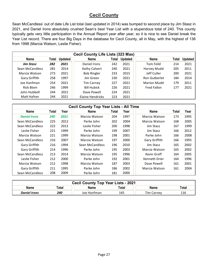#### **Cecil County**

Sean McCandless' out of date Life List total (last updated in 2014) was bumped to second place by Jim Stasz in 2021, and Daniel Irons absolutely crushed Sean's best Year List with a stupendous total of 240. This county typically gets very little participation in the Annual Report year after year, so it is nice to see Daniel break the Year List record. There are four Big Days in the database for Cecil County, all in May, with the highest of 136 from 1998 (Marcia Watson, Leslie Fisher).

|                  | <b>Cecil County Life Lists (323 Max)</b> |                |                    |       |                |                    |       |                |  |  |  |  |  |
|------------------|------------------------------------------|----------------|--------------------|-------|----------------|--------------------|-------|----------------|--|--|--|--|--|
| <b>Name</b>      | Total                                    | <b>Updated</b> | <b>Name</b>        | Total | <b>Updated</b> | <b>Name</b>        | Total | <b>Updated</b> |  |  |  |  |  |
| <b>Jim Stasz</b> | 282                                      | 2021           | Daniel Irons       | 242   | 2021           | Tom Feild          | 214   | 2021           |  |  |  |  |  |
| Sean McCandless  | 281                                      | 2014           | Kathy Calvert      | 240   | 2021           | Harvey Mudd        | 205   | 2011           |  |  |  |  |  |
| Marcia Watson    | 273                                      | 2021           | <b>Bob Ringler</b> | 233   | 2015           | Jeff Culler        | 200   | 2021           |  |  |  |  |  |
| Gary Griffith    | 258                                      | 1997           | Jim Green          | 230   | 2021           | Ron Gutberlet      | 184   | 2014           |  |  |  |  |  |
| Joe Hanfman      | 254                                      | 2021           | <b>Tim Carney</b>  | 227   | 2021           | <b>Marion Mudd</b> | 179   | 2011           |  |  |  |  |  |
| Rick Blom        | 246                                      | 1999           | <b>Bill Hubick</b> | 226   | 2021           | Fred Fallon        | 177   | 2021           |  |  |  |  |  |
| John Hubbell     | 244                                      | 2021           | Dave Powell        | 224   | 2021           |                    |       |                |  |  |  |  |  |
| Matt Hafner      | 244                                      | 2021           | Elaine Hendricks   | 223   | 2021           |                    |       |                |  |  |  |  |  |

|                     | <b>Cecil County Top Year Lists - All Time</b> |      |                 |       |      |               |       |      |  |  |  |  |
|---------------------|-----------------------------------------------|------|-----------------|-------|------|---------------|-------|------|--|--|--|--|
| <b>Name</b>         | Total                                         | Year | <b>Name</b>     | Total | Year | <b>Name</b>   | Total | Year |  |  |  |  |
| <b>Daniel Irons</b> | 240                                           | 2021 | Marcia Watson   | 204   | 1997 | Marcia Watson | 173   | 1995 |  |  |  |  |
| Sean McCandless     | 225                                           | 2012 | Parke John      | 202   | 2004 | Marcia Watson | 168   | 2005 |  |  |  |  |
| Sean McCandless     | 222                                           | 2013 | Leslie Fisher   | 200   | 1998 | Jim Stasz     | 167   | 1999 |  |  |  |  |
| Leslie Fisher       | 221                                           | 1999 | Parke John      | 199   | 2007 | Jim Stasz     | 166   | 2012 |  |  |  |  |
| Marcia Watson       | 221                                           | 1999 | Marcia Watson   | 198   | 2001 | Parke John    | 166   | 2008 |  |  |  |  |
| Sean McCandless     | 216                                           | 2007 | Marcia Watson   | 197   | 2000 | Gary Griffith | 166   | 1993 |  |  |  |  |
| Gary Griffith       | 216                                           | 1994 | Sean McCandless | 196   | 2010 | Jim Stasz     | 165   | 2002 |  |  |  |  |
| Gary Griffith       | 214                                           | 1996 | Parke John      | 195   | 2003 | Marcia Watson | 165   | 2002 |  |  |  |  |
| Sean McCandless     | 213                                           | 2014 | Marcia Watson   | 195   | 1996 | Kevin Graff   | 164   | 2005 |  |  |  |  |
| Leslie Fisher       | 212                                           | 2000 | Parke John      | 192   | 2001 | Kenneth Drier | 164   | 1996 |  |  |  |  |
| Marcia Watson       | 212                                           | 1998 | Marcia Watson   | 187   | 2003 | Dave Powell   | 161   | 2001 |  |  |  |  |
| Gary Griffith       | 211                                           | 1995 | Parke John      | 186   | 2002 | Marcia Watson | 161   | 2004 |  |  |  |  |
| Sean McCandless     | 208                                           | 2009 | Parke John      | 181   | 2000 |               |       |      |  |  |  |  |

| <b>Cecil County Top Year Lists - 2021</b> |                                                |             |     |                   |     |  |  |  |  |  |
|-------------------------------------------|------------------------------------------------|-------------|-----|-------------------|-----|--|--|--|--|--|
| <b>Name</b>                               | <b>Name</b><br>Total<br>Total<br>™otal<br>Name |             |     |                   |     |  |  |  |  |  |
| <b>Daniel Irons</b>                       | 240                                            | Joe Hanfman | 145 | <b>Tim Carney</b> | 116 |  |  |  |  |  |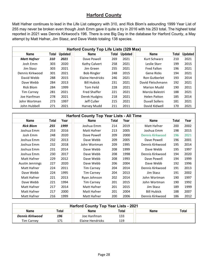#### **Harford County**

Matt Hafner continues to lead in the Life List category with 310, and Rick Blom's astounding 1999 Year List of 255 may never be broken even though Josh Emm gave it quite a try in 2016 with his 253 total. The highest total reported in 2021 was Dennis Kirkwood's 196. There is one Big Day in the database for Harford County, a May attempt by Matt Hafner, Jim Stasz, and Dave Webb totaling 138 species.

|                    | Harford County Top Life Lists (329 Max) |                |                     |       |                |                       |       |                |  |  |  |  |  |
|--------------------|-----------------------------------------|----------------|---------------------|-------|----------------|-----------------------|-------|----------------|--|--|--|--|--|
| <b>Name</b>        | Total                                   | <b>Updated</b> | <b>Name</b>         | Total | <b>Updated</b> | <b>Name</b>           | Total | <b>Updated</b> |  |  |  |  |  |
| <b>Matt Hafner</b> | 310                                     | 2021           | Dave Powell         | 269   | 2021           | Kurt Schwarz          | 210   | 2021           |  |  |  |  |  |
| Josh Emm           | 303                                     | 2020           | Kathy Calvert       | 258   | 2021           | Leslie Starr          | 199   | 2015           |  |  |  |  |  |
| Jim Stasz          | 303                                     | 2021           | Jim Green           | 255   | 2021           | Fred Fallon           | 196   | 2021           |  |  |  |  |  |
| Dennis Kirkwood    | 301                                     | 2021           | <b>Bob Ringler</b>  | 248   | 2015           | <b>Gene Ricks</b>     | 194   | 2021           |  |  |  |  |  |
| David Webb         | 288                                     | 2015           | Elaine Hendricks    | 246   | 2021           | <b>Ron Gutberlet</b>  | 193   | 2014           |  |  |  |  |  |
| Dave Webb          | 284                                     | 2013           | <b>Bill Hubick</b>  | 231   | 2021           | David Fleischmann     | 192   | 2021           |  |  |  |  |  |
| Rick Blom          | 284                                     | 1999           | Tom Feild           | 228   | 2021           | <b>Marion Mudd</b>    | 190   | 2011           |  |  |  |  |  |
| <b>Tim Carney</b>  | 281                                     | 2021           | <b>Fred Shaffer</b> | 221   | 2021           | Marcia Balestri       | 188   | 2021           |  |  |  |  |  |
| Joe Hanfman        | 278                                     | 2021           | Derek Hudgins       | 218   | 2021           | <b>Helen Patton</b>   | 185   | 2014           |  |  |  |  |  |
| John Wortman       | 273                                     | 1997           | Jeff Culler         | 215   | 2021           | <b>Duvall Sollers</b> | 181   | 2021           |  |  |  |  |  |
| John Hubbell       | 271                                     | 2021           | Harvey Mudd         | 211   | 2011           | David Kidwell         | 170   | 2021           |  |  |  |  |  |

|                  |       |      | <b>Harford County Top Year Lists - All Time</b> |       |      |                    |       |      |
|------------------|-------|------|-------------------------------------------------|-------|------|--------------------|-------|------|
| <b>Name</b>      | Total | Year | <b>Name</b>                                     | Total | Year | <b>Name</b>        | Total | Year |
| <b>Rick Blom</b> | 255   | 1999 | Joshua Emm                                      | 214   | 2019 | Matt Hafner        | 200   | 2002 |
| Joshua Emm       | 253   | 2016 | Matt Hafner                                     | 213   | 2005 | Joshua Emm         | 198   | 2015 |
| Josh Emm         | 248   | 2020 | Dave Powell                                     | 209   | 2000 | Dennis Kirkwood    | 196   | 2021 |
| Joshua Emm       | 232   | 2013 | Dave Webb                                       | 209   | 2005 | Dave Powell        | 196   | 2001 |
| Joshua Emm       | 232   | 2018 | John Wortman                                    | 209   | 1995 | Dennis Kirkwood    | 195   | 2014 |
| Joshua Emm       | 231   | 2014 | Dave Webb                                       | 208   | 1999 | Dave Webb          | 195   | 1997 |
| Joshua Emm       | 230   | 2017 | Dave Webb                                       | 208   | 1998 | Dennis Kirkwood    | 194   | 2020 |
| Matt Hafner      | 229   | 2012 | Dave Webb                                       | 208   | 1993 | Dave Powell        | 194   | 1999 |
| Austin Jennings  | 227   | 2020 | Dave Webb                                       | 206   | 2004 | Dave Webb          | 192   | 1996 |
| Matt Hafner      | 224   | 2011 | <b>Tim Carney</b>                               | 204   | 2014 | Dennis Kirkwood    | 191   | 2013 |
| Dave Webb        | 224   | 1995 | <b>Tim Carney</b>                               | 204   | 2013 | Jim Stasz          | 191   | 2002 |
| Matt Hafner      | 221   | 2013 | Ryan Johnson                                    | 202   | 2014 | John Wortman       | 190   | 1997 |
| Dave Webb        | 221   | 1994 | <b>Tim Carney</b>                               | 201   | 2015 | John Wortman       | 190   | 1992 |
| Matt Hafner      | 217   | 2014 | Matt Hafner                                     | 201   | 2015 | Jim Stasz          | 189   | 1999 |
| Matt Hafner      | 217   | 2000 | Matt Hafner                                     | 201   | 2004 | <b>Bill Hubick</b> | 188   | 2007 |
| Matt Hafner      | 216   | 1999 | Matt Hafner                                     | 200   | 2006 | Dennis Kirkwood    | 186   | 2012 |

| <b>Harford County Top Year Lists - 2021</b> |       |                  |       |      |       |  |  |  |  |  |
|---------------------------------------------|-------|------------------|-------|------|-------|--|--|--|--|--|
| <b>Name</b>                                 | Total | <b>Name</b>      | Total | Name | Total |  |  |  |  |  |
| Dennis Kirkwood                             | 196   | Joe Hanfman      | 133   |      |       |  |  |  |  |  |
| <b>Tim Carney</b>                           | 171   | Elaine Hendricks | 119   |      |       |  |  |  |  |  |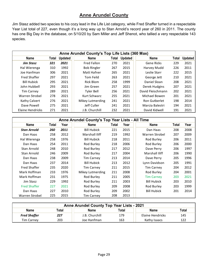#### **Anne Arundel County**

Jim Stasz added two species to his cozy lead in the Life List category, while Fred Shaffer turned in a respectable Year List total of 227, even though it's a long way up to Stan Arnold's record year of 260 in 2011. The county has one Big Day in the database, on 5/10/20 by Sam Miller and Jeff Shenot, who tallied a very respectable 143 species.

|                     | Anne Arundel County's Top Life Lists (360 Max) |                |                    |       |                |                   |       |                |  |  |  |  |  |
|---------------------|------------------------------------------------|----------------|--------------------|-------|----------------|-------------------|-------|----------------|--|--|--|--|--|
| <b>Name</b>         | Total                                          | <b>Updated</b> | <b>Name</b>        | Total | <b>Updated</b> | <b>Name</b>       | Total | <b>Updated</b> |  |  |  |  |  |
| <b>Jim Stasz</b>    | 321                                            | 2021           | Fred Fallon        | 270   | 2021           | <b>Gene Ricks</b> | 229   | 2021           |  |  |  |  |  |
| Hal Wierenga        | 310                                            | 1992           | <b>Bob Ringler</b> | 267   | 2015           | Harvey Mudd       | 226   | 2011           |  |  |  |  |  |
| Joe Hanfman         | 306                                            | 2021           | Matt Hafner        | 265   | 2021           | Leslie Starr      | 222   | 2015           |  |  |  |  |  |
| <b>Fred Shaffer</b> | 297                                            | 2021           | Tom Feild          | 263   | 2021           | George Jett       | 210   | 2021           |  |  |  |  |  |
| <b>Bill Hubick</b>  | 295                                            | 2021           | Rick Blom          | 258   | 1999           | Daniel Sloan      | 208   | 2021           |  |  |  |  |  |
| John Hubbell        | 293                                            | 2021           | Jim Green          | 257   | 2021           | Derek Hudgins     | 207   | 2021           |  |  |  |  |  |
| <b>Tim Carney</b>   | 289                                            | 2021           | Tyler Bell         | 256   | 2021           | David Fleischmann | 202   | 2021           |  |  |  |  |  |
| Warren Strobel      | 278                                            | 2021           | Kurt Schwarz       | 255   | 2021           | Michael Bowen     | 201   | 2021           |  |  |  |  |  |
| Kathy Calvert       | 276                                            | 2021           | Mikey Lutmerding   | 241   | 2021           | Ron Gutberlet     | 198   | 2014           |  |  |  |  |  |
| Dave Powell         | 275                                            | 2021           | Jeff Culler        | 241   | 2021           | Marcia Balestri   | 194   | 2021           |  |  |  |  |  |
| Elaine Hendricks    | 271                                            | 2021           | J.B. Churchill     | 232   | 2021           | David Kidwell     | 191   | 2021           |  |  |  |  |  |

|                     |       |      | Anne Arundel County's Top Year Lists - All Time |       |      |                    |       |      |
|---------------------|-------|------|-------------------------------------------------|-------|------|--------------------|-------|------|
| <b>Name</b>         | Total | Year | <b>Name</b>                                     | Total | Year | <b>Name</b>        | Total | Year |
| <b>Stan Arnold</b>  | 260   | 2011 | <b>Bill Hubick</b>                              | 221   | 2015 | Dan Haas           | 208   | 2008 |
| Dan Haas            | 258   | 2012 | Marshall Iliff                                  | 219   | 1992 | Warren Strobel     | 207   | 2009 |
| Hal Wierenga        | 258   | 1976 | <b>Bill Hubick</b>                              | 218   | 2011 | Rod Burley         | 206   | 2011 |
| Dan Haas            | 254   | 2011 | Rod Burley                                      | 218   | 2006 | Rod Burley         | 206   | 2000 |
| Stan Arnold         | 248   | 2010 | Rod Burley                                      | 217   | 2012 | Dave Perry         | 206   | 1997 |
| Stan Arnold         | 246   | 2009 | Rod Burley                                      | 217   | 2004 | Marshall Iliff     | 206   | 1990 |
| Dan Haas            | 238   | 2009 | <b>Tim Carney</b>                               | 213   | 2014 | Dave Perry         | 205   | 1996 |
| Dan Haas            | 237   | 2014 | <b>Bill Hubick</b>                              | 213   | 2012 | Lynn Davidson      | 205   | 1991 |
| <b>Fred Shaffer</b> | 235   | 2020 | <b>Tim Carney</b>                               | 211   | 2015 | <b>Tim Carney</b>  | 204   | 2012 |
| Mark Hoffman        | 233   | 1976 | Mikey Lutmerding                                | 211   | 2008 | Rod Burley         | 204   | 2001 |
| Mark Hoffman        | 231   | 1975 | Rod Burley                                      | 211   | 2005 | <b>Tim Carney</b>  | 203   | 2021 |
| Jim Stasz           | 229   | 1992 | Rod Burley                                      | 211   | 2003 | <b>Bill Hubick</b> | 203   | 2010 |
| <b>Fred Shaffer</b> | 227   | 2021 | Rod Burley                                      | 209   | 2008 | Rod Burley         | 203   | 1999 |
| Dan Haas            | 227   | 2010 | Rod Burley                                      | 209   | 2002 | <b>Bill Hubick</b> | 201   | 2014 |
| Warren Strobel      | 225   | 2015 | <b>Tim Carney</b>                               | 208   | 2013 |                    |       |      |

| <b>Anne Arundel County Top Year Lists - 2021</b>              |     |                |     |                  |     |  |  |  |  |  |
|---------------------------------------------------------------|-----|----------------|-----|------------------|-----|--|--|--|--|--|
| <b>Name</b><br>Total<br><b>Name</b><br>Total<br>Total<br>Name |     |                |     |                  |     |  |  |  |  |  |
| <b>Fred Shaffer</b>                                           | 227 | J.B. Churchill | 179 | Elaine Hendricks | 145 |  |  |  |  |  |
| <b>Tim Carney</b>                                             | 203 | Joe Hanfman    | 163 | Kathy Isaacs     | 122 |  |  |  |  |  |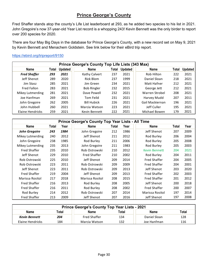#### **Prince George's County**

Fred Shaffer stands atop the county's Life List leaderboard at 293, as he added two species to his list in 2021. John Gregoire's now 37-year-old Year List record is a whopping 243! Kevin Bennett was the only birder to report over 200 species for 2020.

There are four May Big Days in the database for Prince George's County, with a new record set on May 9, 2021 by Kevin Bennett and Menachem Goldstein. See link below for their eBird trip report.

#### <https://ebird.org/tripreport/9150>

|                     | Prince George's County Top Life Lists (343 Max) |                |                    |       |                |                 |       |                |  |  |  |  |
|---------------------|-------------------------------------------------|----------------|--------------------|-------|----------------|-----------------|-------|----------------|--|--|--|--|
| Name                | Total                                           | <b>Updated</b> | Name               | Total | <b>Updated</b> | <b>Name</b>     | Total | <b>Updated</b> |  |  |  |  |
| <b>Fred Shaffer</b> | 293                                             | 2021           | Kathy Calvert      | 237   | 2021           | Rob Hilton      | 222   | 2021           |  |  |  |  |
| Jeff Shenot         | 289                                             | 2020           | Rick Blom          | 237   | 1999           | Daniel Sloan    | 218   | 2021           |  |  |  |  |
| Jim Stasz           | 285                                             | 2021           | Jim Green          | 234   | 2021           | Matt Hafner     | 212   | 2021           |  |  |  |  |
| <b>Fred Fallon</b>  | 283                                             | 2021           | <b>Bob Ringler</b> | 232   | 2015           | George Jett     | 212   | 2021           |  |  |  |  |
| Mikey Lutmerding    | 281                                             | 2021           | Dave Powell        | 232   | 2021           | Warren Strobel  | 208   | 2021           |  |  |  |  |
| Joe Hanfman         | 269                                             | 2021           | Tom Feild          | 231   | 2021           | Harvey Mudd     | 207   | 2011           |  |  |  |  |
| John Gregoire       | 262                                             | 2005           | <b>Bill Hubick</b> | 226   | 2021           | Gail Mackiernan | 196   | 2021           |  |  |  |  |
| John Hubbell        | 260                                             | 2021           | Marcia Watson      | 223   | 2021           | Jeff Culler     | 195   | 2021           |  |  |  |  |
| Elaine Hendricks    | 259                                             | 2021           | Kevin Bennett      | 222   | 2021           | Michael Bowen   | 179   | 2021           |  |  |  |  |

|                      |       |      | Prince George's County Top Year Lists - All Time |       |      |                      |       |      |
|----------------------|-------|------|--------------------------------------------------|-------|------|----------------------|-------|------|
| Name                 | Total | Year | <b>Name</b>                                      | Total | Year | <b>Name</b>          | Total | Year |
| <b>John Gregoire</b> | 243   | 1984 | John Gregoire                                    | 212   | 1986 | Jeff Shenot          | 207   | 2009 |
| Mikey Lutmerding     | 240   | 2012 | Jeff Shenot                                      | 211   | 2012 | Rod Burley           | 206   | 2004 |
| John Gregoire        | 238   | 1985 | Rod Burley                                       | 211   | 2006 | Rod Burley           | 205   | 2008 |
| Mikey Lutmerding     | 235   | 2013 | John Gregoire                                    | 211   | 1983 | Rod Burley           | 205   | 2003 |
| <b>Fred Shaffer</b>  | 235   | 2010 | Rob Ostrowski                                    | 210   | 2012 | <b>Kevin Bennett</b> | 204   | 2021 |
| Jeff Shenot          | 229   | 2010 | <b>Fred Shaffer</b>                              | 210   | 2002 | Rod Burley           | 204   | 2011 |
| Rob Ostrowski        | 225   | 2010 | Jeff Shenot                                      | 209   | 2014 | <b>Fred Shaffer</b>  | 204   | 2005 |
| Rob Ostrowski        | 223   | 2011 | Rob Ostrowski                                    | 209   | 2009 | <b>Fred Shaffer</b>  | 204   | 2001 |
| Jeff Shenot          | 223   | 2011 | Rob Ostrowski                                    | 209   | 2013 | Jeff Shenot          | 203   | 2020 |
| <b>Fred Shaffer</b>  | 219   | 2004 | Jeff Shenot                                      | 209   | 2013 | <b>Fred Shaffer</b>  | 202   | 2003 |
| Marissa Rositol      | 217   | 2018 | Marissa Rositol                                  | 208   | 2015 | <b>Fred Shaffer</b>  | 201   | 2012 |
| <b>Fred Shaffer</b>  | 216   | 2013 | Rod Burley                                       | 208   | 2005 | Jeff Shenot          | 200   | 2018 |
| <b>Fred Shaffer</b>  | 216   | 2011 | Rod Burley                                       | 208   | 2002 | <b>Fred Shaffer</b>  | 200   | 2007 |
| Rod Burley           | 214   | 2012 | Rob Ostrowski                                    | 207   | 2014 | Marissa Rositol      | 197   | 2014 |
| <b>Fred Shaffer</b>  | 213   | 2009 | Jeff Shenot                                      | 207   | 2016 | Jeff Shenot          | 197   | 2008 |

| <b>Prince George's County Top Year Lists - 2021</b>                  |     |                     |     |              |     |  |  |  |  |  |
|----------------------------------------------------------------------|-----|---------------------|-----|--------------|-----|--|--|--|--|--|
| <b>Name</b><br>Total<br><b>Name</b><br>Total<br><b>Name</b><br>Total |     |                     |     |              |     |  |  |  |  |  |
| <b>Kevin Bennett</b>                                                 | 204 | <b>Fred Shaffer</b> | 134 | Daniel Sloan | 128 |  |  |  |  |  |
| Elaine Hendricks                                                     | 184 | Marcia Watson       | 132 | Joe Hanfman  | 116 |  |  |  |  |  |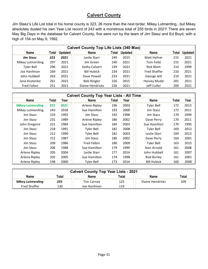#### **Calvert County**

Jim Stasz's Life List total in his home county is 323, 26 more than the next birder, Mikey Lutmerding...but Mikey absolutely dusted his own Year List record of 243 with a monstrous total of 255 birds in 2021! There are seven May Big Days in the database for Calvert County; five were run by the team of Jim Stasz and Ed Boyd, with a high of 154 on May 9, 1992.

|                    | <b>Calvert County Top Life Lists (340 Max)</b> |                |                    |       |                |                     |       |                |  |  |  |  |  |
|--------------------|------------------------------------------------|----------------|--------------------|-------|----------------|---------------------|-------|----------------|--|--|--|--|--|
| <b>Name</b>        | Total                                          | <b>Updated</b> | <b>Name</b>        | Total | <b>Updated</b> | <b>Name</b>         | Total | <b>Updated</b> |  |  |  |  |  |
| <b>Jim Stasz</b>   | 323                                            | 2021           | Leslie Starr       | 249   | 2015           | Matt Hafner         | 215   | 2021           |  |  |  |  |  |
| Mikey Lutmerding   | 297                                            | 2021           | Jim Green          | 240   | 2021           | Tom Feild           | 215   | 2021           |  |  |  |  |  |
| Tyler Bell         | 296                                            | 2021           | Kathy Calvert      | 239   | 2021           | Rick Blom           | 214   | 1999           |  |  |  |  |  |
| Joe Hanfman        | 269                                            | 2021           | <b>Bill Hubick</b> | 234   | 2021           | <b>Fred Shaffer</b> | 210   | 2021           |  |  |  |  |  |
| John Hubbell       | 263                                            | 2021           | Dave Powell        | 233   | 2021           | George Jett         | 210   | 2021           |  |  |  |  |  |
| Jane Kostenko      | 261                                            | 2021           | <b>Bob Ringler</b> | 226   | 2015           | Harvey Mudd         | 201   | 2011           |  |  |  |  |  |
| <b>Fred Fallon</b> | 251                                            | 2021           | Elaine Hendricks   | 226   | 2021           | Jeff Culler         | 200   | 2021           |  |  |  |  |  |

|                         |       |      | <b>Calvert County Top Year Lists - All Time</b> |       |      |                    |              |      |
|-------------------------|-------|------|-------------------------------------------------|-------|------|--------------------|--------------|------|
| <b>Name</b>             | Total | Year | <b>Name</b>                                     | Total | Year | Name               | <b>Total</b> | Year |
| <b>Mikey Lutmerding</b> | 255   | 2021 | Arlene Ripley                                   | 196   | 2003 | <b>Tyler Bell</b>  | 172          | 2013 |
| Mikey Lutmerding        | 243   | 2018 | Sue Hamilton                                    | 193   | 2000 | Jim Stasz          | 172          | 2011 |
| Jim Stasz               | 233   | 1992 | Jim Stasz                                       | 192   | 1998 | Jim Stasz          | 170          | 1999 |
| Jim Stasz               | 231   | 1989 | Arlene Ripley                                   | 186   | 2002 | Dave Perry         | 170          | 2011 |
| John Gregoire           | 221   | 1984 | Sue Hamilton                                    | 184   | 2003 | Sue Hamilton       | 170          | 1995 |
| Jim Stasz               | 218   | 1991 | Tyler Bell                                      | 182   | 2008 | Tyler Bell         | 169          | 2012 |
| Jim Stasz               | 212   | 1990 | <b>Tyler Bell</b>                               | 182   | 2003 | Leslie Starr       | 169          | 2013 |
| Jim Stasz               | 212   | 1987 | Jim Stasz                                       | 180   | 2002 | Dave Perry         | 164          | 2001 |
| Jim Stasz               | 209   | 1986 | Fred Fallon                                     | 180   | 2009 | Tyler Bell         | 163          | 2015 |
| Jim Stasz               | 206   | 1988 | Sue Hamilton                                    | 179   | 1999 | Stan Arnold        | 161          | 2008 |
| Arlene Ripley           | 205   | 2004 | Leslie Starr                                    | 177   | 2014 | John Hubbell       | 161          | 2007 |
| Arlene Ripley           | 202   | 2005 | Sue Hamilton                                    | 174   | 1998 | Rod Burley         | 161          | 2001 |
| Arlene Ripley           | 198   | 2000 | <b>Tyler Bell</b>                               | 173   | 2014 | <b>Bill Hubick</b> | 160          | 2008 |

| <b>Calvert County Top Year Lists - 2021</b> |       |                   |       |                  |       |  |  |  |  |  |
|---------------------------------------------|-------|-------------------|-------|------------------|-------|--|--|--|--|--|
| <b>Name</b>                                 | Total | <b>Name</b>       | Total | <b>Name</b>      | Total |  |  |  |  |  |
| Mikey Lutmerding                            | 255   | <b>Tim Carney</b> | 125   | Elaine Hendricks | 109   |  |  |  |  |  |
| <b>Fred Shaffer</b>                         | 130   | Joe Hanfman       | 119   |                  |       |  |  |  |  |  |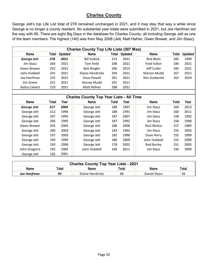#### **Charles County**

George Jett's top Life List total of 278 remained unchanged in 2021, and it may stay that way a while since George is no longer a county resident. No substantial year totals were submitted in 2021, but Joe Hanfman led the way with 95. There are eight Big Days in the database for Charles County, all including George Jett as one of the team members. The highest (140) was from May 2008 (Jett, Matt Hafner, Gwen Brewer, and Jim Stasz).

|               | <b>Charles County Top Life Lists (307 Max)</b> |                |                    |       |                |                    |       |                |  |  |  |  |  |
|---------------|------------------------------------------------|----------------|--------------------|-------|----------------|--------------------|-------|----------------|--|--|--|--|--|
| <b>Name</b>   | Total                                          | <b>Updated</b> | Name               | Total | <b>Updated</b> | <b>Name</b>        | Total | <b>Updated</b> |  |  |  |  |  |
| George Jett   | 278                                            | 2021           | <b>Bill Hubick</b> | 213   | 2021           | Rick Blom          | 185   | 1999           |  |  |  |  |  |
| Jim Stasz     | 264                                            | 2021           | Tom Feild          | 208   | 2021           | Fred Fallon        | 184   | 2021           |  |  |  |  |  |
| Gwen Brewer   | 252                                            | 2021           | <b>Bob Ringler</b> | 206   | 2015           | Jeff Culler        | 183   | 2021           |  |  |  |  |  |
| John Hubbell  | 241                                            | 2021           | Elaine Hendricks   | 204   | 2021           | <b>Marion Mudd</b> | 167   | 2011           |  |  |  |  |  |
| Joe Hanfman   | 225                                            | 2021           | Dave Powell        | 201   | 2021           | Ron Gutberlet      | 162   | 2014           |  |  |  |  |  |
| Jim Green     | 221                                            | 2021           | Harvey Mudd        | 201   | 2011           |                    |       |                |  |  |  |  |  |
| Kathy Calvert | 219                                            | 2021           | Matt Hafner        | 188   | 2021           |                    |       |                |  |  |  |  |  |
|               |                                                |                |                    |       |                |                    |       |                |  |  |  |  |  |

|               |       |      | <b>Charles County Top Year Lists - All Time</b> |       |      |              |       |      |
|---------------|-------|------|-------------------------------------------------|-------|------|--------------|-------|------|
| <b>Name</b>   | Total | Year | <b>Name</b>                                     | Total | Year | <b>Name</b>  | Total | Year |
| George Jett   | 217   | 2004 | George Jett                                     | 188   | 1997 | Jim Stasz    | 160   | 2012 |
| George Jett   | 212   | 1996 | George Jett                                     | 188   | 1991 | Jim Stasz    | 160   | 2011 |
| George Jett   | 207   | 1994 | George Jett                                     | 187   | 2007 | Jim Stasz    | 158   | 1992 |
| George Jett   | 206   | 1995 | George Jett                                     | 187   | 1992 | Jim Stasz    | 158   | 1998 |
| Gwen Brewer   | 203   | 2004 | George Jett                                     | 186   | 2008 | Paul Nistico | 157   | 1989 |
| George Jett   | 200   | 2003 | George Jett                                     | 183   | 1993 | Jim Stasz    | 155   | 2002 |
| George Jett   | 197   | 2005 | George Jett                                     | 182   | 1998 | Dave Perry   | 155   | 1999 |
| George Jett   | 194   | 1999 | George Jett                                     | 180   | 2009 | John Hubbell | 152   | 2009 |
| George Jett   | 193   | 2006 | George Jett                                     | 178   | 2002 | Rod Burley   | 151   | 2003 |
| John Gregoire | 192   | 1984 | John Hubbell                                    | 169   | 2011 | Jim Stasz    | 150   | 1999 |
| George Jett   | 192   | 2001 |                                                 |       |      |              |       |      |

| <b>Charles County Top Year Lists - 2021</b> |       |                  |       |              |       |  |  |  |  |  |
|---------------------------------------------|-------|------------------|-------|--------------|-------|--|--|--|--|--|
| Name                                        | Total | Name             | Total | Name         | Total |  |  |  |  |  |
| Joe Hanfman                                 | 95    | Elaine Hendricks | 68    | Daniel Sloan | 56    |  |  |  |  |  |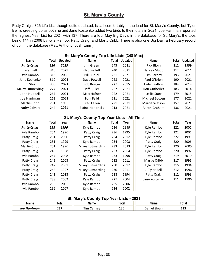#### **St. Mary's County**

Patty Craig's 326 Life List, though quite outdated, is still comfortably in the lead for St. Mary's County, but Tyler Bell is creeping up as both he and Jane Kostenko added two birds to their totals in 2021. Joe Hanfman reported the highest Year List for 2021 with 137. There are four May Big Day's in the database for St. Mary's, the tops being 144 in 2008 by Kyle Rambo, Patty Craig, and Marty Cribb. There is also one Big Day, a February record of 85, in the database (Matt Anthony, Josh Emm).

|                    | St. Mary's County Top Life Lists (348 Max) |                |                    |       |                |                     |       |                |  |  |  |  |  |
|--------------------|--------------------------------------------|----------------|--------------------|-------|----------------|---------------------|-------|----------------|--|--|--|--|--|
| <b>Name</b>        | Total                                      | <b>Updated</b> | <b>Name</b>        | Total | <b>Updated</b> | <b>Name</b>         | Total | <b>Updated</b> |  |  |  |  |  |
| <b>Patty Craig</b> | 326                                        | 2013           | Jim Green          | 243   | 2021           | Rick Blom           | 212   | 1999           |  |  |  |  |  |
| <b>Tyler Bell</b>  | 316                                        | 2021           | George Jett        | 240   | 2021           | Harvey Mudd         | 212   | 2011           |  |  |  |  |  |
| Kyle Rambo         | 313                                        | 2008           | <b>Bill Hubick</b> | 231   | 2021           | <b>Tim Carney</b>   | 193   | 2021           |  |  |  |  |  |
| Jane Kostenko      | 310                                        | 2021           | Dave Powell        | 228   | 2021           | Paul O'Brien        | 190   | 2021           |  |  |  |  |  |
| Jim Stasz          | 305                                        | 2021           | <b>Bob Ringler</b> | 227   | 2015           | <b>Helen Patton</b> | 184   | 2014           |  |  |  |  |  |
| Mikey Lutmerding   | 277                                        | 2021           | Jeff Culler        | 227   | 2021           | Ron Gutberlet       | 183   | 2014           |  |  |  |  |  |
| John Hubbell       | 267                                        | 2021           | Matt Hafner        | 222   | 2021           | Leslie Starr        | 179   | 2015           |  |  |  |  |  |
| Joe Hanfman        | 262                                        | 2021           | <b>Tom Feild</b>   | 221   | 2021           | Michael Bowen       | 177   | 2021           |  |  |  |  |  |
| Martie Cribb       | 251                                        | 1996           | <b>Fred Fallon</b> | 221   | 2021           | Marcia Watson       | 157   | 2021           |  |  |  |  |  |
| Kathy Calvert      | 244                                        | 2021           | Elaine Hendricks   | 213   | 2021           | Aaron Graham        | 136   | 2021           |  |  |  |  |  |

|                    |       |      | St. Mary's County Top Year Lists - All Time |       |      |               |       |      |
|--------------------|-------|------|---------------------------------------------|-------|------|---------------|-------|------|
| Name               | Total | Year | <b>Name</b>                                 | Total | Year | <b>Name</b>   | Total | Year |
| <b>Patty Craig</b> | 258   | 1996 | Kyle Rambo                                  | 236   | 1999 | Kyle Rambo    | 222   | 2001 |
| Kyle Rambo         | 254   | 1996 | Patty Craig                                 | 236   | 1995 | Kyle Rambo    | 222   | 2001 |
| Patty Craig        | 251   | 2000 | Patty Craig                                 | 234   | 2012 | Kyle Rambo    | 222   | 1995 |
| Patty Craig        | 251   | 1999 | Kyle Rambo                                  | 234   | 2003 | Patty Craig   | 220   | 2006 |
| Martie Cribb       | 251   | 1996 | Mikey Lutmerding                            | 233   | 2013 | Kyle Rambo    | 220   | 2005 |
| Patty Craig        | 249   | 1998 | Patty Craig                                 | 233   | 2004 | Kyle Rambo    | 220   | 1997 |
| Kyle Rambo         | 247   | 2008 | Kyle Rambo                                  | 233   | 1998 | Patty Craig   | 219   | 2010 |
| Patty Craig        | 242   | 2003 | Patty Craig                                 | 232   | 2011 | Martie Cribb  | 217   | 1995 |
| Patty Craig        | 242   | 2001 | Mikey Lutmerding                            | 230   | 2012 | Kyle Rambo    | 215   | 1994 |
| Patty Craig        | 242   | 1997 | Mikey Lutmerding                            | 230   | 2011 | J. Tyler Bell | 212   | 1996 |
| Patty Craig        | 241   | 2013 | Patty Craig                                 | 228   | 1994 | Patty Craig   | 212   | 1993 |
| Patty Craig        | 238   | 2002 | Kyle Rambo                                  | 227   | 2004 | Jane Kostenko | 211   | 1996 |
| Kyle Rambo         | 238   | 2000 | Kyle Rambo                                  | 225   | 2006 |               |       |      |
| Kyle Rambo         | 236   | 2007 | Kyle Rambo                                  | 224   | 2002 |               |       |      |

| St. Mary's County Top Year Lists - 2021 |                                                |                   |     |              |     |  |  |  |  |  |
|-----------------------------------------|------------------------------------------------|-------------------|-----|--------------|-----|--|--|--|--|--|
| <b>Name</b>                             | Total<br>Total<br>Total<br><b>Name</b><br>Name |                   |     |              |     |  |  |  |  |  |
| Joe Hanfman                             |                                                | <b>Tim Carnev</b> | 135 | Daniel Sloan | 113 |  |  |  |  |  |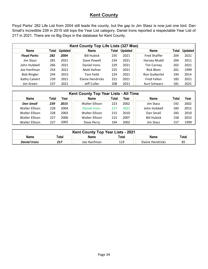#### **Kent County**

Floyd Parks' 282 Life List from 2004 still leads the county, but the gap to Jim Stasz is now just one bird. Dan Small's incredible 239 in 2015 still tops the Year List category. Daniel Irons reported a respectable Year List of 217 in 2021. There are no Big Days in the database for Kent County.

|                    | Kent County Top Life Lists (327 Max) |                |                    |       |                |                     |       |                |  |  |  |  |  |
|--------------------|--------------------------------------|----------------|--------------------|-------|----------------|---------------------|-------|----------------|--|--|--|--|--|
| <b>Name</b>        | Total                                | <b>Updated</b> | Name               | Total | <b>Updated</b> | <b>Name</b>         | Total | <b>Updated</b> |  |  |  |  |  |
| <b>Floyd Parks</b> | 282                                  | 2004           | <b>Bill Hubick</b> | 235   | 2021           | <b>Fred Shaffer</b> | 204   | 2021           |  |  |  |  |  |
| Jim Stasz          | 281                                  | 2021           | Dave Powell        | 234   | 2021           | Harvey Mudd         | 204   | 2011           |  |  |  |  |  |
| John Hubbell       | 266                                  | 2021           | Daniel Irons       | 229   | 2021           | <b>Tim Carney</b>   | 202   | 2021           |  |  |  |  |  |
| Joe Hanfman        | 254                                  | 2021           | Matt Hafner        | 225   | 2021           | Rick Blom           | 201   | 1999           |  |  |  |  |  |
| <b>Bob Ringler</b> | 244                                  | 2015           | Tom Feild          | 224   | 2021           | Ron Gutberlet       | 194   | 2014           |  |  |  |  |  |
| Kathy Calvert      | 239                                  | 2021           | Elaine Hendricks   | 221   | 2021           | Fred Fallon         | 183   | 2021           |  |  |  |  |  |
| Jim Green          | 237                                  | 2021           | Jeff Culler        | 208   | 2021           | Kurt Schwarz        | 181   | 2021           |  |  |  |  |  |

|                       | Kent County Top Year Lists - All Time |      |                       |       |      |                    |       |      |  |  |  |  |
|-----------------------|---------------------------------------|------|-----------------------|-------|------|--------------------|-------|------|--|--|--|--|
| <b>Name</b>           | Total                                 | Year | <b>Name</b>           | Total | Year | <b>Name</b>        | Total | Year |  |  |  |  |
| <b>Dan Small</b>      | 239                                   | 2015 | <b>Walter Ellison</b> | 223   | 2002 | Jim Stasz          | 192   | 2002 |  |  |  |  |
| Walter Ellison        | 228                                   | 2004 | Daniel Irons          | 217   | 2021 | John Hubbell       | 183   | 2015 |  |  |  |  |
| Walter Ellison        | 228                                   | 2003 | Walter Ellison        | 215   | 2010 | Dan Small          | 183   | 2010 |  |  |  |  |
| Walter Ellison        | 227                                   | 2006 | Walter Ellison        | 215   | 2007 | <b>Bill Hubick</b> | 158   | 2010 |  |  |  |  |
| <b>Walter Ellison</b> | 227                                   | 2005 | Dave Perry            | 194   | 2002 | Jim Stasz          | 157   | 1999 |  |  |  |  |

| Kent County Top Year Lists - 2021 |                                         |             |     |                  |    |  |  |  |  |  |
|-----------------------------------|-----------------------------------------|-------------|-----|------------------|----|--|--|--|--|--|
| Name                              | Total<br>Total<br>Total<br>Name<br>Name |             |     |                  |    |  |  |  |  |  |
| <b>Daniel Irons</b>               | 217                                     | Joe Hanfman | 119 | Elaine Hendricks | 85 |  |  |  |  |  |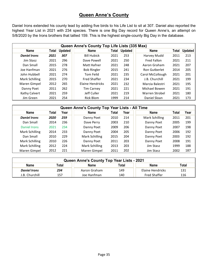#### **Queen Anne's County**

Daniel Irons extended his county lead by adding five birds to his Life List to sit at 307. Daniel also reported the highest Year List in 2021 with 234 species. There is one Big Day record for Queen Anne's, an attempt on 5/8/2020 by the Irons brothers that tallied 159. This is the highest single-county Big Day in the database.

|                     |       |                | Queen Anne's County Top Life Lists (335 Max) |       |                |                  |       |                |
|---------------------|-------|----------------|----------------------------------------------|-------|----------------|------------------|-------|----------------|
| <b>Name</b>         | Total | <b>Updated</b> | <b>Name</b>                                  | Total | <b>Updated</b> | <b>Name</b>      | Total | <b>Updated</b> |
| <b>Daniel Irons</b> | 2021  | 307            | <b>Bill Hubick</b>                           | 2021  | 253            | Harvey Mudd      | 2011  | 213            |
| Jim Stasz           | 2021  | 296            | Dave Powell                                  | 2021  | 250            | Fred Fallon      | 2021  | 211            |
| Dan Small           | 2015  | 278            | Matt Hafner                                  | 2021  | 248            | Aaron Graham     | 2021  | 207            |
| Joe Hanfman         | 2021  | 276            | <b>Bob Ringler</b>                           | 2015  | 241            | Ron Gutberlet    | 2014  | 205            |
| John Hubbell        | 2021  | 274            | Tom Feild                                    | 2021  | 235            | Carol McCollough | 2021  | 201            |
| Mark Schilling      | 2015  | 270            | <b>Fred Shaffer</b>                          | 2021  | 234            | J.B. Churchill   | 2021  | 199            |
| Maren Gimpel        | 2012  | 265            | <b>Flaine Hendricks</b>                      | 2021  | 232            | Marcia Balestri  | 2021  | 195            |
| Danny Poet          | 2011  | 262            | <b>Tim Carney</b>                            | 2021  | 221            | Michael Bowen    | 2021  | 191            |
| Kathy Calvert       | 2021  | 259            | Jeff Culler                                  | 2021  | 219            | Warren Strobel   | 2021  | 180            |
| Jim Green           | 2021  | 254            | <b>Rick Blom</b>                             | 1999  | 214            | Daniel Sloan     | 2021  | 173            |

|                     | Queen Anne's County Top Year Lists - All Time |      |                |       |      |                |       |      |  |  |  |  |  |
|---------------------|-----------------------------------------------|------|----------------|-------|------|----------------|-------|------|--|--|--|--|--|
| <b>Name</b>         | Total                                         | Year | <b>Name</b>    | Total | Year | <b>Name</b>    | Total | Year |  |  |  |  |  |
| <b>Daniel Irons</b> | 2020                                          | 259  | Danny Poet     | 2010  | 214  | Mark Schilling | 2011  | 201  |  |  |  |  |  |
| Dan Small           | 2014                                          | 236  | Dave Perry     | 2003  | 210  | Danny Poet     | 2005  | 199  |  |  |  |  |  |
| Daniel Irons        | 2021                                          | 234  | Danny Poet     | 2009  | 206  | Danny Poet     | 2007  | 198  |  |  |  |  |  |
| Mark Schilling      | 2014                                          | 233  | Danny Poet     | 2004  | 205  | Danny Poet     | 2006  | 192  |  |  |  |  |  |
| Dan Small           | 2010                                          | 229  | Mark Schilling | 2015  | 204  | Danny Poet     | 2003  | 192  |  |  |  |  |  |
| Mark Schilling      | 2010                                          | 226  | Danny Poet     | 2011  | 203  | Danny Poet     | 2008  | 191  |  |  |  |  |  |
| Mark Schilling      | 2012                                          | 224  | Mark Schilling | 2013  | 203  | Jim Stasz      | 1999  | 188  |  |  |  |  |  |
| Maren Gimpel        | 2012                                          | 221  | Maren Gimpel   | 2011  | 202  | Jim Stasz      | 2002  | 187  |  |  |  |  |  |

| Queen Anne's County Top Year Lists - 2021                            |                                                         |              |     |                  |     |  |  |  |  |  |
|----------------------------------------------------------------------|---------------------------------------------------------|--------------|-----|------------------|-----|--|--|--|--|--|
| <b>Name</b><br>Total<br>Total<br><b>Name</b><br>Total<br><b>Name</b> |                                                         |              |     |                  |     |  |  |  |  |  |
| <b>Daniel Irons</b>                                                  | 234                                                     | Aaron Graham | 149 | Elaine Hendricks | 131 |  |  |  |  |  |
| J.B. Churchill                                                       | 116<br>157<br>140<br><b>Fred Shaffer</b><br>Joe Hanfman |              |     |                  |     |  |  |  |  |  |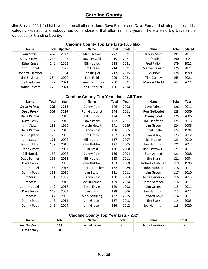#### **Caroline County**

Jim Stasz's 266 Life List is well up on all other birders. Dave Palmer and Dave Perry still sit atop the Year List category with 206, and nobody has come close to that effort in many years. There are no Big Days in the database for Caroline County.

|                      | <b>Caroline County Top Life Lists (303 Max)</b> |                |                    |       |                |                    |       |                |  |  |  |  |  |
|----------------------|-------------------------------------------------|----------------|--------------------|-------|----------------|--------------------|-------|----------------|--|--|--|--|--|
| Name                 | Total                                           | <b>Updated</b> | <b>Name</b>        | Total | <b>Updated</b> | <b>Name</b>        | Total | <b>Updated</b> |  |  |  |  |  |
| <b>Jim Stasz</b>     | 266                                             | 2021           | Matt Hafner        | 222   | 2021           | Harvey Mudd        | 191   | 2011           |  |  |  |  |  |
| <b>Marvin Hewitt</b> | 243                                             | 1996           | Dave Powell        | 219   | 2021           | Jeff Culler        | 190   | 2021           |  |  |  |  |  |
| Ethel Engle          | 240                                             | 2002           | <b>Bill Hubick</b> | 218   | 2021           | <b>Fred Fallon</b> | 179   | 2021           |  |  |  |  |  |
| John Hubbell         | 239                                             | 2021           | Jim Green          | 214   | 2021           | Marcia Balestri    | 175   | 2021           |  |  |  |  |  |
| Roberta Fletcher     | 239                                             | 1994           | <b>Bob Ringler</b> | 213   | 2015           | Rick Blom          | 175   | 1999           |  |  |  |  |  |
| Jim Brighton         | 234                                             | 2020           | Tom Feild          | 209   | 2021           | <b>Tim Carney</b>  | 165   | 2021           |  |  |  |  |  |
| Joe Hanfman          | 227                                             | 2021           | Elaine Hendricks   | 200   | 2021           | <b>Marion Mudd</b> | 162   | 2011           |  |  |  |  |  |
| Kathy Calvert        | 226                                             | 2021           | Ron Gutberlet      | 196   | 2014           |                    |       |                |  |  |  |  |  |

|                    | <b>Caroline County Top Year Lists - All Time</b> |      |                      |       |      |                         |       |      |  |  |  |  |  |
|--------------------|--------------------------------------------------|------|----------------------|-------|------|-------------------------|-------|------|--|--|--|--|--|
| <b>Name</b>        | Total                                            | Year | <b>Name</b>          | Total | Year | <b>Name</b>             | Total | Year |  |  |  |  |  |
| <b>Dave Palmer</b> | 206                                              | 2014 | Danny Poet           | 146   | 2008 | Dave Palmer             | 126   | 2011 |  |  |  |  |  |
| <b>Dave Perry</b>  | 206                                              | 2014 | Ron Gutberlet        | 144   | 2011 | Ron Gutberlet           | 125   | 2009 |  |  |  |  |  |
| Dave Palmer        | 188                                              | 2013 | <b>Bill Hubick</b>   | 144   | 2009 | Danny Poet              | 125   | 2006 |  |  |  |  |  |
| Dave Perry         | 187                                              | 2010 | Dave Perry           | 142   | 2001 | Joe Hanfman             | 124   | 2013 |  |  |  |  |  |
| Jim Stasz          | 183                                              | 1999 | <b>Marvin Hewitt</b> | 141   | 1989 | Jim Green               | 124   | 2008 |  |  |  |  |  |
| Dave Palmer        | 182                                              | 2015 | Danny Poet           | 138   | 2005 | <b>Ethel Engle</b>      | 124   | 1994 |  |  |  |  |  |
| Jim Brighton       | 179                                              | 2005 | Jim Green            | 137   | 2009 | <b>Edward Boyd</b>      | 123   | 2012 |  |  |  |  |  |
| Jim Stasz          | 171                                              | 2002 | <b>Bill Hubick</b>   | 137   | 2007 | <b>Bill Hubick</b>      | 123   | 2010 |  |  |  |  |  |
| Jim Brighton       | 159                                              | 2010 | John Hubbell         | 137   | 2005 | Joe Hanfman             | 121   | 2012 |  |  |  |  |  |
| Danny Poet         | 159                                              | 2007 | Jim Stasz            | 136   | 2008 | Rob Ostrowski           | 121   | 2011 |  |  |  |  |  |
| <b>Bill Hubick</b> | 158                                              | 2008 | Danny Poet           | 136   | 2004 | Stan Arnold             | 121   | 2008 |  |  |  |  |  |
| Dave Palmer        | 155                                              | 2012 | <b>Bill Hubick</b>   | 133   | 2011 | Jim Stasz               | 121   | 2004 |  |  |  |  |  |
| Dave Perry         | 155                                              | 2000 | John Hubbell         | 133   | 2009 | Roberta Fletcher        | 119   | 1993 |  |  |  |  |  |
| John Hubbell       | 153                                              | 2013 | Roberta Fletcher     | 132   | 1989 | John Hubbell            | 118   | 2011 |  |  |  |  |  |
| Danny Poet         | 151                                              | 2010 | Jim Stasz            | 131   | 2011 | Jim Green               | 117   | 2010 |  |  |  |  |  |
| Jim Stasz          | 151                                              | 1992 | Danny Poet           | 130   | 2003 | <b>Elaine Hendricks</b> | 116   | 2013 |  |  |  |  |  |
| Jim Stasz          | 150                                              | 2012 | Joe Hanfman          | 129   | 2014 | Jared Satchell          | 116   | 2011 |  |  |  |  |  |
| John Hubbell       | 149                                              | 2018 | <b>Ethel Engle</b>   | 129   | 1993 | Jim Green               | 115   | 2011 |  |  |  |  |  |
| Dave Perry         | 148                                              | 2004 | Jim Stasz            | 128   | 2006 | Joe Hanfman             | 115   | 2011 |  |  |  |  |  |
| Jim Stasz          | 147                                              | 2000 | Mark Schilling       | 127   | 2015 | <b>Edward Boyd</b>      | 114   | 2011 |  |  |  |  |  |
| Danny Poet         | 146                                              | 2011 | Jim Green            | 127   | 2013 | Jim Stasz               | 114   | 2005 |  |  |  |  |  |
| Danny Poet         | 146                                              | 2009 | Jim Green            | 126   | 2012 | Joe Hanfman             | 113   | 2020 |  |  |  |  |  |

| <b>Caroline County Top Year Lists - 2021</b> |       |              |              |                  |       |  |  |  |  |  |  |
|----------------------------------------------|-------|--------------|--------------|------------------|-------|--|--|--|--|--|--|
| <b>Name</b>                                  | Total | Name         | <b>Total</b> | <b>Name</b>      | Total |  |  |  |  |  |  |
| Joe Hanfman                                  | 111   | Daniel Sloan | 98           | Elaine Hendricks | 62    |  |  |  |  |  |  |
| <b>Tim Carney</b>                            | 101   |              |              |                  |       |  |  |  |  |  |  |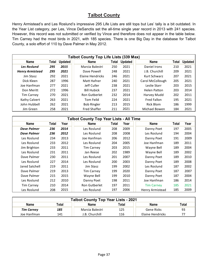#### **Talbot County**

Henry Armistead's and Les Roslund's impressive 295 Life Lists are still tops but Les' tally is a bit outdated. In the Year List category, per Les, Vince DeSanctis set the all-time single year record in 2013 with 241 species. However, this record was not submitted or verified by Vince and therefore does not appear in the table below. Tim Carney had the most birds in 2021, with 185 species. There is one Big Day in the database for Talbot County, a solo effort of 110 by Dave Palmer in May 2012.

|                        | <b>Talbot County Top Life Lists (339 Max)</b> |                |                     |       |                |                     |       |                |  |  |  |  |  |
|------------------------|-----------------------------------------------|----------------|---------------------|-------|----------------|---------------------|-------|----------------|--|--|--|--|--|
| <b>Name</b>            | Total                                         | <b>Updated</b> | <b>Name</b>         | Total | <b>Updated</b> | <b>Name</b>         | Total | <b>Updated</b> |  |  |  |  |  |
| <b>Les Roslund</b>     | 295                                           | 2015           | Marcia Balestri     | 250   | 2021           | Daniel Irons        | 210   | 2021           |  |  |  |  |  |
| <b>Henry Armistead</b> | 295                                           | 2021           | Dave Powell         | 248   | 2021           | J.B. Churchill      | 209   | 2021           |  |  |  |  |  |
| Jim Stasz              | 292                                           | 2021           | Elaine Hendricks    | 246   | 2021           | Kurt Schwarz        | 207   | 2021           |  |  |  |  |  |
| Dick Kleen             | 287                                           | 1996           | Matt Hafner         | 240   | 2021           | Carol McCollough    | 205   | 2021           |  |  |  |  |  |
| Joe Hanfman            | 277                                           | 2021           | Jeff Culler         | 238   | 2021           | Leslie Starr        | 203   | 2015           |  |  |  |  |  |
| Don Meritt             | 272                                           | 1996           | <b>Bill Hubick</b>  | 237   | 2021           | <b>Helen Patton</b> | 203   | 2014           |  |  |  |  |  |
| <b>Tim Carney</b>      | 270                                           | 2021           | Ron Gutberlet       | 232   | 2014           | Harvey Mudd         | 202   | 2011           |  |  |  |  |  |
| Kathy Calvert          | 263                                           | 2021           | <b>Tom Feild</b>    | 224   | 2021           | <b>Fred Fallon</b>  | 195   | 2021           |  |  |  |  |  |
| John Hubbell           | 262                                           | 2021           | <b>Bob Ringler</b>  | 213   | 2015           | Rick Blom           | 186   | 1999           |  |  |  |  |  |
| Jim Green              | 258                                           | 2021           | <b>Fred Shaffer</b> | 211   | 2021           | Michael Bowen       | 184   | 2021           |  |  |  |  |  |

|                    |       |      | <b>Talbot County Top Year Lists - All Time</b> |       |      |                   |       |      |
|--------------------|-------|------|------------------------------------------------|-------|------|-------------------|-------|------|
| <b>Name</b>        | Total | Year | <b>Name</b>                                    | Total | Year | <b>Name</b>       | Total | Year |
| Dave Palmer        | 236   | 2014 | Les Roslund                                    | 208   | 2009 | Danny Poet        | 197   | 2005 |
| <b>Dave Palmer</b> | 236   | 2012 | Les Roslund                                    | 208   | 2008 | Les Roslund       | 194   | 2004 |
| Les Roslund        | 234   | 2013 | Joe Hanfman                                    | 206   | 2012 | Danny Poet        | 191   | 2009 |
| Les Roslund        | 233   | 2012 | Les Roslund                                    | 204   | 2005 | Joe Hanfman       | 189   | 2011 |
| Jim Brighton       | 233   | 2011 | <b>Tim Carney</b>                              | 203   | 2015 | Wayne Bell        | 189   | 2004 |
| Les Roslund        | 231   | 2011 | Jan Reese                                      | 202   | 1989 | Wayne Bell        | 189   | 2002 |
| Dave Palmer        | 230   | 2011 | Les Roslund                                    | 201   | 2007 | Danny Poet        | 189   | 2010 |
| Les Roslund        | 227   | 2014 | Les Roslund                                    | 200   | 2003 | Danny Poet        | 189   | 2008 |
| Jared Satchell     | 219   | 2011 | Jim Stasz                                      | 199   | 2002 | Les Roslund       | 187   | 2002 |
| Dave Palmer        | 219   | 2013 | <b>Tim Carney</b>                              | 199   | 2020 | Danny Poet        | 187   | 2007 |
| Dave Palmer        | 215   | 2015 | Wayne Bell                                     | 199   | 2010 | Danny Poet        | 187   | 2004 |
| Les Roslund        | 212   | 2010 | Danny Poet                                     | 198   | 2011 | Joe Hanfman       | 186   | 2014 |
| <b>Tim Carney</b>  | 210   | 2014 | Ron Gutberlet                                  | 197   | 2011 | <b>Tim Carney</b> | 185   | 2021 |
| Les Roslund        | 208   | 2015 | Les Roslund                                    | 197   | 2006 | Henry Armistead   | 185   | 2009 |

| <b>Talbot County Top Year Lists - 2021</b> |       |                 |       |                  |       |  |  |  |  |  |
|--------------------------------------------|-------|-----------------|-------|------------------|-------|--|--|--|--|--|
| <b>Name</b>                                | Total | <b>Name</b>     | Total | <b>Name</b>      | Total |  |  |  |  |  |
| <b>Tim Carney</b>                          | 185   | Marcia Balestri | 125   | Gene Ricks       | 93    |  |  |  |  |  |
| Joe Hanfman                                | 141   | J.B. Churchill  | 116   | Elaine Hendricks | 77    |  |  |  |  |  |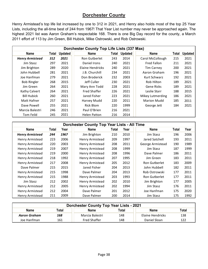#### **Dorchester County**

Henry Armistead's top life list increased by one to 312 in 2021, and Henry also holds most of the top 25 Year Lists, including the all-time best of 244 from 1967! That Year List number may never be approached again. The highest 2021 list was Aaron Graham's respectable 168. There is one Big Day record for the county, a March 2011 effort of 113 by Jim Green, Bill Hubick, Mike Ostrowski, and Rob Ostrowski.

|                        | Dorchester County Top Life Lists (337 Max) |                |                     |       |                |                    |       |                |  |  |  |  |  |
|------------------------|--------------------------------------------|----------------|---------------------|-------|----------------|--------------------|-------|----------------|--|--|--|--|--|
| <b>Name</b>            | Total                                      | <b>Updated</b> | <b>Name</b>         | Total | <b>Updated</b> | <b>Name</b>        | Total | <b>Updated</b> |  |  |  |  |  |
| <b>Henry Armistead</b> | 312                                        | 2021           | Ron Gutberlet       | 243   | 2014           | Carol McCollough   | 215   | 2021           |  |  |  |  |  |
| Jim Stasz              | 297                                        | 2021           | Daniel Irons        | 240   | 2021           | <b>Fred Fallon</b> | 211   | 2021           |  |  |  |  |  |
| Jim Brighton           | 289                                        | 2020           | Elaine Hendricks    | 240   | 2021           | <b>Tim Carney</b>  | 200   | 2021           |  |  |  |  |  |
| John Hubbell           | 281                                        | 2021           | J.B. Churchill      | 234   | 2021           | Aaron Graham       | 196   | 2021           |  |  |  |  |  |
| Joe Hanfman            | 279                                        | 2021           | Don Broderick       | 232   | 2003           | Kurt Schwarz       | 192   | 2021           |  |  |  |  |  |
| <b>Bob Ringler</b>     | 268                                        | 2015           | Jeff Culler         | 230   | 2021           | Rob Hilton         | 189   | 2021           |  |  |  |  |  |
| Jim Green              | 264                                        | 2021           | Mary Ann Todd       | 228   | 2021           | Gene Ricks         | 189   | 2021           |  |  |  |  |  |
| Kathy Calvert          | 264                                        | 2021           | <b>Fred Shaffer</b> | 226   | 2021           | Leslie Starr       | 188   | 2015           |  |  |  |  |  |
| <b>Bill Hubick</b>     | 260                                        | 2021           | Jared Fisher        | 223   | 2021           | Mikey Lutmerding   | 186   | 2021           |  |  |  |  |  |
| Matt Hafner            | 257                                        | 2021           | Harvey Mudd         | 220   | 2011           | <b>Marion Mudd</b> | 185   | 2011           |  |  |  |  |  |
| Dave Powell            | 255                                        | 2021           | <b>Rick Blom</b>    | 220   | 1999           | George Jett        | 184   | 2021           |  |  |  |  |  |
| Marcia Balestri        | 246                                        | 2021           | Paul O'Brien        | 216   | 2021           |                    |       |                |  |  |  |  |  |
| Tom Feild              | 245                                        | 2021           | <b>Helen Patton</b> | 216   | 2014           |                    |       |                |  |  |  |  |  |

|                        |       |      | Dorchester County Top Year Lists - All Time |       |      |                      |       |      |
|------------------------|-------|------|---------------------------------------------|-------|------|----------------------|-------|------|
| <b>Name</b>            | Total | Year | <b>Name</b>                                 | Total | Year | <b>Name</b>          | Total | Year |
| <b>Henry Armistead</b> | 244   | 1967 | Jim Brighton                                | 210   | 2010 | Jim Stasz            | 196   | 2006 |
| Henry Armistead        | 223   | 2006 | Henry Armistead                             | 209   | 1997 | Jared Satchell       | 193   | 2011 |
| Henry Armistead        | 220   | 2003 | Henry Armistead                             | 208   | 2011 | George Armistead     | 190   | 1989 |
| Henry Armistead        | 219   | 2007 | Henry Armistead                             | 208   | 1999 | Jim Stasz            | 187   | 1999 |
| Henry Armistead        | 219   | 2000 | Henry Armistead                             | 208   | 1996 | Dave Palmer          | 186   | 2011 |
| Henry Armistead        | 218   | 1992 | Henry Armistead                             | 207   | 1995 | Jim Green            | 183   | 2011 |
| Henry Armistead        | 217   | 2008 | Henry Armistead                             | 205   | 2012 | Ron Gutberlet        | 183   | 2009 |
| Dave Palmer            | 215   | 2015 | Jared Fisher                                | 204   | 2013 | John Hubbell         | 182   | 2011 |
| Henry Armistead        | 215   | 1998 | Dave Palmer                                 | 204   | 2013 | Rob Ostrowski        | 177   | 2011 |
| <b>Henry Armistead</b> | 215   | 1988 | Henry Armistead                             | 203   | 1993 | <b>Ron Gutberlet</b> | 177   | 2011 |
| Jim Stasz              | 212   | 2002 | Henry Armistead                             | 202   | 2010 | Jim Brighton         | 177   | 2005 |
| Henry Armistead        | 212   | 2005 | Henry Armistead                             | 202   | 1994 | Jim Stasz            | 176   | 2011 |
| Henry Armistead        | 212   | 2004 | Dave Palmer                                 | 201   | 2012 | Joe Hanfman          | 175   | 2020 |
| Henry Armistead        | 211   | 2009 | Dave Palmer                                 | 200   | 2014 | Jim Stasz            | 175   | 1992 |

| <b>Dorchester County Top Year Lists - 2021</b>                       |     |                     |     |                  |     |  |  |  |  |  |  |
|----------------------------------------------------------------------|-----|---------------------|-----|------------------|-----|--|--|--|--|--|--|
| <b>Name</b><br>Total<br>Total<br><b>Name</b><br>Total<br><b>Name</b> |     |                     |     |                  |     |  |  |  |  |  |  |
| Aaron Graham                                                         | 168 | Marcia Balestri     | 148 | Elaine Hendricks | 138 |  |  |  |  |  |  |
| Joe Hanfman                                                          | 161 | <b>Fred Shaffer</b> | 148 | Daniel Sloan     | 122 |  |  |  |  |  |  |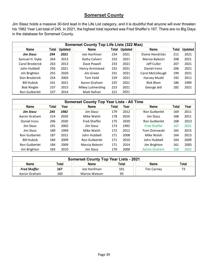## **Somerset County**

Jim Stasz holds a massive 30-bird lead in the Life List category, and it is doubtful that anyone will ever threaten his 1982 Year List total of 245. In 2021, the highest total reported was Fred Shaffer's 167. There are no Big Days in the database for Somerset County.

|                      | <b>Somerset County Top Life Lists (322 Max)</b> |                |                  |       |                |                  |              |                |  |  |  |  |  |
|----------------------|-------------------------------------------------|----------------|------------------|-------|----------------|------------------|--------------|----------------|--|--|--|--|--|
| <b>Name</b>          | Total                                           | <b>Updated</b> | Name             | Total | <b>Updated</b> | <b>Name</b>      | <b>Total</b> | <b>Updated</b> |  |  |  |  |  |
| <b>Jim Stasz</b>     | 294                                             | 2021           | Joe Hanfman      | 234   | 2021           | Elaine Hendricks | 211          | 2021           |  |  |  |  |  |
| Samuel H. Dyke       | 264                                             | 2013           | Kathy Calvert    | 233   | 2021           | Marcia Balestri  | 208          | 2021           |  |  |  |  |  |
| Carol Broderick      | 263                                             | 2013           | Dave Powell      | 233   | 2021           | Jeff Culler      | 207          | 2021           |  |  |  |  |  |
| John Hubbell         | 256                                             | 2021           | Henry Armistead  | 232   | 2021           | Daniel Irons     | 206          | 2021           |  |  |  |  |  |
| Jim Brighton         | 255                                             | 2020           | Jim Green        | 231   | 2021           | Carol McCollough | 199          | 2021           |  |  |  |  |  |
| Don Broderick        | 254                                             | 2003           | Tom Feild        | 229   | 2021           | Harvey Mudd      | 192          | 2011           |  |  |  |  |  |
| <b>Bill Hubick</b>   | 241                                             | 2021           | Aaron Graham     | 225   | 2021           | Rick Blom        | 186          | 1999           |  |  |  |  |  |
| <b>Bob Ringler</b>   | 237                                             | 2015           | Mikey Lutmerding | 223   | 2021           | George Jett      | 182          | 2021           |  |  |  |  |  |
| <b>Ron Gutberlet</b> | 237                                             | 2014           | Matt Hafner      | 221   | 2021           |                  |              |                |  |  |  |  |  |

|                      | <b>Somerset County Top Year Lists - All Time</b> |      |                     |       |      |                     |       |      |  |  |  |  |  |
|----------------------|--------------------------------------------------|------|---------------------|-------|------|---------------------|-------|------|--|--|--|--|--|
| <b>Name</b>          | Total                                            | Year | <b>Name</b>         | Total | Year | <b>Name</b>         | Total | Year |  |  |  |  |  |
| <b>Jim Stasz</b>     | 245                                              | 1982 | Jim Stasz           | 179   | 2012 | Ron Gutberlet       | 169   | 2011 |  |  |  |  |  |
| Aaron Graham         | 214                                              | 2020 | Mike Walsh          | 178   | 2010 | Jim Stasz           | 168   | 2011 |  |  |  |  |  |
| Daniel Irons         | 206                                              | 2020 | <b>Fred Shaffer</b> | 175   | 2020 | Ron Gutberlet       | 168   | 2013 |  |  |  |  |  |
| Jim Stasz            | 191                                              | 2002 | Jim Stasz           | 173   | 1992 | <b>Fred Shaffer</b> | 167   | 2021 |  |  |  |  |  |
| Jim Stasz            | 189                                              | 1999 | Mike Walsh          | 172   | 2012 | Tom Ostrowski       | 165   | 2015 |  |  |  |  |  |
| Ron Gutberlet        | 187                                              | 2012 | John Hubbell        | 171   | 2008 | Mike Walsh          | 164   | 2013 |  |  |  |  |  |
| <b>Bill Hubick</b>   | 184                                              | 2009 | Ron Gutberlet       | 171   | 2010 | John Hubbell        | 164   | 2009 |  |  |  |  |  |
| <b>Ron Gutberlet</b> | 184                                              | 2009 | Marcia Balestri     | 171   | 2014 | Jim Brighton        | 161   | 2005 |  |  |  |  |  |
| Jim Brighton         | 183                                              | 2010 | Jim Stasz           | 170   | 2000 | Aaron Graham        | 160   | 2021 |  |  |  |  |  |

| <b>Somerset County Top Year Lists - 2021</b>                  |                            |             |     |                   |    |  |  |  |  |  |
|---------------------------------------------------------------|----------------------------|-------------|-----|-------------------|----|--|--|--|--|--|
| <b>Name</b><br>Total<br><b>Name</b><br>Total<br>Total<br>Name |                            |             |     |                   |    |  |  |  |  |  |
| <b>Fred Shaffer</b>                                           | 167                        | Joe Hanfman | 101 | <b>Tim Carney</b> | 73 |  |  |  |  |  |
| Aaron Graham                                                  | 93<br>160<br>Marcia Watson |             |     |                   |    |  |  |  |  |  |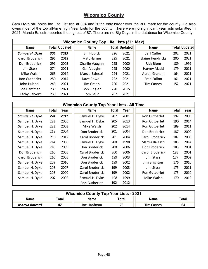#### **Wicomico County**

Sam Dyke still holds the Life List title at 304 and is the only birder over the 300 mark for the county. He also owns most of the top all-time high Year Lists for the county. There were no significant year lists submitted in 2021; Marcia Balestri reported the highest of 87. There are no Big Days in the database for Wicomico County.

|                      | <b>Wicomico County Top Life Lists (311 Max)</b> |                      |                    |     |                      |                    |     |                      |  |  |  |  |
|----------------------|-------------------------------------------------|----------------------|--------------------|-----|----------------------|--------------------|-----|----------------------|--|--|--|--|
| <b>Name</b>          |                                                 | <b>Total Updated</b> | <b>Name</b>        |     | <b>Total Updated</b> | <b>Name</b>        |     | <b>Total Updated</b> |  |  |  |  |
| Samuel H. Dyke       | 304                                             | 2013                 | <b>Bill Hubick</b> | 226 | 2021                 | Jeff Culler        | 202 | 2021                 |  |  |  |  |
| Carol Broderick      | 296                                             | 2012                 | Matt Hafner        | 225 | 2021                 | Elaine Hendricks   | 200 | 2021                 |  |  |  |  |
| Don Broderick        | 291                                             | 2003                 | Charlie Vaughn     | 225 | 2000                 | Rick Blom          | 189 | 1999                 |  |  |  |  |
| Jim Stasz            | 274                                             | 2021                 | Gail Vaughn        | 225 | 2000                 | Harvey Mudd        | 179 | 2011                 |  |  |  |  |
| Mike Walsh           | 263                                             | 2014                 | Marcia Balestri    | 224 | 2021                 | Aaron Graham       | 164 | 2021                 |  |  |  |  |
| <b>Ron Gutberlet</b> | 250                                             | 2014                 | Dave Powell        | 222 | 2021                 | <b>Fred Fallon</b> | 161 | 2021                 |  |  |  |  |
| John Hubbell         | 243                                             | 2021                 | Jim Green          | 220 | 2021                 | <b>Tim Carney</b>  | 152 | 2021                 |  |  |  |  |
| Joe Hanfman          | 233                                             | 2021                 | <b>Bob Ringler</b> | 220 | 2015                 |                    |     |                      |  |  |  |  |
| <b>Kathy Calvert</b> | 230                                             | 2021                 | Tom Feild          | 207 | 2021                 |                    |     |                      |  |  |  |  |

|                 |       |      | <b>Wicomico County Top Year Lists - All Time</b> |       |      |                 |       |      |
|-----------------|-------|------|--------------------------------------------------|-------|------|-----------------|-------|------|
| <b>Name</b>     | Total | Year | <b>Name</b>                                      | Total | Year | <b>Name</b>     | Total | Year |
| Samuel H. Dyke  | 224   | 2011 | Samuel H. Dyke                                   | 207   | 2001 | Ron Gutberlet   | 192   | 2009 |
| Samuel H. Dyke  | 223   | 2005 | Samuel H. Dyke                                   | 205   | 2013 | Ron Gutberlet   | 190   | 2014 |
| Samuel H. Dyke  | 223   | 2003 | Mike Walsh                                       | 202   | 2014 | Ron Gutberlet   | 189   | 2011 |
| Samuel H. Dyke  | 218   | 2004 | Don Broderick                                    | 201   | 2004 | Don Broderick   | 187   | 2000 |
| Samuel H. Dyke  | 216   | 2012 | Carol Broderick                                  | 201   | 2004 | Carol Broderick | 187   | 2000 |
| Samuel H. Dyke  | 214   | 2006 | Samuel H. Dyke                                   | 200   | 1998 | Marcia Balestri | 185   | 2014 |
| Samuel H. Dyke  | 210   | 2009 | Don Broderick                                    | 200   | 2006 | Don Broderick   | 183   | 2001 |
| Don Broderick   | 210   | 2005 | Carol Broderick                                  | 200   | 2006 | Carol Broderick | 183   | 2001 |
| Carol Broderick | 210   | 2005 | Don Broderick                                    | 199   | 2003 | Jim Stasz       | 177   | 2002 |
| Samuel H. Dyke  | 209   | 2010 | Don Broderick                                    | 199   | 2002 | Jim Brighton    | 176   | 2010 |
| Samuel H. Dyke  | 208   | 2007 | Carol Broderick                                  | 199   | 2003 | Jim Stasz       | 175   | 2011 |
| Samuel H. Dyke  | 208   | 2000 | Carol Broderick                                  | 199   | 2002 | Ron Gutberlet   | 175   | 2010 |
| Samuel H. Dyke  | 207   | 2002 | Samuel H. Dyke                                   | 198   | 1999 | Mike Walsh      | 170   | 2012 |
|                 |       |      | Ron Gutberlet                                    | 192   | 2012 |                 |       |      |

| <b>Wicomico County Top Year Lists - 2021</b> |                                                       |             |    |                   |    |  |  |  |  |  |
|----------------------------------------------|-------------------------------------------------------|-------------|----|-------------------|----|--|--|--|--|--|
| <b>Name</b>                                  | Total<br>Total<br><b>Name</b><br>Total<br><b>Name</b> |             |    |                   |    |  |  |  |  |  |
| Marcia Balestri                              | 87                                                    | Joe Hanfman | 78 | <b>Tim Carney</b> | 64 |  |  |  |  |  |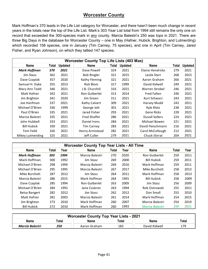#### **Worcester County**

Mark Hoffman's 370 leads in the Life List category for Worcester, and there hasn't been much change in recent years in the totals near the top of the Life List. Mark's 303 Year List total from 1994 still remains the only one on record that exceeded the 300-species mark in any county. Marcia Balestri's 250 was tops in 2021. There are three Big Days in the database for Worcester County – one in May (Hafner, Hubick, Brighton, and Lutmerding) which recorded 158 species, one in January (Tim Carney, 75 species), and one in April (Tim Carney, Jared Fisher, and Ryan Johnson), on which they tallied 147 species.

|                     |       |                | <b>Worcester County Top Life Lists (403 Max)</b> |       |                |                       |       |                |
|---------------------|-------|----------------|--------------------------------------------------|-------|----------------|-----------------------|-------|----------------|
| <b>Name</b>         | Total | <b>Updated</b> | <b>Name</b>                                      | Total | <b>Updated</b> | <b>Name</b>           | Total | <b>Updated</b> |
| <b>Mark Hoffman</b> | 370   | 2021           | Dave Powell                                      | 324   | 2021           | Elaine Hendricks      | 279   | 2021           |
| Jim Stasz           | 362   | 2021           | <b>Bob Ringler</b>                               | 321   | 2015           | Leslie Starr          | 268   | 2015           |
| Dave Czaplak        | 357   | 2020           | Kathy Fleming                                    | 321   | 2021           | Aaron Graham          | 266   | 2021           |
| Samuel H. Dyke      | 355   | 2013           | Rick Blom                                        | 317   | 1999           | David Kidwell         | 249   | 2021           |
| Mary Ann Todd       | 346   | 2021           | J.B. Churchill                                   | 316   | 2021           | Warren Strobel        | 246   | 2021           |
| Matt Hafner         | 342   | 2021           | Ron Gutberlet                                    | 313   | 2014           | Fred Fallon           | 246   | 2021           |
| Jim Brighton        | 341   | 2020           | Jim Green                                        | 311   | 2021           | Kurt Schwarz          | 243   | 2021           |
| Joe Hanfman         | 337   | 2021           | Kathy Calvert                                    | 309   | 2021           | Harvey Mudd           | 243   | 2011           |
| Michael O'Brien     | 336   | 1999           | George Jett                                      | 301   | 2021           | Kyle Klotz            | 238   | 2021           |
| Paul O'Brien        | 335   | 2021           | Jared Fisher                                     | 293   | 2021           | <b>Gene Ricks</b>     | 228   | 2021           |
| Marcia Balestri     | 335   | 2021           | <b>Fred Shaffer</b>                              | 286   | 2021           | <b>Duvall Sollers</b> | 224   | 2021           |
| John Hubbell        | 333   | 2021           | Daniel Irons                                     | 284   | 2021           | Michael Bowen         | 221   | 2021           |
| <b>Bill Hubick</b>  | 330   | 2021           | <b>Tim Carney</b>                                | 283   | 2021           | David Fleischmann     | 216   | 2021           |
| Tom Feild           | 326   | 2021           | Henry Armistead                                  | 282   | 2021           | Carol McCollough      | 212   | 2021           |
| Mikey Lutmerding    | 325   | 2021           | Jeff Culler                                      | 279   | 2021           | <b>Chuck Stirrat</b>  | 204   | 2021           |

|                      | <b>Worcester County Top Year Lists - All Time</b> |      |                      |       |      |                      |       |      |  |  |  |  |  |  |
|----------------------|---------------------------------------------------|------|----------------------|-------|------|----------------------|-------|------|--|--|--|--|--|--|
| <b>Name</b>          | Total                                             | Year | Name                 | Total | Year | <b>Name</b>          | Total | Year |  |  |  |  |  |  |
| <b>Mark Hoffman</b>  | 303                                               | 1994 | Marcia Balestri      | 270   | 2020 | <b>Ron Gutberlet</b> | 259   | 2011 |  |  |  |  |  |  |
| Mark Hoffman         | 300                                               | 1992 | Jim Stasz            | 269   | 2000 | <b>Bill Hubick</b>   | 259   | 2011 |  |  |  |  |  |  |
| Michael O'Brien      | 298                                               | 1994 | Marcia Balestri      | 269   | 2016 | Mark Hoffman         | 259   | 2011 |  |  |  |  |  |  |
| Michael O'Brien      | 295                                               | 1995 | Marcia Balestri      | 267   | 2017 | Mike Burchett        | 258   | 2013 |  |  |  |  |  |  |
| Mike Burchett        | 287                                               | 2012 | Jim Stasz            | 264   | 2011 | Mark Hoffman         | 258   | 2013 |  |  |  |  |  |  |
| Marcia Balestri      | 286                                               | 2015 | Mark Hoffman         | 264   | 1991 | <b>Bill Hubick</b>   | 258   | 2009 |  |  |  |  |  |  |
| Dave Czaplak         | 285                                               | 1994 | <b>Ron Gutberlet</b> | 263   | 2009 | Jim Stasz            | 256   | 2009 |  |  |  |  |  |  |
| Michael O'Brien      | 284                                               | 1991 | Jane Coskren         | 263   | 1994 | Rob Ostrowski        | 255   | 2011 |  |  |  |  |  |  |
| <b>Betsy Bangert</b> | 282                                               | 2012 | Jim Stasz            | 262   | 2012 | Dan Small            | 255   | 2010 |  |  |  |  |  |  |
| Matt Hafner          | 281                                               | 2003 | Marcia Balestri      | 261   | 2014 | Mark Hoffman         | 254   | 2015 |  |  |  |  |  |  |
| Jim Brighton         | 273                                               | 2010 | Mark Hoffman         | 260   | 2007 | Marcia Balestri      | 254   | 2019 |  |  |  |  |  |  |
| <b>Bill Hubick</b>   | 272                                               | 2010 | Mark Hoffman         | 260   | 1993 | Marcia Balestri      | 250   | 2021 |  |  |  |  |  |  |

| <b>Worcester County Top Year Lists - 2021</b> |       |              |       |               |       |  |  |  |  |  |  |
|-----------------------------------------------|-------|--------------|-------|---------------|-------|--|--|--|--|--|--|
| Name                                          | Total | Name         | Total | Name          | Total |  |  |  |  |  |  |
| Marcia Balestri                               | 250   | Aaron Graham | 183   | David Kidwell | 179   |  |  |  |  |  |  |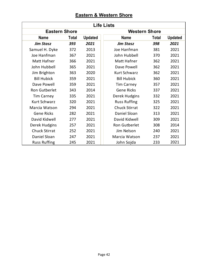|  | <b>Eastern &amp; Western Shore</b> |  |
|--|------------------------------------|--|
|  |                                    |  |

|                      | <b>Life Lists</b> |                |                      |       |                |  |  |  |  |  |  |  |
|----------------------|-------------------|----------------|----------------------|-------|----------------|--|--|--|--|--|--|--|
| <b>Eastern Shore</b> |                   |                | <b>Western Shore</b> |       |                |  |  |  |  |  |  |  |
| <b>Name</b>          | <b>Total</b>      | <b>Updated</b> | <b>Name</b>          | Total | <b>Updated</b> |  |  |  |  |  |  |  |
| <b>Jim Stasz</b>     | 393               | 2021           | <b>Jim Stasz</b>     | 398   | 2021           |  |  |  |  |  |  |  |
| Samuel H. Dyke       | 372               | 2013           | Joe Hanfman          | 381   | 2021           |  |  |  |  |  |  |  |
| Joe Hanfman          | 367               | 2021           | John Hubbell         | 370   | 2021           |  |  |  |  |  |  |  |
| Matt Hafner          | 366               | 2021           | <b>Matt Hafner</b>   | 362   | 2021           |  |  |  |  |  |  |  |
| John Hubbell         | 365               | 2021           | Dave Powell          | 362   | 2021           |  |  |  |  |  |  |  |
| Jim Brighton         | 363               | 2020           | <b>Kurt Schwarz</b>  | 362   | 2021           |  |  |  |  |  |  |  |
| <b>Bill Hubick</b>   | 359               | 2021           | <b>Bill Hubick</b>   | 360   | 2021           |  |  |  |  |  |  |  |
| Dave Powell          | 359               | 2021           | <b>Tim Carney</b>    | 357   | 2021           |  |  |  |  |  |  |  |
| Ron Gutberlet        | 343               | 2014           | <b>Gene Ricks</b>    | 337   | 2021           |  |  |  |  |  |  |  |
| <b>Tim Carney</b>    | 335               | 2021           | Derek Hudgins        | 332   | 2021           |  |  |  |  |  |  |  |
| <b>Kurt Schwarz</b>  | 320               | 2021           | <b>Russ Ruffing</b>  | 325   | 2021           |  |  |  |  |  |  |  |
| Marcia Watson        | 294               | 2021           | <b>Chuck Stirrat</b> | 322   | 2021           |  |  |  |  |  |  |  |
| <b>Gene Ricks</b>    | 282               | 2021           | Daniel Sloan         | 313   | 2021           |  |  |  |  |  |  |  |
| David Kidwell        | 277               | 2021           | David Kidwell        | 309   | 2021           |  |  |  |  |  |  |  |
| Derek Hudgins        | 257               | 2021           | Ron Gutberlet        | 308   | 2014           |  |  |  |  |  |  |  |
| <b>Chuck Stirrat</b> | 252               | 2021           | Jim Nelson           | 240   | 2021           |  |  |  |  |  |  |  |
| Daniel Sloan         | 247               | 2021           | Marcia Watson        | 237   | 2021           |  |  |  |  |  |  |  |
| <b>Russ Ruffing</b>  | 245               | 2021           | John Sojda           | 233   | 2021           |  |  |  |  |  |  |  |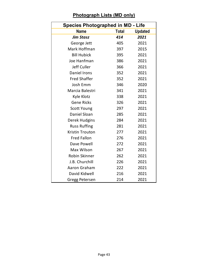## **Photograph Lists (MD only)**

| <b>Species Photographed in MD - Life</b> |              |                |
|------------------------------------------|--------------|----------------|
| <b>Name</b>                              | <b>Total</b> | <b>Updated</b> |
| <b>Jim Stasz</b>                         | 414          | 2021           |
| George Jett                              | 405          | 2021           |
| Mark Hoffman                             | 397          | 2015           |
| <b>Bill Hubick</b>                       | 395          | 2021           |
| Joe Hanfman                              | 386          | 2021           |
| Jeff Culler                              | 366          | 2021           |
| <b>Daniel Irons</b>                      | 352          | 2021           |
| <b>Fred Shaffer</b>                      | 352          | 2021           |
| Josh Emm                                 | 346          | 2020           |
| Marcia Balestri                          | 341          | 2021           |
| Kyle Klotz                               | 338          | 2021           |
| <b>Gene Ricks</b>                        | 326          | 2021           |
| <b>Scott Young</b>                       | 297          | 2021           |
| <b>Daniel Sloan</b>                      | 285          | 2021           |
| Derek Hudgins                            | 284          | 2021           |
| <b>Russ Ruffing</b>                      | 281          | 2021           |
| <b>Kristin Trouton</b>                   | 277          | 2021           |
| <b>Fred Fallon</b>                       | 276          | 2021           |
| Dave Powell                              | 272          | 2021           |
| Max Wilson                               | 267          | 2021           |
| Robin Skinner                            | 262          | 2021           |
| J.B. Churchill                           | 226          | 2021           |
| Aaron Graham                             | 222          | 2021           |
| David Kidwell                            | 216          | 2021           |
| <b>Gregg Petersen</b>                    | 214          | 2021           |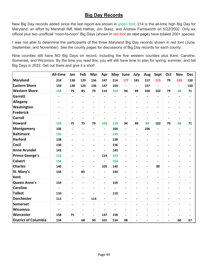#### **Big Day Records**

New Big Day records added since the last report are shown in green font. 214 is the all-time high Big Day for Maryland, an effort by Marshall Illiff, Matt Hafner, Jim Stasz, and Andrew Farnsworth on 5/22/2002. Only six official plus two unofficial "noon-to-noon" Big Days (shown in red font on next page) have totaled 200+ species.

I was not able to determine the participants of the three Maryland Big Day records shown in red font (June, September, and November). See the county pages for discussions of Big Day records for each county.

Nine counties still have NO Big Days on record, including the five western counties plus Kent, Caroline, Somerset, and Wicomico. By the time you read this, you will still have time to plan for spring, summer, and fall Big Days in 2022. Get out there and give it a shot!

|                             | <b>All-time</b>          | Jan                      | Feb            | Mar                      | Apr                          | May                      | June                     | July                     | Aug                      | Sept                         | Oct                      | <b>Nov</b>               | <b>Dec</b>               |
|-----------------------------|--------------------------|--------------------------|----------------|--------------------------|------------------------------|--------------------------|--------------------------|--------------------------|--------------------------|------------------------------|--------------------------|--------------------------|--------------------------|
| <b>Maryland</b>             | 214                      | 138                      | 129            | 136                      | 147                          | 214                      | 177                      | 181                      | 157                      | 115                          | 79                       | 120                      | 130                      |
| <b>Eastern Shore</b>        | 159                      | 138                      | 129            | 136                      | 147                          | 159                      | $\blacksquare$           | $\overline{\phantom{a}}$ | 157                      | $\overline{a}$               |                          | $\overline{\phantom{0}}$ | 130                      |
| <b>Western Shore</b>        | 154                      | 75                       | 85             | 79                       | 114                          | 154                      | 94                       | 89                       | 106                      | 102                          | 79                       | 68                       | 71                       |
| Garrett                     | $\blacksquare$           | $\blacksquare$           | $\overline{a}$ | $\blacksquare$           | $\blacksquare$               | $\overline{\phantom{a}}$ | $\blacksquare$           | $\overline{a}$           | $\overline{a}$           | $\frac{1}{2}$                | $\overline{\phantom{a}}$ | $\blacksquare$           | $\overline{\phantom{a}}$ |
| Allegany                    |                          |                          |                |                          |                              |                          |                          |                          |                          |                              |                          |                          |                          |
| Washington                  |                          |                          |                | $\blacksquare$           |                              |                          | $\blacksquare$           |                          |                          | $\overline{\phantom{0}}$     |                          |                          |                          |
| <b>Frederick</b>            | $\blacksquare$           | $\blacksquare$           | $\blacksquare$ | $\overline{\phantom{a}}$ | $\overline{\phantom{a}}$     | $\overline{\phantom{a}}$ | $\overline{\phantom{a}}$ | $\blacksquare$           | $\blacksquare$           | $\overline{\phantom{a}}$     | $\overline{\phantom{a}}$ | $\overline{\phantom{a}}$ | $\blacksquare$           |
| <b>Carroll</b>              | $\overline{a}$           | Ĭ.                       |                | $\blacksquare$           | $\blacksquare$               |                          | $\blacksquare$           |                          | $\blacksquare$           | $\overline{a}$               |                          | $\overline{a}$           | $\overline{a}$           |
| <b>Howard</b>               | 129                      | 75                       | 75             | 79                       | 109                          | 129                      | 94                       | 89                       | 89                       | 102                          | 79                       | 68                       | 71                       |
| <b>Montgomery</b>           | 106                      |                          |                | $\blacksquare$           | $\blacksquare$               | 104                      | $\frac{1}{2}$            | $\blacksquare$           | 106                      | $\frac{1}{2}$                |                          | L                        | $\blacksquare$           |
| <b>Baltimore</b>            | 133                      |                          |                | $\blacksquare$           | $\blacksquare$               | 133                      | $\overline{\phantom{a}}$ | $\blacksquare$           | $\overline{a}$           | $\qquad \qquad \blacksquare$ |                          |                          |                          |
| <b>Harford</b>              | 138                      | $\blacksquare$           |                | $\overline{\phantom{a}}$ | $\qquad \qquad \blacksquare$ | 138                      | $\overline{\phantom{a}}$ |                          |                          | $\overline{\phantom{a}}$     |                          |                          | $\blacksquare$           |
| <b>Cecil</b>                | 136                      |                          |                | $\blacksquare$           | $\overline{\phantom{a}}$     | 136                      | $\blacksquare$           |                          |                          | $\overline{\phantom{a}}$     |                          |                          |                          |
| <b>Anne Arundel</b>         | 143                      |                          |                | $\overline{a}$           | $\blacksquare$               | 143                      | $\blacksquare$           |                          |                          | $\overline{a}$               |                          |                          |                          |
| <b>Prince George's</b>      | 123                      | $\overline{\phantom{a}}$ | $\blacksquare$ | $\overline{\phantom{a}}$ | 114                          | 123                      | $\overline{\phantom{0}}$ |                          | $\blacksquare$           | $\overline{\phantom{a}}$     | $\blacksquare$           | $\blacksquare$           |                          |
| <b>Calvert</b>              | 154                      | ٠                        | $\overline{a}$ | $\blacksquare$           | $\overline{\phantom{a}}$     | 154                      | $\overline{\phantom{0}}$ | $\overline{a}$           | $\overline{\phantom{a}}$ | $\qquad \qquad \blacksquare$ | ٠                        | -                        |                          |
| <b>Charles</b>              | 140                      |                          |                | $\overline{\phantom{a}}$ | 105                          | 140                      | $\blacksquare$           |                          |                          | 89                           |                          |                          |                          |
| St. Mary's                  | 144                      | Ĭ.                       | 85             | $\overline{a}$           | $\frac{1}{2}$                | 144                      | $\overline{a}$           |                          |                          | $\overline{\phantom{0}}$     |                          |                          |                          |
| <b>Kent</b>                 | $\blacksquare$           | $\blacksquare$           | L.             | $\blacksquare$           | $\overline{\phantom{0}}$     | $\blacksquare$           | $\frac{1}{2}$            | $\blacksquare$           | $\overline{a}$           | $\overline{\phantom{0}}$     | $\blacksquare$           | $\blacksquare$           | $\blacksquare$           |
| <b>Queen Anne's</b>         | 159                      |                          |                | $\blacksquare$           | $\overline{\phantom{a}}$     | 159                      | $\blacksquare$           |                          |                          | -                            |                          |                          |                          |
| <b>Caroline</b>             | $\blacksquare$           |                          |                | $\blacksquare$           | $\overline{a}$               | $\overline{a}$           | $\overline{a}$           |                          |                          | $\blacksquare$               |                          |                          |                          |
| <b>Talbot</b>               | 110                      |                          |                | $\blacksquare$           | $\overline{\phantom{a}}$     | 110                      | $\overline{a}$           |                          |                          | -                            |                          |                          |                          |
| <b>Dorchester</b>           | 113                      | ٠                        | $\blacksquare$ | 113                      | $\blacksquare$               | $\blacksquare$           | $\overline{a}$           |                          |                          | $\frac{1}{2}$                |                          |                          |                          |
| <b>Somerset</b>             | $\blacksquare$           |                          |                | $\blacksquare$           |                              |                          | $\blacksquare$           |                          |                          | $\overline{\phantom{a}}$     |                          |                          |                          |
| <b>Wicomico</b>             | $\overline{\phantom{a}}$ |                          |                | $\blacksquare$           | $\overline{a}$               |                          |                          |                          |                          | $\overline{\phantom{0}}$     |                          |                          |                          |
| Worcester                   | 158                      | 75                       |                | $\blacksquare$           | 147                          | 158                      | ä,                       |                          |                          | $\overline{a}$               |                          |                          |                          |
| <b>District of Columbia</b> | 134                      | $\blacksquare$           | 68             | 90                       | 101                          | 134                      | 98                       |                          |                          | $\overline{\phantom{a}}$     |                          | 60                       | 57                       |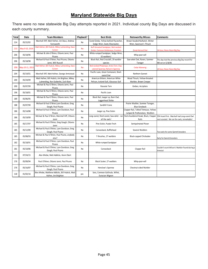#### **Maryland Statewide Big Days**

There were no new statewide Big Day attempts reported in 2021. Individual county Big Days are discussed in each county summary.

| <b>Total</b> | Date            | <b>Team Members</b>                                                    | Playback? | <b>Best Birds</b><br><b>Noteworthy Misses</b>                                 |                                                                          | <b>Comments</b>                                                                                                                |
|--------------|-----------------|------------------------------------------------------------------------|-----------|-------------------------------------------------------------------------------|--------------------------------------------------------------------------|--------------------------------------------------------------------------------------------------------------------------------|
| 214          | 05/22/02        | Marshall Iliff, Matt Hafner, Jim Stasz, Andrew                         | No        | Eared Grebe, Yellow-bellied Flycatcher,                                       | Brown-headed Nuthatch, Winter                                            |                                                                                                                                |
|              |                 | Farnsworth                                                             |           | Sedge Wren, Sooty Shearwater,                                                 | Wren, Swainson's Thrush                                                  |                                                                                                                                |
| 213          | May 9-10, 2014  | Matt Hafner, Bill Hubick, Mikey Lutmerding, Dave                       | <b>No</b> | Buff-breasted Sandpiper, Red-necked                                           |                                                                          |                                                                                                                                |
|              |                 | Curson                                                                 |           | Grebe, Common Goldeneye, 3 scoters                                            | <b>Great Horned Owl</b>                                                  | 24-hour, Noon-Noon Big Day                                                                                                     |
| 206          | 05/18/96        | Michael & John O'Brien, Ottavio Janni, Paul<br>Pisano                  | No        | White-rumped Sandpiper, Sedge Wren,<br>32 warblers!                           | Whip-poor-will                                                           |                                                                                                                                |
| 206          | 05/18/98        | Michael & Paul O'Brien, Paul Pisano, Ottavio                           | No        | Black Rail, Red Crossbill, 29 warbler                                         | Saw-whet Owl, Raven, Summer                                              | This day tied the previous Big Day record for                                                                                  |
|              |                 | Janni, Will Russell                                                    |           | species                                                                       | Tanager                                                                  | MD set on 5/18/96                                                                                                              |
| 206          | May 10-11, 2013 | Matt Hafner, Bill Hubick, Mikey Lutmerding, Dave<br>Curson             | <b>No</b> | Red-necked Phalarope, Arctic Tern, Clay-<br>colored Sparrow, Nelson's Sparrow | <b>Cedar Waxwing</b>                                                     | 24-hour, Noon-Noon Big Day                                                                                                     |
| 204          | 05/19/01        | Marshall Iliff, Matt Hafner, George Armistead                          | No        | Pacific Loon, Great Cormorant, Short-<br>eared Owl                            | Northern Gannet                                                          |                                                                                                                                |
| 200          | 05/24/09        | Matt Hafner, Bill Hubick, Jim Brighton, Mikey                          | No        | American Bittern, American White                                              | Wood Thrush, Yellow-throated                                             |                                                                                                                                |
|              |                 | Lutmerding, Ron Gutberlet, Zach Baer                                   |           | Pelican, Iceland Gull, Glaucous Gull                                          | Warbler, Brown Creeper                                                   |                                                                                                                                |
| 200          | 05/07/99        | Michael & Paul O'Brien, Ottavio Janni, Paul<br>Pisano                  | No        | Roseate Tern                                                                  | Grebes, Accipiters                                                       |                                                                                                                                |
| 196          | 05/18/01        | Michael & Paul O'Brien, Ottavio Janni, Paul<br>Pisano                  | No        | Pacific Loon                                                                  |                                                                          |                                                                                                                                |
| 189          | 05/06/95        | Michael & Paul O'Brien, Ottavio Janni, Paul<br>Pisano                  | No        | Black Rail, Jaeger sp, Barn Owl,<br>Loggerhead Shrike                         |                                                                          |                                                                                                                                |
| 188          | 05/07/90        | Michael & Paul O'Brien, Lynn Davidson, Greg<br>Gough, Paul Pisano      | No        | Sandhill Crane                                                                | Prairie Warbler, Summer Tanager,<br><b>Blue Grosbeak</b>                 |                                                                                                                                |
| 186          | 05/14/88        | Michael & Paul O'Brien, Lynn Davidson, Paul<br>Pisano                  | No        | Jaeger sp, Pine Siskin                                                        | Clapper Rail, Tufted Titmouse, Yellow-<br>rumped & Prothonotary Warblers |                                                                                                                                |
| 186          | 05/19/00        | Michael & Paul O'Brien, Marshall Iliff, Ottavio<br>Janni               | No        | Long-eared, Short-eared, Saw-whet - ran<br>all the owls!                      | Rails                                                                    | Red-shouldered Hawk, Black, Clapper 55% heard first. Marshall had Long-eared Owl<br>nest scouted. We ran the owls; remarkable! |
| 185          | 05/17/97        | Michael & Paul O'Brien, Greg Gough, Ottavio<br>Janni                   | No        | Pine Siskin, Purple Finch                                                     | Semipalmated Plover                                                      |                                                                                                                                |
| 185          | 05/12/89        | Michael & Paul O'Brien, Lynn Davidson, Greg<br>Gough, Paul Pisano      | No        | Canvasback, Bufflehead                                                        | Several Warblers                                                         | Too early for some Garrett breeders                                                                                            |
| 185          | 05/08/93        | Michael & Paul O'Brien, Paul Pisano, anybody<br>else?                  | No        | 7 thrushes, 27 warblers                                                       | Black-capped Chickadee                                                   | Early for Garrett breeders                                                                                                     |
| 182          | 05/18/91        | Michael & Paul O'Brien, Lynn Davidson, Paul<br>Pisano                  | No        | White-rumped Sandpiper                                                        |                                                                          |                                                                                                                                |
| 181          | 05/10/86        | Michael & Paul O'Brien, Lynn Davidson, Greg<br>Gough, Paul Pisano      | No        | Canvasback                                                                    | Clapper Rail                                                             | Couldn't count Wilson's Warbler found during a<br>timeout                                                                      |
| 181          | 07/24/15        | Alex Wiebe, Matt Addicks, Kevin Ebert                                  |           |                                                                               |                                                                          |                                                                                                                                |
| 176          | 05/09/94        | Paul O'Brien, Ottavio Janni, Paul Pisano                               | No        | Black Scoter; 27 warblers                                                     | Whip-poor-will                                                           |                                                                                                                                |
| 176          | 05/16/87        | Michael & Paul O'Brien, Lynn Davidson, Greg<br>Gough, Paul Pisano      | No        | Henslow's Sparrow                                                             | Chestnut-sided Warbler                                                   |                                                                                                                                |
| 118          | 01/02/16        | Alex Wiebe, Matthew Addicks, Bill Hubick, Matt<br>Hafner, Jim Brighton | yes       | Sora, Common Gallinule, Willet,<br>Eurasian Wigeon                            |                                                                          |                                                                                                                                |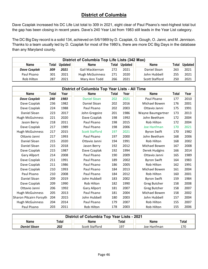#### **District of Columbia**

Dave Czaplak increased his DC Life List total to 309 in 2021, eight clear of Paul Pisano's next-highest total but the gap has been closing in recent years. Dave's 240 Year List from 1983 still leads in the Year List category.

The DC Big Day record is a solid 134, achieved on 5/6/1989 by D. Czaplak, G. Gough, O. Janni, and M. Jennison. Thanks to a team usually led by D. Czaplak for most of the 1980's, there are more DC Big Days in the database than any Maryland county.

|              | District of Columbia Top Life Lists (342 Max) |         |                        |     |               |                       |     |                      |  |  |  |  |  |  |
|--------------|-----------------------------------------------|---------|------------------------|-----|---------------|-----------------------|-----|----------------------|--|--|--|--|--|--|
| <b>Name</b>  | Total                                         | Updated | <b>Name</b>            |     | Total Updated | Name                  |     | <b>Total Updated</b> |  |  |  |  |  |  |
| Dave Czaplak | 309                                           | 2021    | Gail Mackiernan        | 272 | 2021          | Daniel Sloan          | 263 | 2021                 |  |  |  |  |  |  |
| Paul Pisano  | 301                                           | 2021    | <b>Hugh McGuinness</b> | 271 | 2020          | John Hubbell          | 255 | 2021                 |  |  |  |  |  |  |
| Rob Hilton   | 287                                           | 2021    | Mary Ann Todd          | 266 | 2021          | <b>Scott Stafford</b> | 250 | 2021                 |  |  |  |  |  |  |

|                         |              |      | District of Columbia Top Year Lists - All Time |              |                   |                     |              |      |
|-------------------------|--------------|------|------------------------------------------------|--------------|-------------------|---------------------|--------------|------|
| <b>Name</b>             | <b>Total</b> | Year | <b>Name</b>                                    | <b>Total</b> | Year              | <b>Name</b>         | <b>Total</b> | Year |
| <b>Dave Czaplak</b>     | 240          | 1983 | <b>Daniel Sloan</b>                            | 202          | 2021              | Paul Pisano         | 177          | 2010 |
| Dave Czaplak            | 236          | 1982 | Daniel Sloan                                   | 202          | 2016              | Michael Bowen       | 176          | 2001 |
| Dave Czaplak            | 224          | 1988 | Paul Pisano                                    | 202          | 2003              | Ottavio Janni       | 175          | 1991 |
| Daniel Sloan            | 223          | 2017 | 1986<br>John Gregoire<br>201                   |              | Wayne Baumgartner | 173                 | 2013         |      |
| <b>Hugh McGuinness</b>  | 221          | 2020 | Dave Czaplak                                   | 198          | 1992              | John Beetham        | 172          | 2004 |
| Jason Berry             | 218          | 2011 | Paul Pisano                                    | 198          | 2015              | <b>Rob Hilton</b>   | 172          | 2004 |
| Dave Czaplak            | 217          | 1989 | Paul Pisano                                    | 198          | 2006              | Joe Hanfman         | 170          | 2021 |
| <b>Hugh McGuinness</b>  | 217          | 2015 | <b>Scott Stafford</b>                          | 197          | 2021              | <b>Byron Swift</b>  | 170          | 1982 |
| Ottavio Janni           | 217          | 1993 | Paul Pisano                                    | 197          | 2000              | John Beetham        | 168          | 2006 |
| Daniel Sloan            | 215          | 2020 | Ottavio Janni                                  | 194          | 1991              | Rob Hilton          | 168          | 2002 |
| Daniel Sloan            | 215          | 2018 | Jason Berry                                    | 192          | 2012              | Michael Bowen       | 167          | 2008 |
| Dave Czaplak            | 215          | 1987 | Dave Czaplak                                   | 192          | 1994              | Derek Hudgins       | 166          | 2014 |
| <b>Gary Allport</b>     | 214          | 2008 | Paul Pisano                                    | 190          | 2009              | Ottavio Janni       | 165          | 1989 |
| Dave Czaplak            | 211          | 1991 | Paul Pisano                                    | 189          | 2002              | <b>Byron Swift</b>  | 164          | 1983 |
| Dave Czaplak            | 211          | 1986 | Paul Pisano                                    | 186          | 2005              | Rob Hilton          | 162          | 1991 |
| Dave Czaplak            | 210          | 1993 | Paul Pisano                                    | 184          | 2013              | Michael Bowen       | 161          | 2004 |
| Paul Pisano             | 210          | 2008 | Paul Pisano                                    | 184          | 2012              | <b>Rob Hilton</b>   | 160          | 2001 |
| Daniel Sloan            | 209          | 2019 | John Hubbell                                   | 183          | 2002              | <b>Byron Swift</b>  | 159          | 1984 |
| Dave Czaplak            | 209          | 1990 | Rob Hilton                                     | 182          | 1990              | <b>Greg Butcher</b> | 158          | 2008 |
| Ottavio Janni           | 206          | 1992 | <b>Gary Allport</b>                            | 181          | 2007              | Greg Butcher        | 158          | 2007 |
| <b>Hugh McGuinness</b>  | 205          | 2013 | Paul Pisano                                    | 181          | 2004              | Michael Bowen       | 158          | 2002 |
| Sharon Pitcairn Forsyth | 204          | 2015 | John Hubbell                                   | 180          | 2003              | John Hubbell        | 157          | 2004 |
| <b>Hugh McGuinness</b>  | 204          | 2014 | Paul Pisano                                    | 179          | 2007              | Rob Hilton          | 155          | 2007 |
| Paul Pisano             | 203          | 2011 | Rob Hilton                                     | 178          | 2003              | Rob Hilton          | 155          | 2006 |

| <b>District of Columbia Top Year Lists - 2021</b> |       |                |       |             |       |  |  |  |  |  |  |
|---------------------------------------------------|-------|----------------|-------|-------------|-------|--|--|--|--|--|--|
| <b>Name</b>                                       | Total | <b>Name</b>    | Total | <b>Name</b> | Total |  |  |  |  |  |  |
| <b>Daniel Sloan</b>                               | 202   | Scott Stafford | 197   | Joe Hanfman | 170   |  |  |  |  |  |  |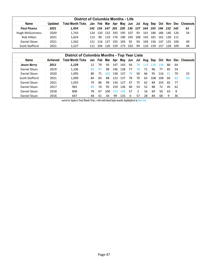| District of Columbia Months - Life |                |                          |     |      |      |     |     |                 |    |                  |         |     |         |           |                                               |
|------------------------------------|----------------|--------------------------|-----|------|------|-----|-----|-----------------|----|------------------|---------|-----|---------|-----------|-----------------------------------------------|
| <b>Name</b>                        | <b>Updated</b> | <b>Total Month Ticks</b> | Jan | Feb  | Mar  |     |     |                 |    |                  |         |     |         |           | Apr May Jun Jul Aug Sep Oct Nov Dec Closeouts |
| <b>Paul Pisano</b>                 | 2021           | 1.954                    | 142 | 134  | 147  |     |     | 201 220 136 127 |    |                  | 164 193 | 196 | 152 142 |           | 61                                            |
| Hugh McGuinness                    | 2020           | 1,743                    | 124 | 120. | 132  | 193 | 195 | 107             | 93 | 141              | 186     | 186 |         | 140   126 | 54                                            |
| Rob Hilton                         | 2021           | 1,624                    | 113 | 90   | 119  | 176 | 190 | 105             |    | $106$ 142        | 181     | 161 |         | $130$ 111 |                                               |
| Daniel Sloan                       | 2021           | 1,562                    | 121 | 116  | 127  | 192 | 183 | 92              | 93 | 104 <sub>1</sub> | 156     | 147 | 125     | 106       | 49                                            |
| Scott Stafford                     | 2021           | 1.527                    | 111 | 104  | 120. | 159 | 173 | 103             | 94 | 110              | 159.    | 157 | 128     | 109       | 44                                            |

| <b>District of Colombia Months - Top Year Lists</b> |                 |                          |     |     |                 |      |     |     |     |     |     |            |            |    |               |
|-----------------------------------------------------|-----------------|--------------------------|-----|-----|-----------------|------|-----|-----|-----|-----|-----|------------|------------|----|---------------|
| <b>Name</b>                                         | <b>Achieved</b> | <b>Total Month Ticks</b> | Jan | Feb | Mar             | Apr  | May | Jun | Jul | Aug | Sep | <b>Oct</b> | <b>Nov</b> |    | Dec Closeouts |
| <b>Jason Berry</b>                                  | 2011            | 1,129                    | 12  | 79  | 93              | 147  | 143 | 56  | 78  | 113 | 130 | 134        | 80         | 64 |               |
| Daniel Sloan                                        | 2019            | 1,106                    | 89  | 97  | 98              | 146  | 138 | 77  | 78  | 71  | 96  | 77         | 85         | 54 |               |
| Daniel Sloan                                        | 2020            | 1,095                    | 80  | 71  | 10 <sub>2</sub> | 138  | 137 | 79  | 50  | 66  | 95  | 116        | 91         | 70 | 23            |
| Scott Stafford                                      | 2021            | 1,090                    | 84  | 83  | 88              | 123  | 137 | 78  | 70  | 63  | 108 | 108        | 66         | 82 | 26            |
| Daniel Sloan                                        | 2021            | 1,055                    | 79  | 86  | 99              | 134  | 127 | 47  | 75  | 62  | 84  | 103        | 82         | 77 |               |
| Daniel Sloan                                        | 2017            | 965                      | 89  | 74  | 95              | 159  | 136 | 40  | 53  | 52  | 88  | 72         | 45         | 62 |               |
| Daniel Sloan                                        | 2018            | 808                      | 78  | 67  | 100             | 1153 | 145 | 57  |     | 16  | 69  | 50         | 63         | 8  |               |
| Daniel Sloan                                        | 2016            | 647                      | 48  | 41  | 44              | 99   | 133 | 0   | 57  | 28  | 84  | 68         | 9          | 36 |               |

sorted by highest Total Month Ticks, with individual high months highlighted in blue font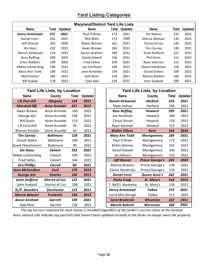#### **Yard Listing Categories**

| <b>Maryland/District Yard Life Lists</b> |       |                |                    |       |                |                       |       |                |  |  |  |  |  |
|------------------------------------------|-------|----------------|--------------------|-------|----------------|-----------------------|-------|----------------|--|--|--|--|--|
| <b>Name</b>                              | Total | <b>Updated</b> | <b>Name</b>        | Total | <b>Updated</b> | <b>Name</b>           | Total | <b>Updated</b> |  |  |  |  |  |
| <b>Henry Armistead</b>                   | 272   | 2021           | Paul O'Brien       | 173   | 2021           | Jim Nelson            | 132   | 2021           |  |  |  |  |  |
| Daniel Irons                             | 262   | 2021           | Rick Blom          | 173   | 1999           | Marcia Watson         | 130   | 2021           |  |  |  |  |  |
| Jeff Shenot                              | 245   | 2020           | Robin Skinner      | 161   | 2021           | <b>Chuck Stirrat</b>  | 129   | 2021           |  |  |  |  |  |
| Jim Stasz                                | 232   | 2021           | Gwen Brewer        | 160   | 2021           | <b>Tim Carney</b>     | 128   | 2021           |  |  |  |  |  |
| Dennis Kirkwood                          | 210   | 2021           | Aaron Graham       | 149   | 2021           | Scott Stafford        | 122   | 2021           |  |  |  |  |  |
| <b>Russ Ruffing</b>                      | 209   | 2021           | David Kidwell      | 146   | 2021           | <b>Phil Davis</b>     | 113   | 2021           |  |  |  |  |  |
| Chan Robbins                             | 199   | 2001           | <b>Fred Fallon</b> | 144   | 2021           | Ryan Salsman          | 113   | 2021           |  |  |  |  |  |
| Mikey Lutmerding                         | 194   | 2021           | Joe Hanfman        | 140   | 2021           | Elaine Hendricks      | 110   | 2021           |  |  |  |  |  |
| Mary Ann Todd                            | 189   | 2021           | Jane Kostenko      | 134   | 2021           | <b>Duvall Sollers</b> | 109   | 2021           |  |  |  |  |  |
| Matt Hafner                              | 185   | 2021           | Kyle Klotz         | 134   | 2021           | Marcia Balestri       | 108   | 2021           |  |  |  |  |  |
| <b>Bill Hubick</b>                       | 178   | 2021           | <b>Tyler Bell</b>  | 134   | 2021           | John Hubbell          | 108   | 2021           |  |  |  |  |  |

| <b>Yard Life Lists, by Location</b> |                         |              |                |  |  |  |
|-------------------------------------|-------------------------|--------------|----------------|--|--|--|
| <b>Name</b>                         | County                  | <b>Total</b> | <b>Updated</b> |  |  |  |
| <b>J.B Churchill</b>                | <b>Allegany</b>         | 134          | 2015           |  |  |  |
| <b>Marshall Iliff</b>               | <b>Anne Arundel</b>     | 221          | 2013           |  |  |  |
| Gwen Brewer                         | Anne Arundel            | 160          | 2021           |  |  |  |
| George Jett                         | Anne Arundel            | 158          | 2021           |  |  |  |
| <b>Phil Davis</b>                   | Anne Arundel            | 113          | 2021           |  |  |  |
| J.B Churchill                       | Anne Arundel            | 95           | 2021           |  |  |  |
| Warren Stroble                      | Anne Arundel            | 62           | 2021           |  |  |  |
| <b>Tim Carney</b>                   | <b>Baltimore</b>        | 128          | 2021           |  |  |  |
| <b>Duvall Sollers</b>               | <b>Baltimore</b>        | 109          | 2021           |  |  |  |
| David Fleischmann                   | <b>Baltimore</b>        | 99           | 2021           |  |  |  |
| <b>Jim Stasz</b>                    | <b>Calvert</b>          | 232          | 2021           |  |  |  |
| Mikey Lutmerding                    | Calvert                 | 194          | 2021           |  |  |  |
| <b>Fred Fallon</b>                  | Calvert                 | 144          | 2021           |  |  |  |
| <b>Kris Phillips</b>                | <b>Carroll</b>          | 60           | 2021           |  |  |  |
| <b>Sean McCandless</b>              | <b>Cecil</b>            | 170          | 2013           |  |  |  |
| <b>George Jett</b>                  | <b>Charles</b>          | 166          | 2013           |  |  |  |
| <b>Scott Stafford</b>               | <b>District of Col.</b> | 122          | 2021           |  |  |  |
| John Hubbell                        | District of Col.        | 108          | 2021           |  |  |  |
| N./F. Saunders                      | <b>Dorchester</b>       | 115          | 2011           |  |  |  |
| <b>Marcia Balestri</b>              | <b>Frederick</b>        | 144          | 2013           |  |  |  |
| <b>Aaron Graham</b>                 | <b>Garrett</b>          | 149          | 2021           |  |  |  |
| Kyle Klotz                          | Garrett                 | 134          | 2021           |  |  |  |

*The top list ever reported for each county is included regardless of the birder's current status at the location Rose-colored cells indicate top yard lists that haven't been updated recently or the birder no longer owns the property*